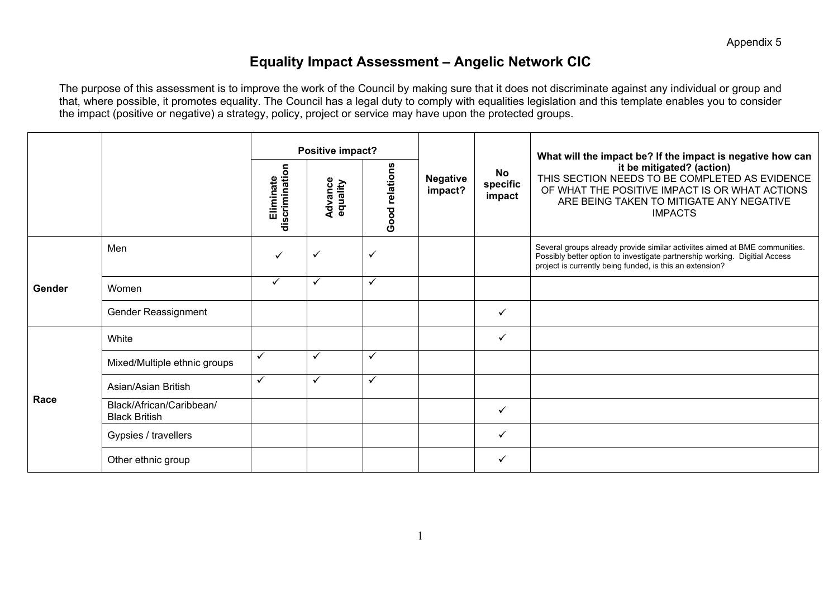### **Equality Impact Assessment – Angelic Network CIC**

|        |                                                  |                                                                      | Positive impact?           |                          |                                                                                                                                                                                             |              | What will the impact be? If the impact is negative how can                                                                                                                                                            |
|--------|--------------------------------------------------|----------------------------------------------------------------------|----------------------------|--------------------------|---------------------------------------------------------------------------------------------------------------------------------------------------------------------------------------------|--------------|-----------------------------------------------------------------------------------------------------------------------------------------------------------------------------------------------------------------------|
|        |                                                  | Good relations<br>discrimination<br>Eliminate<br>Advance<br>equality | <b>Negative</b><br>impact? | No<br>specific<br>impact | it be mitigated? (action)<br>THIS SECTION NEEDS TO BE COMPLETED AS EVIDENCE<br>OF WHAT THE POSITIVE IMPACT IS OR WHAT ACTIONS<br>ARE BEING TAKEN TO MITIGATE ANY NEGATIVE<br><b>IMPACTS</b> |              |                                                                                                                                                                                                                       |
| Gender | Men                                              | $\checkmark$                                                         | $\checkmark$               | $\checkmark$             |                                                                                                                                                                                             |              | Several groups already provide similar activiites aimed at BME communities.<br>Possibly better option to investigate partnership working. Digitial Access<br>project is currently being funded, is this an extension? |
|        | Women                                            | $\checkmark$                                                         | $\checkmark$               | $\checkmark$             |                                                                                                                                                                                             |              |                                                                                                                                                                                                                       |
|        | Gender Reassignment                              |                                                                      |                            |                          |                                                                                                                                                                                             | ✓            |                                                                                                                                                                                                                       |
|        | White                                            |                                                                      |                            |                          |                                                                                                                                                                                             | ✓            |                                                                                                                                                                                                                       |
|        | Mixed/Multiple ethnic groups                     | $\checkmark$                                                         | $\checkmark$               | $\checkmark$             |                                                                                                                                                                                             |              |                                                                                                                                                                                                                       |
| Race   | Asian/Asian British                              | $\checkmark$                                                         | $\checkmark$               | $\checkmark$             |                                                                                                                                                                                             |              |                                                                                                                                                                                                                       |
|        | Black/African/Caribbean/<br><b>Black British</b> |                                                                      |                            |                          |                                                                                                                                                                                             | ✓            |                                                                                                                                                                                                                       |
|        | Gypsies / travellers                             |                                                                      |                            |                          |                                                                                                                                                                                             | $\checkmark$ |                                                                                                                                                                                                                       |
|        | Other ethnic group                               |                                                                      |                            |                          |                                                                                                                                                                                             | ✓            |                                                                                                                                                                                                                       |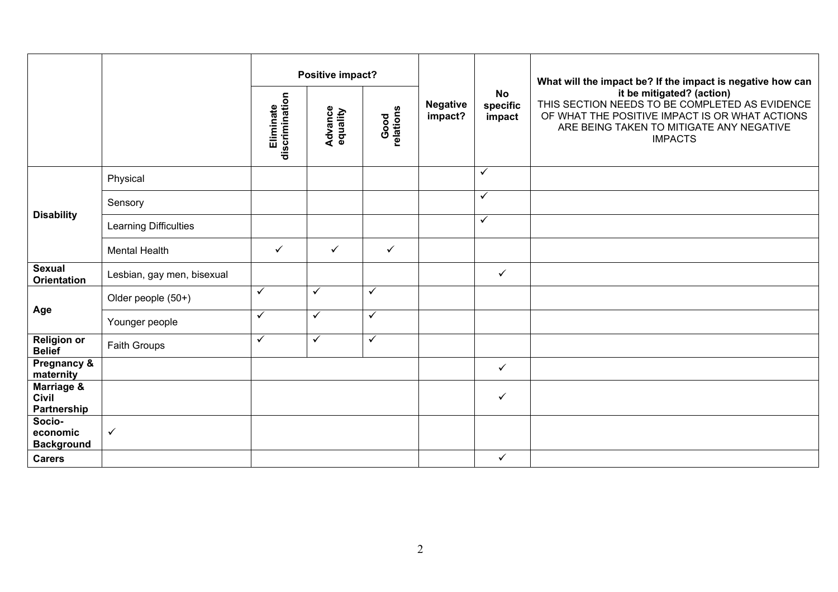|                                           |                            |                             | Positive impact?           |                   |                            |                                 | What will the impact be? If the impact is negative how can                                                                                                                                  |
|-------------------------------------------|----------------------------|-----------------------------|----------------------------|-------------------|----------------------------|---------------------------------|---------------------------------------------------------------------------------------------------------------------------------------------------------------------------------------------|
|                                           |                            | discrimination<br>Eliminate | <b>Advance</b><br>equality | Good<br>relations | <b>Negative</b><br>impact? | <b>No</b><br>specific<br>impact | it be mitigated? (action)<br>THIS SECTION NEEDS TO BE COMPLETED AS EVIDENCE<br>OF WHAT THE POSITIVE IMPACT IS OR WHAT ACTIONS<br>ARE BEING TAKEN TO MITIGATE ANY NEGATIVE<br><b>IMPACTS</b> |
|                                           | Physical                   |                             |                            |                   |                            | $\checkmark$                    |                                                                                                                                                                                             |
|                                           | Sensory                    |                             |                            |                   |                            | $\checkmark$                    |                                                                                                                                                                                             |
| <b>Disability</b>                         | Learning Difficulties      |                             |                            |                   |                            | $\checkmark$                    |                                                                                                                                                                                             |
|                                           | <b>Mental Health</b>       | $\checkmark$                | ✓                          | $\checkmark$      |                            |                                 |                                                                                                                                                                                             |
| <b>Sexual</b><br><b>Orientation</b>       | Lesbian, gay men, bisexual |                             |                            |                   |                            | $\checkmark$                    |                                                                                                                                                                                             |
|                                           | Older people (50+)         | $\checkmark$                | $\checkmark$               | $\checkmark$      |                            |                                 |                                                                                                                                                                                             |
| Age                                       | Younger people             | $\checkmark$                | $\checkmark$               | $\checkmark$      |                            |                                 |                                                                                                                                                                                             |
| <b>Religion or</b><br><b>Belief</b>       | Faith Groups               | $\checkmark$                | $\checkmark$               | $\checkmark$      |                            |                                 |                                                                                                                                                                                             |
| Pregnancy &<br>maternity                  |                            |                             |                            |                   |                            | $\checkmark$                    |                                                                                                                                                                                             |
| Marriage &<br><b>Civil</b><br>Partnership |                            |                             |                            |                   |                            | $\checkmark$                    |                                                                                                                                                                                             |
| Socio-<br>economic<br><b>Background</b>   | $\checkmark$               |                             |                            |                   |                            |                                 |                                                                                                                                                                                             |
| <b>Carers</b>                             |                            |                             |                            |                   |                            | $\checkmark$                    |                                                                                                                                                                                             |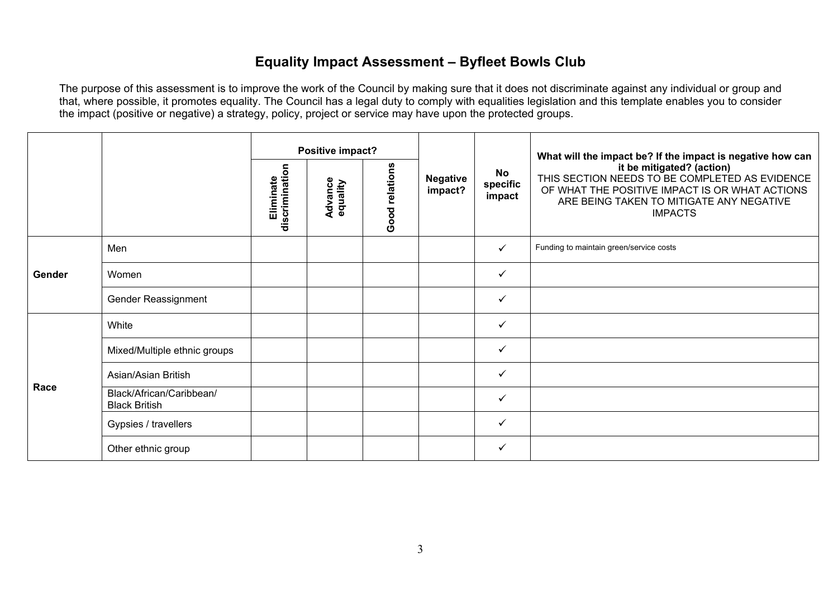### **Equality Impact Assessment – Byfleet Bowls Club**

|        |                                                  | Positive impact?            |                     |                |                            | What will the impact be? If the impact is negative how can |                                                                                                                                                                                             |
|--------|--------------------------------------------------|-----------------------------|---------------------|----------------|----------------------------|------------------------------------------------------------|---------------------------------------------------------------------------------------------------------------------------------------------------------------------------------------------|
|        |                                                  | discrimination<br>Eliminate | Advance<br>equality | Good relations | <b>Negative</b><br>impact? | <b>No</b><br>specific<br>impact                            | it be mitigated? (action)<br>THIS SECTION NEEDS TO BE COMPLETED AS EVIDENCE<br>OF WHAT THE POSITIVE IMPACT IS OR WHAT ACTIONS<br>ARE BEING TAKEN TO MITIGATE ANY NEGATIVE<br><b>IMPACTS</b> |
|        | Men                                              |                             |                     |                |                            | ✓                                                          | Funding to maintain green/service costs                                                                                                                                                     |
| Gender | Women                                            |                             |                     |                |                            | ✓                                                          |                                                                                                                                                                                             |
|        | Gender Reassignment                              |                             |                     |                |                            | $\checkmark$                                               |                                                                                                                                                                                             |
|        | White                                            |                             |                     |                |                            | $\checkmark$                                               |                                                                                                                                                                                             |
|        | Mixed/Multiple ethnic groups                     |                             |                     |                |                            | ✓                                                          |                                                                                                                                                                                             |
| Race   | Asian/Asian British                              |                             |                     |                |                            | ✓                                                          |                                                                                                                                                                                             |
|        | Black/African/Caribbean/<br><b>Black British</b> |                             |                     |                |                            | $\checkmark$                                               |                                                                                                                                                                                             |
|        | Gypsies / travellers                             |                             |                     |                |                            | ✓                                                          |                                                                                                                                                                                             |
|        | Other ethnic group                               |                             |                     |                |                            | ✓                                                          |                                                                                                                                                                                             |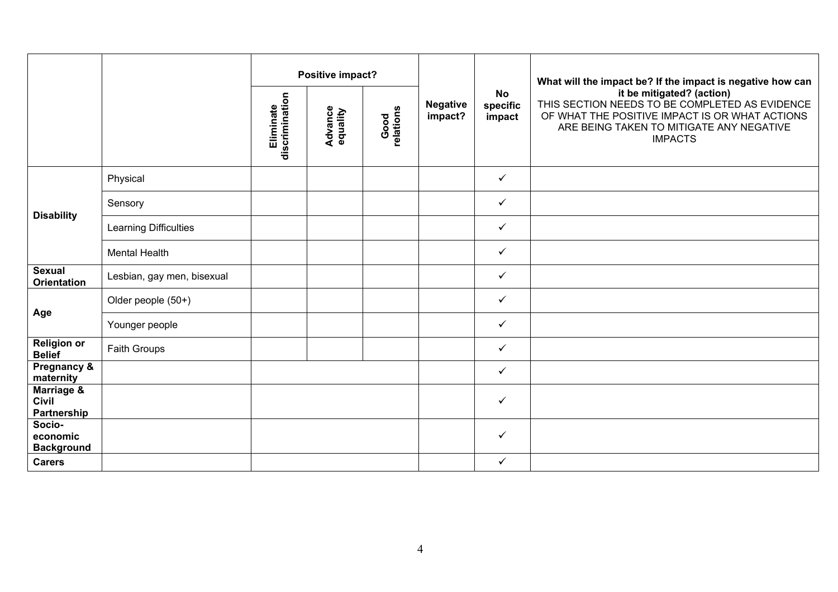|                                           |                            |                             | Positive impact?           |                   |                            |                                 | What will the impact be? If the impact is negative how can<br>it be mitigated? (action)<br>THIS SECTION NEEDS TO BE COMPLETED AS EVIDENCE<br>OF WHAT THE POSITIVE IMPACT IS OR WHAT ACTIONS<br>ARE BEING TAKEN TO MITIGATE ANY NEGATIVE<br><b>IMPACTS</b> |
|-------------------------------------------|----------------------------|-----------------------------|----------------------------|-------------------|----------------------------|---------------------------------|-----------------------------------------------------------------------------------------------------------------------------------------------------------------------------------------------------------------------------------------------------------|
|                                           |                            | discrimination<br>Eliminate | <b>Advance</b><br>equality | Good<br>relations | <b>Negative</b><br>impact? | <b>No</b><br>specific<br>impact |                                                                                                                                                                                                                                                           |
|                                           | Physical                   |                             |                            |                   |                            | $\checkmark$                    |                                                                                                                                                                                                                                                           |
|                                           | Sensory                    |                             |                            |                   |                            | $\checkmark$                    |                                                                                                                                                                                                                                                           |
| <b>Disability</b>                         | Learning Difficulties      |                             |                            |                   |                            | $\checkmark$                    |                                                                                                                                                                                                                                                           |
|                                           | Mental Health              |                             |                            |                   |                            | $\checkmark$                    |                                                                                                                                                                                                                                                           |
| <b>Sexual</b><br><b>Orientation</b>       | Lesbian, gay men, bisexual |                             |                            |                   |                            | $\checkmark$                    |                                                                                                                                                                                                                                                           |
|                                           | Older people (50+)         |                             |                            |                   |                            | $\checkmark$                    |                                                                                                                                                                                                                                                           |
| Age                                       | Younger people             |                             |                            |                   |                            | $\checkmark$                    |                                                                                                                                                                                                                                                           |
| <b>Religion or</b><br><b>Belief</b>       | Faith Groups               |                             |                            |                   |                            | $\checkmark$                    |                                                                                                                                                                                                                                                           |
| Pregnancy &<br>maternity                  |                            |                             |                            |                   |                            | $\checkmark$                    |                                                                                                                                                                                                                                                           |
| Marriage &<br><b>Civil</b><br>Partnership |                            |                             |                            |                   |                            | $\checkmark$                    |                                                                                                                                                                                                                                                           |
| Socio-<br>economic<br><b>Background</b>   |                            |                             |                            |                   |                            | $\checkmark$                    |                                                                                                                                                                                                                                                           |
| <b>Carers</b>                             |                            |                             |                            |                   |                            | $\checkmark$                    |                                                                                                                                                                                                                                                           |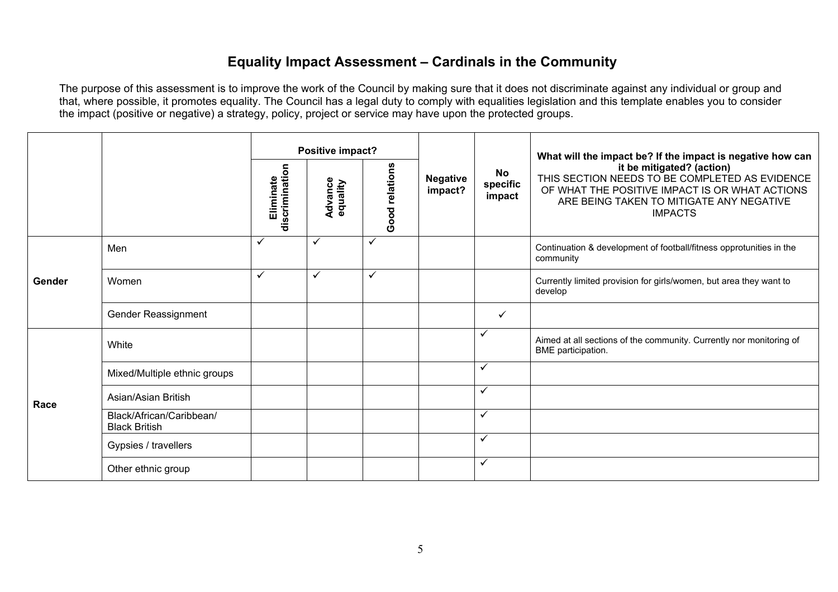## **Equality Impact Assessment – Cardinals in the Community**

|        |                                                  |                             | Positive impact?    |                |                            |                          | What will the impact be? If the impact is negative how can                                                                                                                                  |
|--------|--------------------------------------------------|-----------------------------|---------------------|----------------|----------------------------|--------------------------|---------------------------------------------------------------------------------------------------------------------------------------------------------------------------------------------|
|        |                                                  | Eliminate<br>discrimination | Advance<br>equality | Good relations | <b>Negative</b><br>impact? | No<br>specific<br>impact | it be mitigated? (action)<br>THIS SECTION NEEDS TO BE COMPLETED AS EVIDENCE<br>OF WHAT THE POSITIVE IMPACT IS OR WHAT ACTIONS<br>ARE BEING TAKEN TO MITIGATE ANY NEGATIVE<br><b>IMPACTS</b> |
|        | Men                                              | ✓                           | ✓                   | $\checkmark$   |                            |                          | Continuation & development of football/fitness opprotunities in the<br>community                                                                                                            |
| Gender | Women                                            | ✓                           | ✓                   | ✓              |                            |                          | Currently limited provision for girls/women, but area they want to<br>develop                                                                                                               |
|        | Gender Reassignment                              |                             |                     |                |                            | $\checkmark$             |                                                                                                                                                                                             |
|        | White                                            |                             |                     |                |                            | $\checkmark$             | Aimed at all sections of the community. Currently nor monitoring of<br>BME participation.                                                                                                   |
|        | Mixed/Multiple ethnic groups                     |                             |                     |                |                            | ✓                        |                                                                                                                                                                                             |
| Race   | Asian/Asian British                              |                             |                     |                |                            | $\checkmark$             |                                                                                                                                                                                             |
|        | Black/African/Caribbean/<br><b>Black British</b> |                             |                     |                |                            | $\checkmark$             |                                                                                                                                                                                             |
|        | Gypsies / travellers                             |                             |                     |                |                            | $\checkmark$             |                                                                                                                                                                                             |
|        | Other ethnic group                               |                             |                     |                |                            | $\checkmark$             |                                                                                                                                                                                             |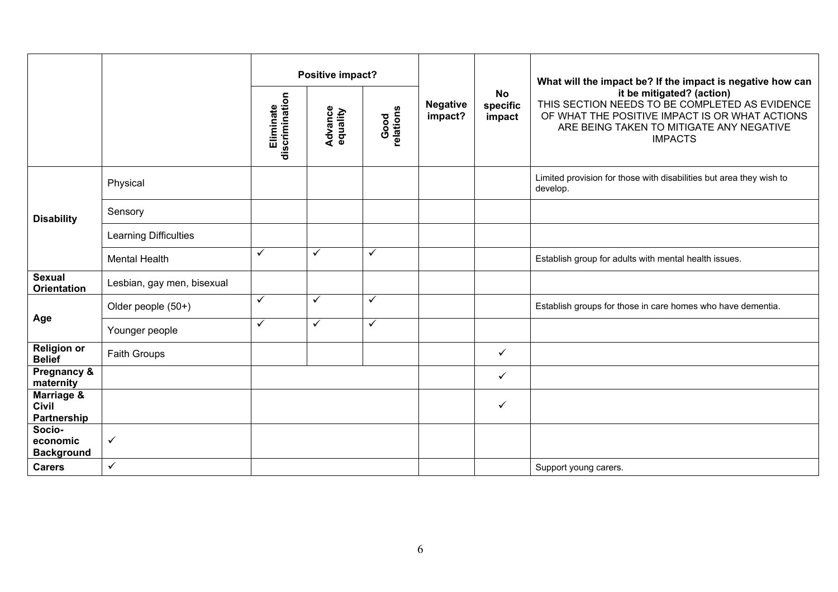|                                           |                            |                             | Positive impact?           |                   |                            |                                 | What will the impact be? If the impact is negative how can                                                                                                                                  |
|-------------------------------------------|----------------------------|-----------------------------|----------------------------|-------------------|----------------------------|---------------------------------|---------------------------------------------------------------------------------------------------------------------------------------------------------------------------------------------|
|                                           |                            | Eliminate<br>discrimination | <b>Advance</b><br>equality | Good<br>relations | <b>Negative</b><br>impact? | <b>No</b><br>specific<br>impact | it be mitigated? (action)<br>THIS SECTION NEEDS TO BE COMPLETED AS EVIDENCE<br>OF WHAT THE POSITIVE IMPACT IS OR WHAT ACTIONS<br>ARE BEING TAKEN TO MITIGATE ANY NEGATIVE<br><b>IMPACTS</b> |
|                                           | Physical                   |                             |                            |                   |                            |                                 | Limited provision for those with disabilities but area they wish to<br>develop.                                                                                                             |
| <b>Disability</b>                         | Sensory                    |                             |                            |                   |                            |                                 |                                                                                                                                                                                             |
|                                           | Learning Difficulties      |                             |                            |                   |                            |                                 |                                                                                                                                                                                             |
|                                           | <b>Mental Health</b>       | ✓                           | $\checkmark$               | $\checkmark$      |                            |                                 | Establish group for adults with mental health issues.                                                                                                                                       |
| <b>Sexual</b><br><b>Orientation</b>       | Lesbian, gay men, bisexual |                             |                            |                   |                            |                                 |                                                                                                                                                                                             |
|                                           | Older people (50+)         | ✓                           | $\checkmark$               | ✓                 |                            |                                 | Establish groups for those in care homes who have dementia.                                                                                                                                 |
| Age                                       | Younger people             | ✓                           | $\checkmark$               | ✓                 |                            |                                 |                                                                                                                                                                                             |
| <b>Religion or</b><br><b>Belief</b>       | <b>Faith Groups</b>        |                             |                            |                   |                            | ✓                               |                                                                                                                                                                                             |
| Pregnancy &<br>maternity                  |                            |                             |                            |                   |                            | ✓                               |                                                                                                                                                                                             |
| Marriage &<br><b>Civil</b><br>Partnership |                            |                             |                            |                   |                            | ✓                               |                                                                                                                                                                                             |
| Socio-<br>economic<br><b>Background</b>   | $\checkmark$               |                             |                            |                   |                            |                                 |                                                                                                                                                                                             |
| <b>Carers</b>                             | $\checkmark$               |                             |                            |                   |                            |                                 | Support young carers.                                                                                                                                                                       |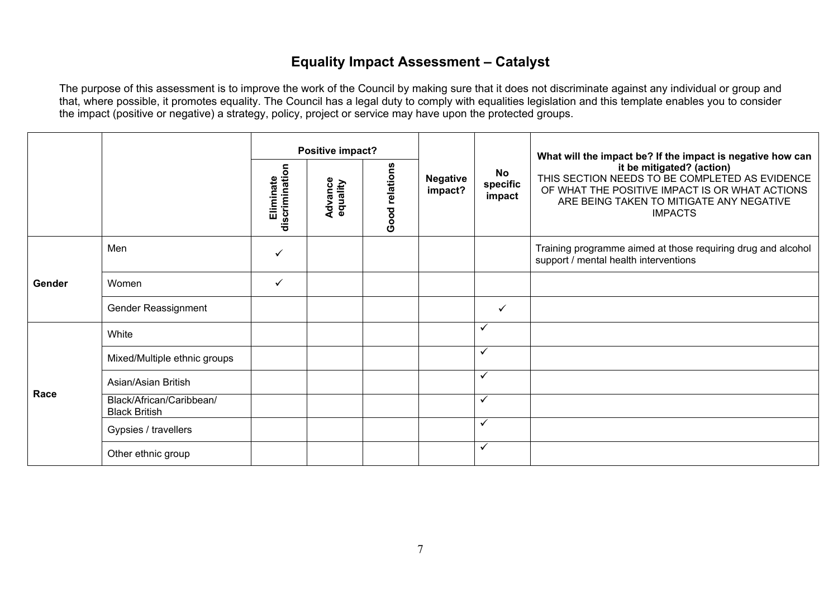# **Equality Impact Assessment – Catalyst**

|        |                                                  | Positive impact?            |                     |                |                            |                                 | What will the impact be? If the impact is negative how can                                                                                                                                  |
|--------|--------------------------------------------------|-----------------------------|---------------------|----------------|----------------------------|---------------------------------|---------------------------------------------------------------------------------------------------------------------------------------------------------------------------------------------|
|        |                                                  | discrimination<br>Eliminate | Advance<br>equality | Good relations | <b>Negative</b><br>impact? | <b>No</b><br>specific<br>impact | it be mitigated? (action)<br>THIS SECTION NEEDS TO BE COMPLETED AS EVIDENCE<br>OF WHAT THE POSITIVE IMPACT IS OR WHAT ACTIONS<br>ARE BEING TAKEN TO MITIGATE ANY NEGATIVE<br><b>IMPACTS</b> |
|        | Men                                              | ✓                           |                     |                |                            |                                 | Training programme aimed at those requiring drug and alcohol<br>support / mental health interventions                                                                                       |
| Gender | Women                                            | $\checkmark$                |                     |                |                            |                                 |                                                                                                                                                                                             |
|        | Gender Reassignment                              |                             |                     |                |                            | ✓                               |                                                                                                                                                                                             |
|        | White                                            |                             |                     |                |                            | $\checkmark$                    |                                                                                                                                                                                             |
|        | Mixed/Multiple ethnic groups                     |                             |                     |                |                            | $\checkmark$                    |                                                                                                                                                                                             |
| Race   | Asian/Asian British                              |                             |                     |                |                            | $\checkmark$                    |                                                                                                                                                                                             |
|        | Black/African/Caribbean/<br><b>Black British</b> |                             |                     |                |                            | $\checkmark$                    |                                                                                                                                                                                             |
|        | Gypsies / travellers                             |                             |                     |                |                            | $\checkmark$                    |                                                                                                                                                                                             |
|        | Other ethnic group                               |                             |                     |                |                            | $\checkmark$                    |                                                                                                                                                                                             |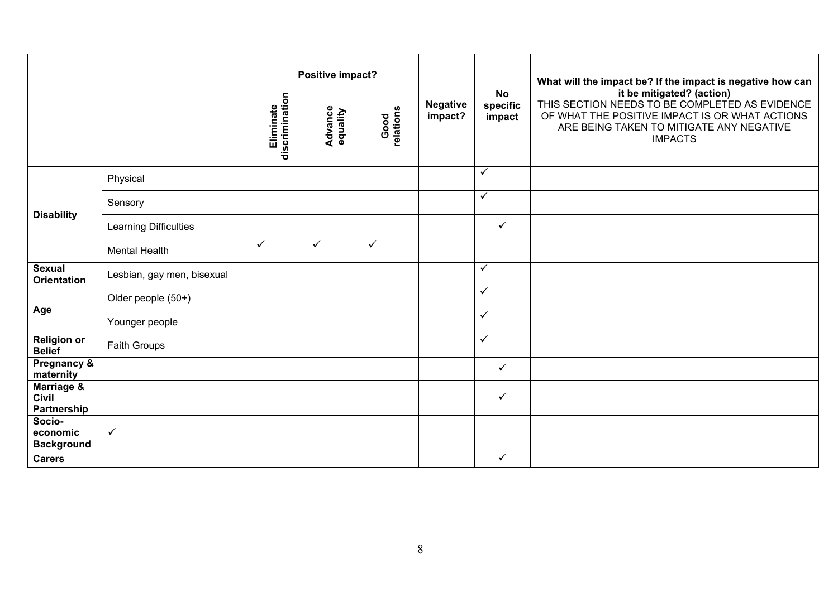|                                           |                              |                             | Positive impact?           |                   |                            |                                 | What will the impact be? If the impact is negative how can                                                                                                                                  |
|-------------------------------------------|------------------------------|-----------------------------|----------------------------|-------------------|----------------------------|---------------------------------|---------------------------------------------------------------------------------------------------------------------------------------------------------------------------------------------|
|                                           |                              | discrimination<br>Eliminate | <b>Advance</b><br>equality | Good<br>relations | <b>Negative</b><br>impact? | <b>No</b><br>specific<br>impact | it be mitigated? (action)<br>THIS SECTION NEEDS TO BE COMPLETED AS EVIDENCE<br>OF WHAT THE POSITIVE IMPACT IS OR WHAT ACTIONS<br>ARE BEING TAKEN TO MITIGATE ANY NEGATIVE<br><b>IMPACTS</b> |
|                                           | Physical                     |                             |                            |                   |                            | $\checkmark$                    |                                                                                                                                                                                             |
|                                           | Sensory                      |                             |                            |                   |                            | $\checkmark$                    |                                                                                                                                                                                             |
| <b>Disability</b>                         | <b>Learning Difficulties</b> |                             |                            |                   |                            | $\checkmark$                    |                                                                                                                                                                                             |
|                                           | <b>Mental Health</b>         | ✓                           | $\checkmark$               | ✓                 |                            |                                 |                                                                                                                                                                                             |
| <b>Sexual</b><br><b>Orientation</b>       | Lesbian, gay men, bisexual   |                             |                            |                   |                            | $\checkmark$                    |                                                                                                                                                                                             |
|                                           | Older people (50+)           |                             |                            |                   |                            | $\checkmark$                    |                                                                                                                                                                                             |
| Age                                       | Younger people               |                             |                            |                   |                            | $\checkmark$                    |                                                                                                                                                                                             |
| <b>Religion or</b><br><b>Belief</b>       | Faith Groups                 |                             |                            |                   |                            | $\bar{\checkmark}$              |                                                                                                                                                                                             |
| Pregnancy &<br>maternity                  |                              |                             |                            |                   |                            | $\checkmark$                    |                                                                                                                                                                                             |
| Marriage &<br><b>Civil</b><br>Partnership |                              |                             |                            |                   |                            | $\checkmark$                    |                                                                                                                                                                                             |
| Socio-<br>economic<br><b>Background</b>   | $\checkmark$                 |                             |                            |                   |                            |                                 |                                                                                                                                                                                             |
| <b>Carers</b>                             |                              |                             |                            |                   |                            | $\checkmark$                    |                                                                                                                                                                                             |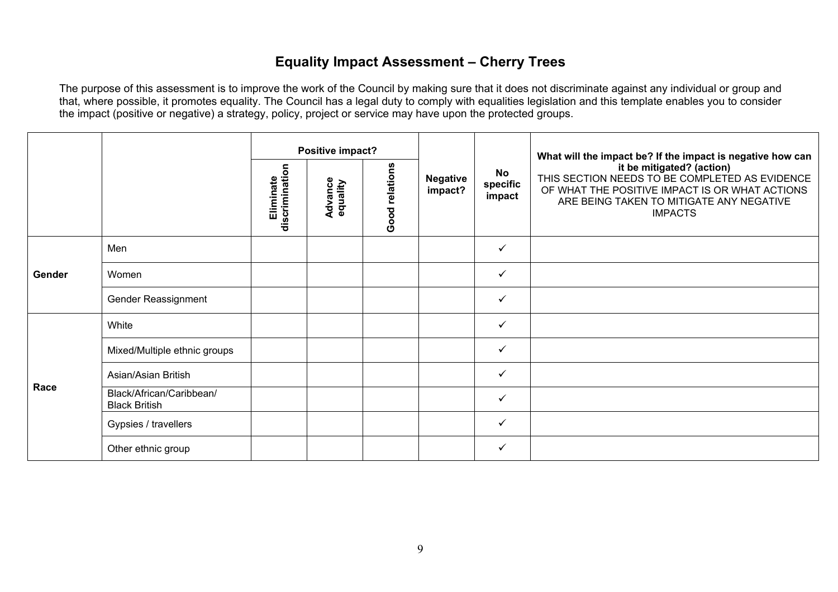### **Equality Impact Assessment – Cherry Trees**

|        |                                                  | Positive impact?            |                     |                |                            | What will the impact be? If the impact is negative how can |                                                                                                                                                                                             |
|--------|--------------------------------------------------|-----------------------------|---------------------|----------------|----------------------------|------------------------------------------------------------|---------------------------------------------------------------------------------------------------------------------------------------------------------------------------------------------|
|        |                                                  | discrimination<br>Eliminate | Advance<br>equality | Good relations | <b>Negative</b><br>impact? | <b>No</b><br>specific<br>impact                            | it be mitigated? (action)<br>THIS SECTION NEEDS TO BE COMPLETED AS EVIDENCE<br>OF WHAT THE POSITIVE IMPACT IS OR WHAT ACTIONS<br>ARE BEING TAKEN TO MITIGATE ANY NEGATIVE<br><b>IMPACTS</b> |
|        | Men                                              |                             |                     |                |                            | $\checkmark$                                               |                                                                                                                                                                                             |
| Gender | Women                                            |                             |                     |                |                            | $\checkmark$                                               |                                                                                                                                                                                             |
|        | Gender Reassignment                              |                             |                     |                |                            | $\checkmark$                                               |                                                                                                                                                                                             |
|        | White                                            |                             |                     |                |                            | $\checkmark$                                               |                                                                                                                                                                                             |
|        | Mixed/Multiple ethnic groups                     |                             |                     |                |                            | ✓                                                          |                                                                                                                                                                                             |
| Race   | Asian/Asian British                              |                             |                     |                |                            | $\checkmark$                                               |                                                                                                                                                                                             |
|        | Black/African/Caribbean/<br><b>Black British</b> |                             |                     |                |                            | $\checkmark$                                               |                                                                                                                                                                                             |
|        | Gypsies / travellers                             |                             |                     |                |                            | $\checkmark$                                               |                                                                                                                                                                                             |
|        | Other ethnic group                               |                             |                     |                |                            | $\checkmark$                                               |                                                                                                                                                                                             |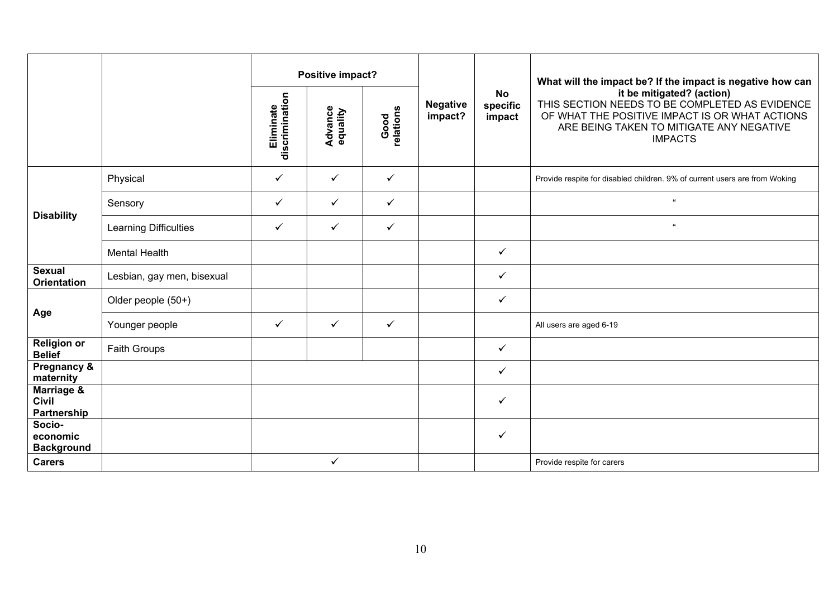|                                                      |                            | Positive impact?            |                            |                   |                            |                                 | What will the impact be? If the impact is negative how can                                                                                                                                  |
|------------------------------------------------------|----------------------------|-----------------------------|----------------------------|-------------------|----------------------------|---------------------------------|---------------------------------------------------------------------------------------------------------------------------------------------------------------------------------------------|
|                                                      |                            | Eliminate<br>discrimination | <b>Advance</b><br>equality | Good<br>relations | <b>Negative</b><br>impact? | <b>No</b><br>specific<br>impact | it be mitigated? (action)<br>THIS SECTION NEEDS TO BE COMPLETED AS EVIDENCE<br>OF WHAT THE POSITIVE IMPACT IS OR WHAT ACTIONS<br>ARE BEING TAKEN TO MITIGATE ANY NEGATIVE<br><b>IMPACTS</b> |
|                                                      | Physical                   | ✓                           | $\checkmark$               | $\checkmark$      |                            |                                 | Provide respite for disabled children. 9% of current users are from Woking                                                                                                                  |
|                                                      | Sensory                    | ✓                           | $\checkmark$               | $\checkmark$      |                            |                                 | $\alpha$                                                                                                                                                                                    |
| <b>Disability</b>                                    | Learning Difficulties      | $\checkmark$                | $\checkmark$               | $\checkmark$      |                            |                                 | $\alpha$                                                                                                                                                                                    |
|                                                      | <b>Mental Health</b>       |                             |                            |                   |                            | $\checkmark$                    |                                                                                                                                                                                             |
| <b>Sexual</b><br><b>Orientation</b>                  | Lesbian, gay men, bisexual |                             |                            |                   |                            | $\checkmark$                    |                                                                                                                                                                                             |
|                                                      | Older people (50+)         |                             |                            |                   |                            | $\checkmark$                    |                                                                                                                                                                                             |
| Age                                                  | Younger people             | ✓                           | $\checkmark$               | $\checkmark$      |                            |                                 | All users are aged 6-19                                                                                                                                                                     |
| <b>Religion or</b><br><b>Belief</b>                  | <b>Faith Groups</b>        |                             |                            |                   |                            | $\checkmark$                    |                                                                                                                                                                                             |
| Pregnancy &<br>maternity                             |                            |                             |                            |                   |                            | $\checkmark$                    |                                                                                                                                                                                             |
| <b>Marriage &amp;</b><br><b>Civil</b><br>Partnership |                            |                             |                            |                   |                            | $\checkmark$                    |                                                                                                                                                                                             |
| Socio-<br>economic<br><b>Background</b>              |                            |                             |                            |                   |                            | ✓                               |                                                                                                                                                                                             |
| <b>Carers</b>                                        |                            |                             | ✓                          |                   |                            |                                 | Provide respite for carers                                                                                                                                                                  |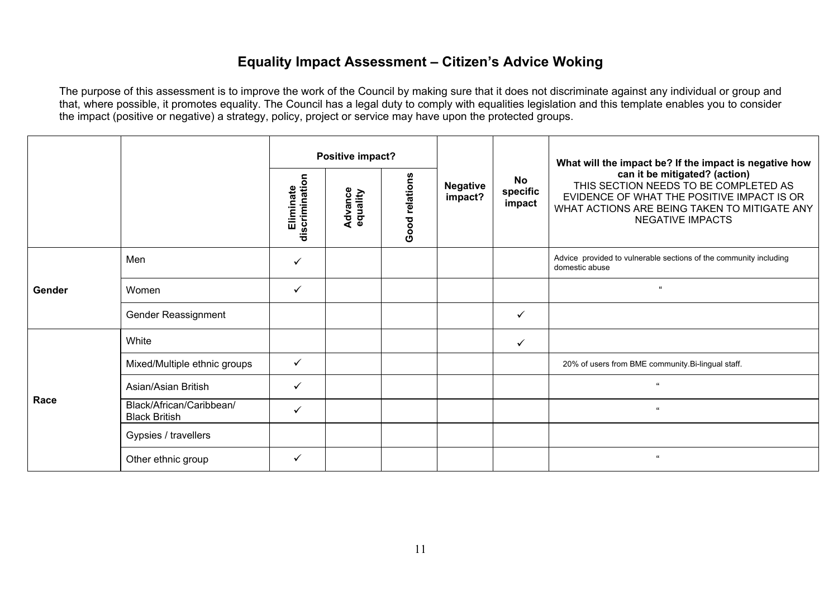#### **Equality Impact Assessment – Citizen's Advice Woking**

|        |                                                  |                                             | Positive impact?           |                |                            |                          | What will the impact be? If the impact is negative how                                                                                                                                          |
|--------|--------------------------------------------------|---------------------------------------------|----------------------------|----------------|----------------------------|--------------------------|-------------------------------------------------------------------------------------------------------------------------------------------------------------------------------------------------|
|        |                                                  | $\overline{5}$<br>Eliminate<br>discriminati | <b>Advance</b><br>equality | Good relations | <b>Negative</b><br>impact? | No<br>specific<br>impact | can it be mitigated? (action)<br>THIS SECTION NEEDS TO BE COMPLETED AS<br>EVIDENCE OF WHAT THE POSITIVE IMPACT IS OR<br>WHAT ACTIONS ARE BEING TAKEN TO MITIGATE ANY<br><b>NEGATIVE IMPACTS</b> |
|        | Men                                              | ✓                                           |                            |                |                            |                          | Advice provided to vulnerable sections of the community including<br>domestic abuse                                                                                                             |
| Gender | Women                                            | $\checkmark$                                |                            |                |                            |                          | $\alpha$                                                                                                                                                                                        |
|        | Gender Reassignment                              |                                             |                            |                |                            | $\checkmark$             |                                                                                                                                                                                                 |
|        | White                                            |                                             |                            |                |                            | $\checkmark$             |                                                                                                                                                                                                 |
|        | Mixed/Multiple ethnic groups                     | ✓                                           |                            |                |                            |                          | 20% of users from BME community.Bi-lingual staff.                                                                                                                                               |
|        | Asian/Asian British                              | $\checkmark$                                |                            |                |                            |                          | $\alpha$                                                                                                                                                                                        |
| Race   | Black/African/Caribbean/<br><b>Black British</b> | ✓                                           |                            |                |                            |                          | $\epsilon$                                                                                                                                                                                      |
|        | Gypsies / travellers                             |                                             |                            |                |                            |                          |                                                                                                                                                                                                 |
|        | Other ethnic group                               | ✓                                           |                            |                |                            |                          | $\epsilon$                                                                                                                                                                                      |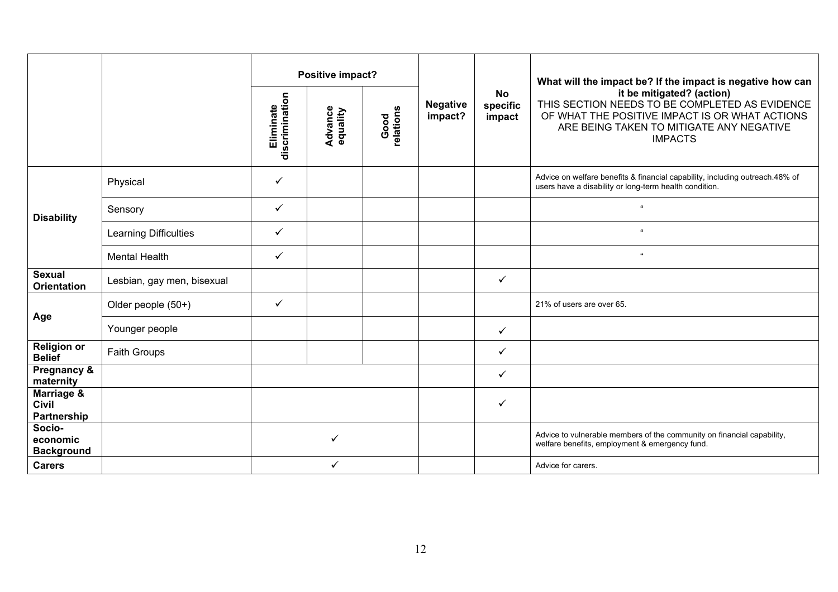|                                           |                            |                             | Positive impact?           |                   |                            |                                 | What will the impact be? If the impact is negative how can<br>it be mitigated? (action)<br>THIS SECTION NEEDS TO BE COMPLETED AS EVIDENCE<br>OF WHAT THE POSITIVE IMPACT IS OR WHAT ACTIONS<br>ARE BEING TAKEN TO MITIGATE ANY NEGATIVE<br><b>IMPACTS</b> |
|-------------------------------------------|----------------------------|-----------------------------|----------------------------|-------------------|----------------------------|---------------------------------|-----------------------------------------------------------------------------------------------------------------------------------------------------------------------------------------------------------------------------------------------------------|
|                                           |                            | Eliminate<br>discrimination | <b>Advance</b><br>equality | Good<br>relations | <b>Negative</b><br>impact? | <b>No</b><br>specific<br>impact |                                                                                                                                                                                                                                                           |
|                                           | Physical                   | $\checkmark$                |                            |                   |                            |                                 | Advice on welfare benefits & financial capability, including outreach.48% of<br>users have a disability or long-term health condition.                                                                                                                    |
| <b>Disability</b>                         | Sensory                    | $\checkmark$                |                            |                   |                            |                                 | $\alpha$                                                                                                                                                                                                                                                  |
|                                           | Learning Difficulties      | $\checkmark$                |                            |                   |                            |                                 | $\alpha$                                                                                                                                                                                                                                                  |
|                                           | <b>Mental Health</b>       | $\checkmark$                |                            |                   |                            |                                 | $\alpha$                                                                                                                                                                                                                                                  |
| <b>Sexual</b><br><b>Orientation</b>       | Lesbian, gay men, bisexual |                             |                            |                   |                            | ✓                               |                                                                                                                                                                                                                                                           |
|                                           | Older people (50+)         | $\checkmark$                |                            |                   |                            |                                 | 21% of users are over 65.                                                                                                                                                                                                                                 |
| Age                                       | Younger people             |                             |                            |                   |                            | ✓                               |                                                                                                                                                                                                                                                           |
| <b>Religion or</b><br><b>Belief</b>       | <b>Faith Groups</b>        |                             |                            |                   |                            | ✓                               |                                                                                                                                                                                                                                                           |
| Pregnancy &<br>maternity                  |                            |                             |                            |                   |                            | $\checkmark$                    |                                                                                                                                                                                                                                                           |
| Marriage &<br><b>Civil</b><br>Partnership |                            |                             |                            |                   |                            | ✓                               |                                                                                                                                                                                                                                                           |
| Socio-<br>economic<br><b>Background</b>   |                            |                             | ✓                          |                   |                            |                                 | Advice to vulnerable members of the community on financial capability,<br>welfare benefits, employment & emergency fund.                                                                                                                                  |
| <b>Carers</b>                             |                            |                             | ✓                          |                   |                            |                                 | Advice for carers.                                                                                                                                                                                                                                        |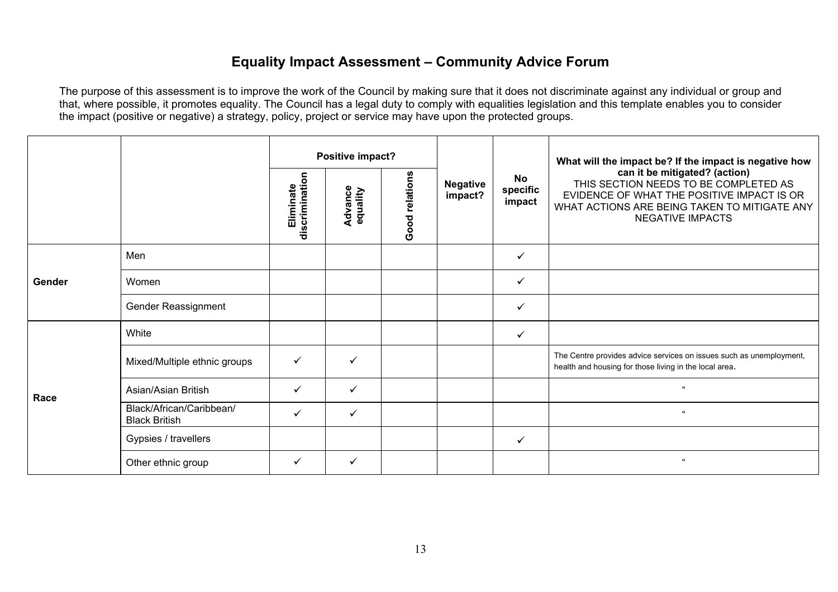### **Equality Impact Assessment – Community Advice Forum**

|        |                                                  |                             | Positive impact?    |                |                            |                                 | What will the impact be? If the impact is negative how                                                                                                                                          |
|--------|--------------------------------------------------|-----------------------------|---------------------|----------------|----------------------------|---------------------------------|-------------------------------------------------------------------------------------------------------------------------------------------------------------------------------------------------|
|        |                                                  | discrimination<br>Eliminate | Advance<br>equality | Good relations | <b>Negative</b><br>impact? | <b>No</b><br>specific<br>impact | can it be mitigated? (action)<br>THIS SECTION NEEDS TO BE COMPLETED AS<br>EVIDENCE OF WHAT THE POSITIVE IMPACT IS OR<br>WHAT ACTIONS ARE BEING TAKEN TO MITIGATE ANY<br><b>NEGATIVE IMPACTS</b> |
|        | Men                                              |                             |                     |                |                            | ✓                               |                                                                                                                                                                                                 |
| Gender | Women                                            |                             |                     |                |                            | $\checkmark$                    |                                                                                                                                                                                                 |
|        | <b>Gender Reassignment</b>                       |                             |                     |                |                            | $\checkmark$                    |                                                                                                                                                                                                 |
|        | White                                            |                             |                     |                |                            | $\checkmark$                    |                                                                                                                                                                                                 |
|        | Mixed/Multiple ethnic groups                     | $\checkmark$                | ✓                   |                |                            |                                 | The Centre provides advice services on issues such as unemployment,<br>health and housing for those living in the local area.                                                                   |
| Race   | Asian/Asian British                              | $\checkmark$                | $\checkmark$        |                |                            |                                 | $\alpha$                                                                                                                                                                                        |
|        | Black/African/Caribbean/<br><b>Black British</b> | ✓                           | ✓                   |                |                            |                                 | $\epsilon\epsilon$                                                                                                                                                                              |
|        | Gypsies / travellers                             |                             |                     |                |                            | $\checkmark$                    |                                                                                                                                                                                                 |
|        | Other ethnic group                               | $\checkmark$                | ✓                   |                |                            |                                 | $\epsilon\epsilon$                                                                                                                                                                              |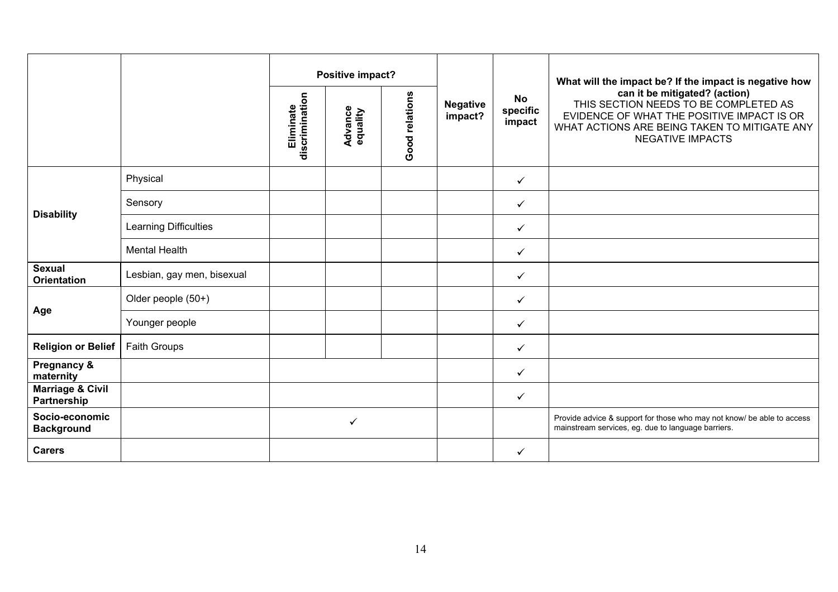|                                            |                            |                             | Positive impact?           |                |                            |                                 | What will the impact be? If the impact is negative how                                                                                                                                          |
|--------------------------------------------|----------------------------|-----------------------------|----------------------------|----------------|----------------------------|---------------------------------|-------------------------------------------------------------------------------------------------------------------------------------------------------------------------------------------------|
|                                            |                            | discrimination<br>Eliminate | <b>Advance</b><br>equality | Good relations | <b>Negative</b><br>impact? | <b>No</b><br>specific<br>impact | can it be mitigated? (action)<br>THIS SECTION NEEDS TO BE COMPLETED AS<br>EVIDENCE OF WHAT THE POSITIVE IMPACT IS OR<br>WHAT ACTIONS ARE BEING TAKEN TO MITIGATE ANY<br><b>NEGATIVE IMPACTS</b> |
|                                            | Physical                   |                             |                            |                |                            | $\checkmark$                    |                                                                                                                                                                                                 |
|                                            | Sensory                    |                             |                            |                |                            | $\checkmark$                    |                                                                                                                                                                                                 |
| <b>Disability</b>                          | Learning Difficulties      |                             |                            |                |                            | $\checkmark$                    |                                                                                                                                                                                                 |
|                                            | <b>Mental Health</b>       |                             |                            |                |                            | $\checkmark$                    |                                                                                                                                                                                                 |
| <b>Sexual</b><br><b>Orientation</b>        | Lesbian, gay men, bisexual |                             |                            |                |                            | $\checkmark$                    |                                                                                                                                                                                                 |
|                                            | Older people (50+)         |                             |                            |                |                            | $\checkmark$                    |                                                                                                                                                                                                 |
| Age                                        | Younger people             |                             |                            |                |                            | $\checkmark$                    |                                                                                                                                                                                                 |
| <b>Religion or Belief</b>                  | Faith Groups               |                             |                            |                |                            | $\checkmark$                    |                                                                                                                                                                                                 |
| Pregnancy &<br>maternity                   |                            |                             |                            |                |                            | $\checkmark$                    |                                                                                                                                                                                                 |
| <b>Marriage &amp; Civil</b><br>Partnership |                            |                             |                            |                |                            | $\checkmark$                    |                                                                                                                                                                                                 |
| Socio-economic<br><b>Background</b>        |                            |                             | ✓                          |                |                            |                                 | Provide advice & support for those who may not know/ be able to access<br>mainstream services, eg. due to language barriers.                                                                    |
| <b>Carers</b>                              |                            |                             |                            |                |                            | $\checkmark$                    |                                                                                                                                                                                                 |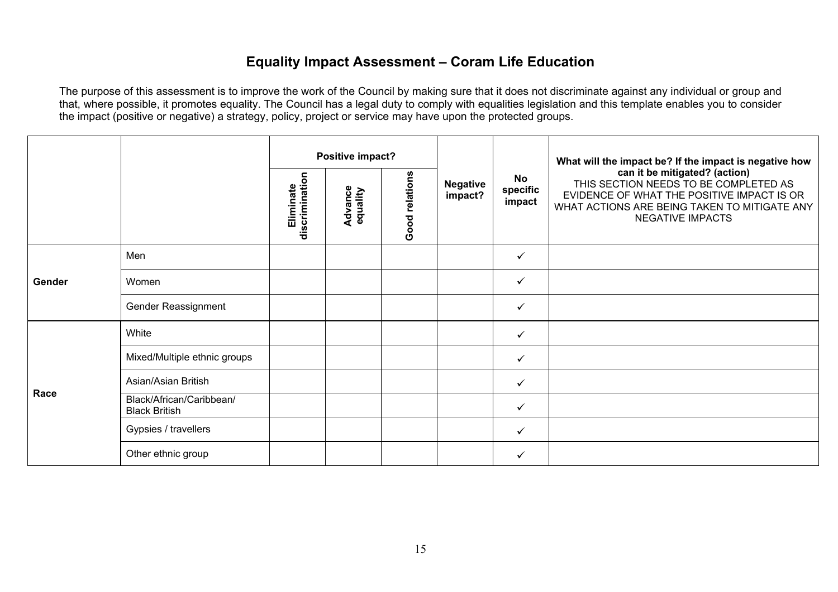# **Equality Impact Assessment – Coram Life Education**

|        |                                                  |                             | Positive impact?           |                |                            |                          | What will the impact be? If the impact is negative how<br>can it be mitigated? (action)<br>THIS SECTION NEEDS TO BE COMPLETED AS<br>EVIDENCE OF WHAT THE POSITIVE IMPACT IS OR<br>WHAT ACTIONS ARE BEING TAKEN TO MITIGATE ANY<br><b>NEGATIVE IMPACTS</b> |
|--------|--------------------------------------------------|-----------------------------|----------------------------|----------------|----------------------------|--------------------------|-----------------------------------------------------------------------------------------------------------------------------------------------------------------------------------------------------------------------------------------------------------|
|        |                                                  | Eliminate<br>discrimination | <b>Advance</b><br>equality | Good relations | <b>Negative</b><br>impact? | No<br>specific<br>impact |                                                                                                                                                                                                                                                           |
|        | Men                                              |                             |                            |                |                            | $\checkmark$             |                                                                                                                                                                                                                                                           |
| Gender | Women                                            |                             |                            |                |                            | $\checkmark$             |                                                                                                                                                                                                                                                           |
|        | Gender Reassignment                              |                             |                            |                |                            | $\checkmark$             |                                                                                                                                                                                                                                                           |
|        | White                                            |                             |                            |                |                            | $\checkmark$             |                                                                                                                                                                                                                                                           |
|        | Mixed/Multiple ethnic groups                     |                             |                            |                |                            | $\checkmark$             |                                                                                                                                                                                                                                                           |
| Race   | Asian/Asian British                              |                             |                            |                |                            | $\checkmark$             |                                                                                                                                                                                                                                                           |
|        | Black/African/Caribbean/<br><b>Black British</b> |                             |                            |                |                            | $\checkmark$             |                                                                                                                                                                                                                                                           |
|        | Gypsies / travellers                             |                             |                            |                |                            | $\checkmark$             |                                                                                                                                                                                                                                                           |
|        | Other ethnic group                               |                             |                            |                |                            | $\checkmark$             |                                                                                                                                                                                                                                                           |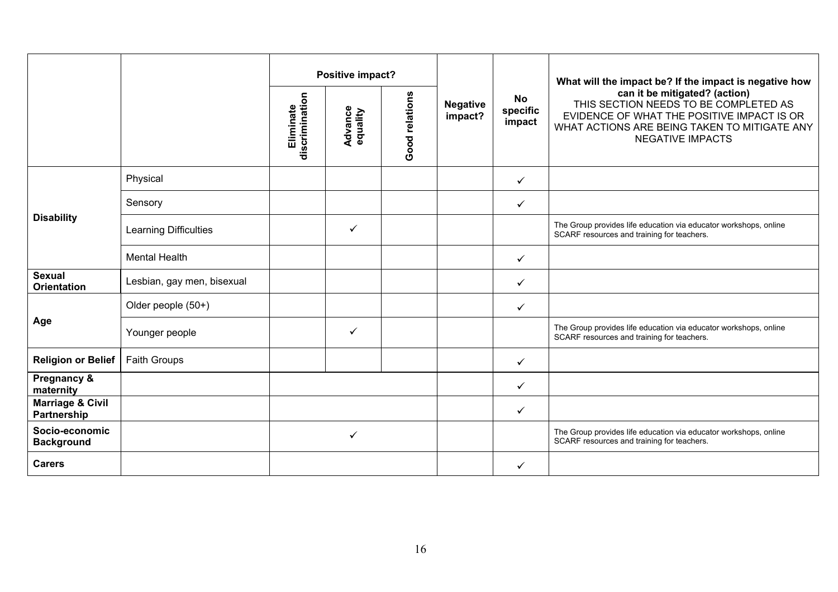|                                            | Positive impact?           |                                                                             |              |                            | What will the impact be? If the impact is negative how |                                                                                                                                                                                                 |                                                                                                                |
|--------------------------------------------|----------------------------|-----------------------------------------------------------------------------|--------------|----------------------------|--------------------------------------------------------|-------------------------------------------------------------------------------------------------------------------------------------------------------------------------------------------------|----------------------------------------------------------------------------------------------------------------|
|                                            |                            | Good relations<br>discrimination<br>Eliminate<br><b>Advance</b><br>equality |              | <b>Negative</b><br>impact? | <b>No</b><br>specific<br>impact                        | can it be mitigated? (action)<br>THIS SECTION NEEDS TO BE COMPLETED AS<br>EVIDENCE OF WHAT THE POSITIVE IMPACT IS OR<br>WHAT ACTIONS ARE BEING TAKEN TO MITIGATE ANY<br><b>NEGATIVE IMPACTS</b> |                                                                                                                |
|                                            | Physical                   |                                                                             |              |                            |                                                        | ✓                                                                                                                                                                                               |                                                                                                                |
|                                            | Sensory                    |                                                                             |              |                            |                                                        | ✓                                                                                                                                                                                               |                                                                                                                |
| <b>Disability</b>                          | Learning Difficulties      |                                                                             | $\checkmark$ |                            |                                                        |                                                                                                                                                                                                 | The Group provides life education via educator workshops, online<br>SCARF resources and training for teachers. |
|                                            | <b>Mental Health</b>       |                                                                             |              |                            |                                                        | ✓                                                                                                                                                                                               |                                                                                                                |
| <b>Sexual</b><br><b>Orientation</b>        | Lesbian, gay men, bisexual |                                                                             |              |                            |                                                        | ✓                                                                                                                                                                                               |                                                                                                                |
|                                            | Older people (50+)         |                                                                             |              |                            |                                                        | ✓                                                                                                                                                                                               |                                                                                                                |
| Age                                        | Younger people             |                                                                             | $\checkmark$ |                            |                                                        |                                                                                                                                                                                                 | The Group provides life education via educator workshops, online<br>SCARF resources and training for teachers. |
| <b>Religion or Belief</b>                  | <b>Faith Groups</b>        |                                                                             |              |                            |                                                        | ✓                                                                                                                                                                                               |                                                                                                                |
| Pregnancy &<br>maternity                   |                            |                                                                             |              |                            |                                                        | ✓                                                                                                                                                                                               |                                                                                                                |
| <b>Marriage &amp; Civil</b><br>Partnership |                            |                                                                             |              |                            |                                                        | ✓                                                                                                                                                                                               |                                                                                                                |
| Socio-economic<br><b>Background</b>        |                            |                                                                             | ✓            |                            |                                                        |                                                                                                                                                                                                 | The Group provides life education via educator workshops, online<br>SCARF resources and training for teachers. |
| <b>Carers</b>                              |                            |                                                                             |              |                            |                                                        | $\checkmark$                                                                                                                                                                                    |                                                                                                                |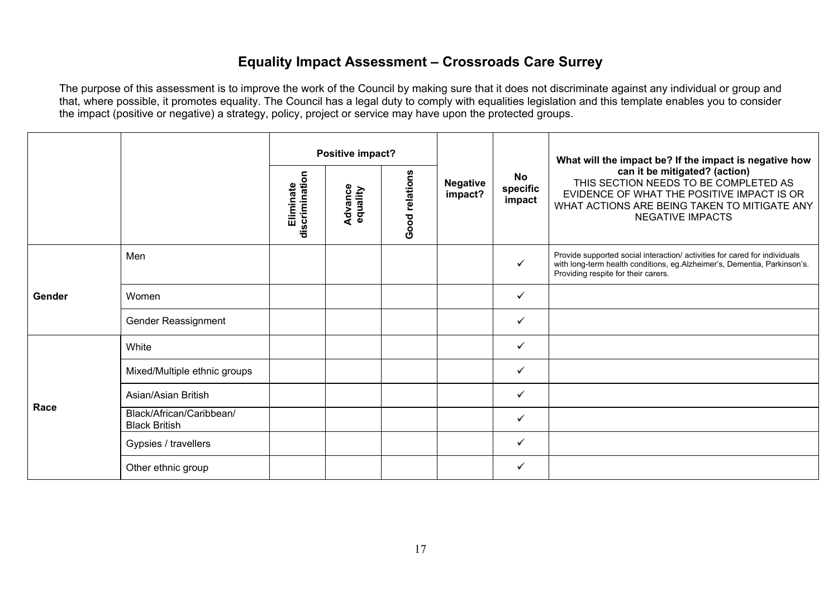### **Equality Impact Assessment – Crossroads Care Surrey**

|        |                                                  | Positive impact?                        |                            |                |                            |                          | What will the impact be? If the impact is negative how                                                                                                                                          |
|--------|--------------------------------------------------|-----------------------------------------|----------------------------|----------------|----------------------------|--------------------------|-------------------------------------------------------------------------------------------------------------------------------------------------------------------------------------------------|
|        |                                                  | $\epsilon$<br>discriminati<br>Eliminate | <b>Advance</b><br>equality | Good relations | <b>Negative</b><br>impact? | No<br>specific<br>impact | can it be mitigated? (action)<br>THIS SECTION NEEDS TO BE COMPLETED AS<br>EVIDENCE OF WHAT THE POSITIVE IMPACT IS OR<br>WHAT ACTIONS ARE BEING TAKEN TO MITIGATE ANY<br><b>NEGATIVE IMPACTS</b> |
|        | Men                                              |                                         |                            |                |                            | $\checkmark$             | Provide supported social interaction/ activities for cared for individuals<br>with long-term health conditions, eg.Alzheimer's, Dementia, Parkinson's.<br>Providing respite for their carers.   |
| Gender | Women                                            |                                         |                            |                |                            | $\checkmark$             |                                                                                                                                                                                                 |
|        | Gender Reassignment                              |                                         |                            |                |                            | ✓                        |                                                                                                                                                                                                 |
|        | White                                            |                                         |                            |                |                            | $\checkmark$             |                                                                                                                                                                                                 |
|        | Mixed/Multiple ethnic groups                     |                                         |                            |                |                            | ✓                        |                                                                                                                                                                                                 |
| Race   | Asian/Asian British                              |                                         |                            |                |                            | $\checkmark$             |                                                                                                                                                                                                 |
|        | Black/African/Caribbean/<br><b>Black British</b> |                                         |                            |                |                            | $\checkmark$             |                                                                                                                                                                                                 |
|        | Gypsies / travellers                             |                                         |                            |                |                            | $\checkmark$             |                                                                                                                                                                                                 |
|        | Other ethnic group                               |                                         |                            |                |                            | ✓                        |                                                                                                                                                                                                 |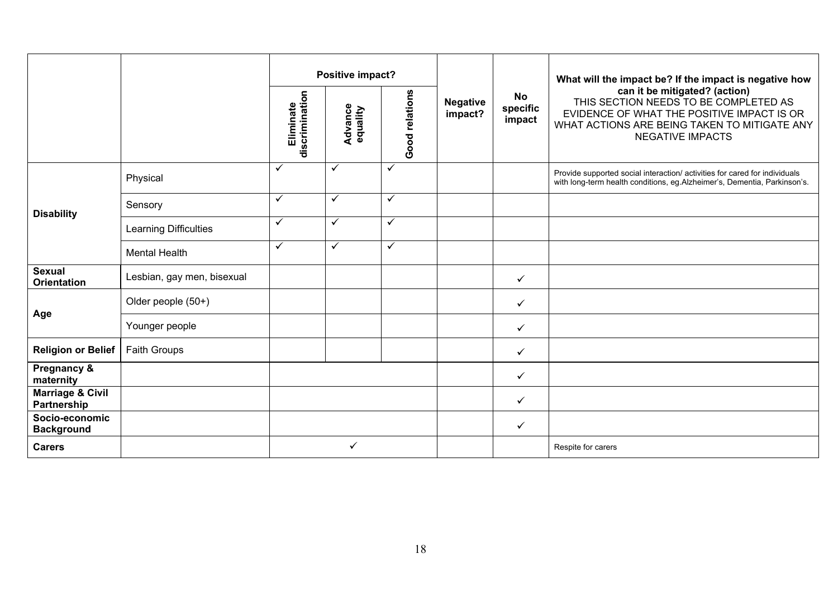|                                            |                            |                             | Positive impact?           |                |                            |                                 | What will the impact be? If the impact is negative how<br>can it be mitigated? (action)<br>THIS SECTION NEEDS TO BE COMPLETED AS<br>EVIDENCE OF WHAT THE POSITIVE IMPACT IS OR<br>WHAT ACTIONS ARE BEING TAKEN TO MITIGATE ANY<br><b>NEGATIVE IMPACTS</b> |
|--------------------------------------------|----------------------------|-----------------------------|----------------------------|----------------|----------------------------|---------------------------------|-----------------------------------------------------------------------------------------------------------------------------------------------------------------------------------------------------------------------------------------------------------|
|                                            |                            | discrimination<br>Eliminate | <b>Advance</b><br>equality | Good relations | <b>Negative</b><br>impact? | <b>No</b><br>specific<br>impact |                                                                                                                                                                                                                                                           |
|                                            | Physical                   | ✓                           | ✓                          | $\checkmark$   |                            |                                 | Provide supported social interaction/ activities for cared for individuals<br>with long-term health conditions, eg.Alzheimer's, Dementia, Parkinson's.                                                                                                    |
| <b>Disability</b>                          | Sensory                    | ✓                           | ✓                          | $\checkmark$   |                            |                                 |                                                                                                                                                                                                                                                           |
|                                            | Learning Difficulties      | ✓                           | ✓                          | $\checkmark$   |                            |                                 |                                                                                                                                                                                                                                                           |
|                                            | <b>Mental Health</b>       | ✓                           | ✓                          | $\checkmark$   |                            |                                 |                                                                                                                                                                                                                                                           |
| <b>Sexual</b><br><b>Orientation</b>        | Lesbian, gay men, bisexual |                             |                            |                |                            | $\checkmark$                    |                                                                                                                                                                                                                                                           |
|                                            | Older people (50+)         |                             |                            |                |                            | $\checkmark$                    |                                                                                                                                                                                                                                                           |
| Age                                        | Younger people             |                             |                            |                |                            | $\checkmark$                    |                                                                                                                                                                                                                                                           |
| <b>Religion or Belief</b>                  | <b>Faith Groups</b>        |                             |                            |                |                            | $\checkmark$                    |                                                                                                                                                                                                                                                           |
| Pregnancy &<br>maternity                   |                            |                             |                            |                |                            | $\checkmark$                    |                                                                                                                                                                                                                                                           |
| <b>Marriage &amp; Civil</b><br>Partnership |                            |                             |                            |                |                            | $\checkmark$                    |                                                                                                                                                                                                                                                           |
| Socio-economic<br><b>Background</b>        |                            |                             |                            |                |                            | $\checkmark$                    |                                                                                                                                                                                                                                                           |
| <b>Carers</b>                              |                            |                             | ✓                          |                |                            |                                 | Respite for carers                                                                                                                                                                                                                                        |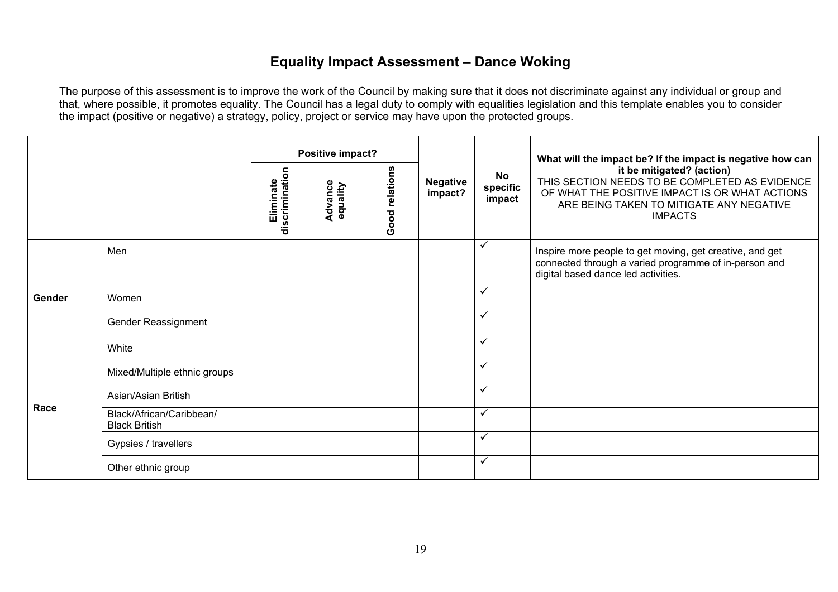# **Equality Impact Assessment – Dance Woking**

|        |                                                  |                             | Positive impact?    |                |                            |                          | What will the impact be? If the impact is negative how can<br>it be mitigated? (action)<br>THIS SECTION NEEDS TO BE COMPLETED AS EVIDENCE<br>OF WHAT THE POSITIVE IMPACT IS OR WHAT ACTIONS<br>ARE BEING TAKEN TO MITIGATE ANY NEGATIVE<br><b>IMPACTS</b> |
|--------|--------------------------------------------------|-----------------------------|---------------------|----------------|----------------------------|--------------------------|-----------------------------------------------------------------------------------------------------------------------------------------------------------------------------------------------------------------------------------------------------------|
|        |                                                  | discrimination<br>Eliminate | Advance<br>equality | Good relations | <b>Negative</b><br>impact? | No<br>specific<br>impact |                                                                                                                                                                                                                                                           |
|        | Men                                              |                             |                     |                |                            | $\checkmark$             | Inspire more people to get moving, get creative, and get<br>connected through a varied programme of in-person and<br>digital based dance led activities.                                                                                                  |
| Gender | Women                                            |                             |                     |                |                            | $\checkmark$             |                                                                                                                                                                                                                                                           |
|        | Gender Reassignment                              |                             |                     |                |                            | $\checkmark$             |                                                                                                                                                                                                                                                           |
|        | White                                            |                             |                     |                |                            | $\checkmark$             |                                                                                                                                                                                                                                                           |
|        | Mixed/Multiple ethnic groups                     |                             |                     |                |                            | $\checkmark$             |                                                                                                                                                                                                                                                           |
|        | Asian/Asian British                              |                             |                     |                |                            | $\checkmark$             |                                                                                                                                                                                                                                                           |
| Race   | Black/African/Caribbean/<br><b>Black British</b> |                             |                     |                |                            | $\checkmark$             |                                                                                                                                                                                                                                                           |
|        | Gypsies / travellers                             |                             |                     |                |                            | $\checkmark$             |                                                                                                                                                                                                                                                           |
|        | Other ethnic group                               |                             |                     |                |                            | $\checkmark$             |                                                                                                                                                                                                                                                           |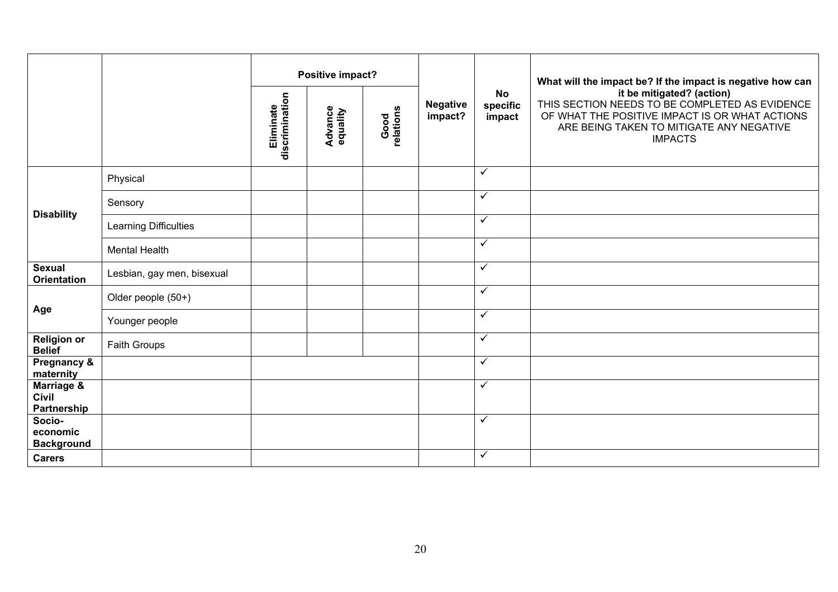|                                           |                            |                             | Positive impact?           |                   |                            |                                 | What will the impact be? If the impact is negative how can<br>it be mitigated? (action)<br>THIS SECTION NEEDS TO BE COMPLETED AS EVIDENCE<br>OF WHAT THE POSITIVE IMPACT IS OR WHAT ACTIONS<br>ARE BEING TAKEN TO MITIGATE ANY NEGATIVE<br><b>IMPACTS</b> |
|-------------------------------------------|----------------------------|-----------------------------|----------------------------|-------------------|----------------------------|---------------------------------|-----------------------------------------------------------------------------------------------------------------------------------------------------------------------------------------------------------------------------------------------------------|
|                                           |                            | discrimination<br>Eliminate | <b>Advance</b><br>equality | Good<br>relations | <b>Negative</b><br>impact? | <b>No</b><br>specific<br>impact |                                                                                                                                                                                                                                                           |
|                                           | Physical                   |                             |                            |                   |                            | $\checkmark$                    |                                                                                                                                                                                                                                                           |
|                                           | Sensory                    |                             |                            |                   |                            | $\checkmark$                    |                                                                                                                                                                                                                                                           |
| <b>Disability</b>                         | Learning Difficulties      |                             |                            |                   |                            | $\checkmark$                    |                                                                                                                                                                                                                                                           |
|                                           | <b>Mental Health</b>       |                             |                            |                   |                            | $\checkmark$                    |                                                                                                                                                                                                                                                           |
| <b>Sexual</b><br><b>Orientation</b>       | Lesbian, gay men, bisexual |                             |                            |                   |                            | $\checkmark$                    |                                                                                                                                                                                                                                                           |
|                                           | Older people (50+)         |                             |                            |                   |                            | $\checkmark$                    |                                                                                                                                                                                                                                                           |
| Age                                       | Younger people             |                             |                            |                   |                            | $\checkmark$                    |                                                                                                                                                                                                                                                           |
| <b>Religion or</b><br><b>Belief</b>       | Faith Groups               |                             |                            |                   |                            | $\overline{\checkmark}$         |                                                                                                                                                                                                                                                           |
| Pregnancy &<br>maternity                  |                            |                             |                            |                   |                            | $\checkmark$                    |                                                                                                                                                                                                                                                           |
| Marriage &<br><b>Civil</b><br>Partnership |                            |                             |                            |                   |                            | $\checkmark$                    |                                                                                                                                                                                                                                                           |
| Socio-<br>economic<br><b>Background</b>   |                            |                             |                            |                   |                            | $\checkmark$                    |                                                                                                                                                                                                                                                           |
| <b>Carers</b>                             |                            |                             |                            |                   |                            | $\checkmark$                    |                                                                                                                                                                                                                                                           |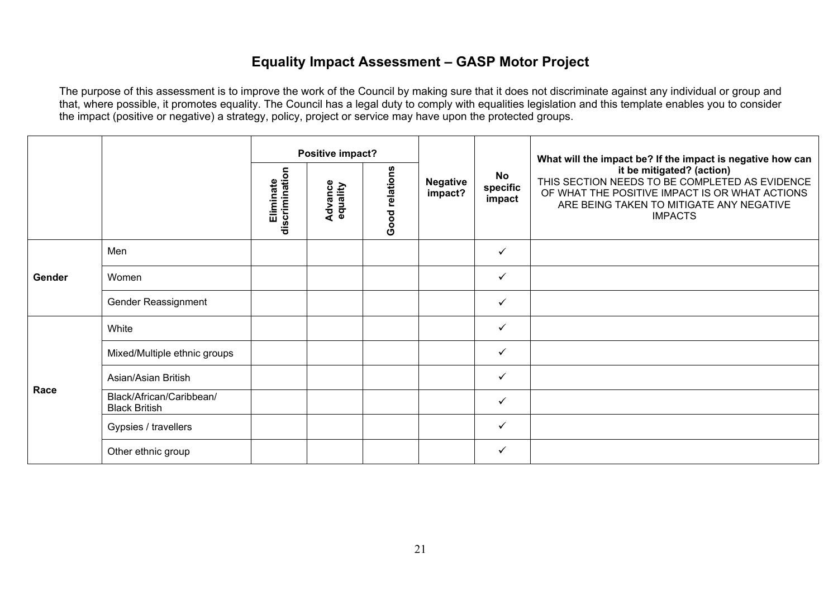# **Equality Impact Assessment – GASP Motor Project**

|        |                                                  |                             | Positive impact?    |                |                            |                                 | What will the impact be? If the impact is negative how can<br>it be mitigated? (action)<br>THIS SECTION NEEDS TO BE COMPLETED AS EVIDENCE<br>OF WHAT THE POSITIVE IMPACT IS OR WHAT ACTIONS<br>ARE BEING TAKEN TO MITIGATE ANY NEGATIVE<br><b>IMPACTS</b> |
|--------|--------------------------------------------------|-----------------------------|---------------------|----------------|----------------------------|---------------------------------|-----------------------------------------------------------------------------------------------------------------------------------------------------------------------------------------------------------------------------------------------------------|
|        |                                                  | discrimination<br>Eliminate | Advance<br>equality | Good relations | <b>Negative</b><br>impact? | <b>No</b><br>specific<br>impact |                                                                                                                                                                                                                                                           |
|        | Men                                              |                             |                     |                |                            | ✓                               |                                                                                                                                                                                                                                                           |
| Gender | Women                                            |                             |                     |                |                            | ✓                               |                                                                                                                                                                                                                                                           |
|        | Gender Reassignment                              |                             |                     |                |                            | $\checkmark$                    |                                                                                                                                                                                                                                                           |
|        | White                                            |                             |                     |                |                            | $\checkmark$                    |                                                                                                                                                                                                                                                           |
|        | Mixed/Multiple ethnic groups                     |                             |                     |                |                            | ✓                               |                                                                                                                                                                                                                                                           |
| Race   | Asian/Asian British                              |                             |                     |                |                            | ✓                               |                                                                                                                                                                                                                                                           |
|        | Black/African/Caribbean/<br><b>Black British</b> |                             |                     |                |                            | $\checkmark$                    |                                                                                                                                                                                                                                                           |
|        | Gypsies / travellers                             |                             |                     |                |                            | ✓                               |                                                                                                                                                                                                                                                           |
|        | Other ethnic group                               |                             |                     |                |                            | $\checkmark$                    |                                                                                                                                                                                                                                                           |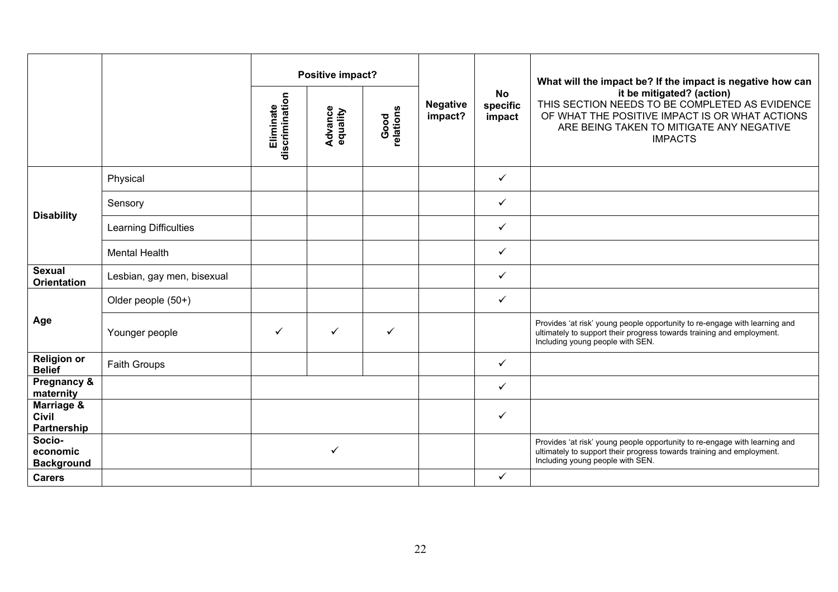|                                           |                              |                             | Positive impact?           |                   |                            |                                 | What will the impact be? If the impact is negative how can                                                                                                                                  |
|-------------------------------------------|------------------------------|-----------------------------|----------------------------|-------------------|----------------------------|---------------------------------|---------------------------------------------------------------------------------------------------------------------------------------------------------------------------------------------|
|                                           |                              | discrimination<br>Eliminate | <b>Advance</b><br>equality | Good<br>relations | <b>Negative</b><br>impact? | <b>No</b><br>specific<br>impact | it be mitigated? (action)<br>THIS SECTION NEEDS TO BE COMPLETED AS EVIDENCE<br>OF WHAT THE POSITIVE IMPACT IS OR WHAT ACTIONS<br>ARE BEING TAKEN TO MITIGATE ANY NEGATIVE<br><b>IMPACTS</b> |
|                                           | Physical                     |                             |                            |                   |                            | ✓                               |                                                                                                                                                                                             |
|                                           | Sensory                      |                             |                            |                   |                            | $\checkmark$                    |                                                                                                                                                                                             |
| <b>Disability</b>                         | <b>Learning Difficulties</b> |                             |                            |                   |                            | ✓                               |                                                                                                                                                                                             |
|                                           | <b>Mental Health</b>         |                             |                            |                   |                            | ✓                               |                                                                                                                                                                                             |
| <b>Sexual</b><br><b>Orientation</b>       | Lesbian, gay men, bisexual   |                             |                            |                   |                            | ✓                               |                                                                                                                                                                                             |
|                                           | Older people (50+)           |                             |                            |                   |                            | ✓                               |                                                                                                                                                                                             |
| Age                                       | Younger people               | ✓                           | ✓                          | ✓                 |                            |                                 | Provides 'at risk' young people opportunity to re-engage with learning and<br>ultimately to support their progress towards training and employment.<br>Including young people with SEN.     |
| <b>Religion or</b><br><b>Belief</b>       | Faith Groups                 |                             |                            |                   |                            | ✓                               |                                                                                                                                                                                             |
| Pregnancy &<br>maternity                  |                              |                             |                            |                   |                            | ✓                               |                                                                                                                                                                                             |
| Marriage &<br><b>Civil</b><br>Partnership |                              |                             |                            |                   |                            | ✓                               |                                                                                                                                                                                             |
| Socio-<br>economic<br><b>Background</b>   |                              |                             | ✓                          |                   |                            |                                 | Provides 'at risk' young people opportunity to re-engage with learning and<br>ultimately to support their progress towards training and employment.<br>Including young people with SEN.     |
| <b>Carers</b>                             |                              |                             |                            |                   |                            | ✓                               |                                                                                                                                                                                             |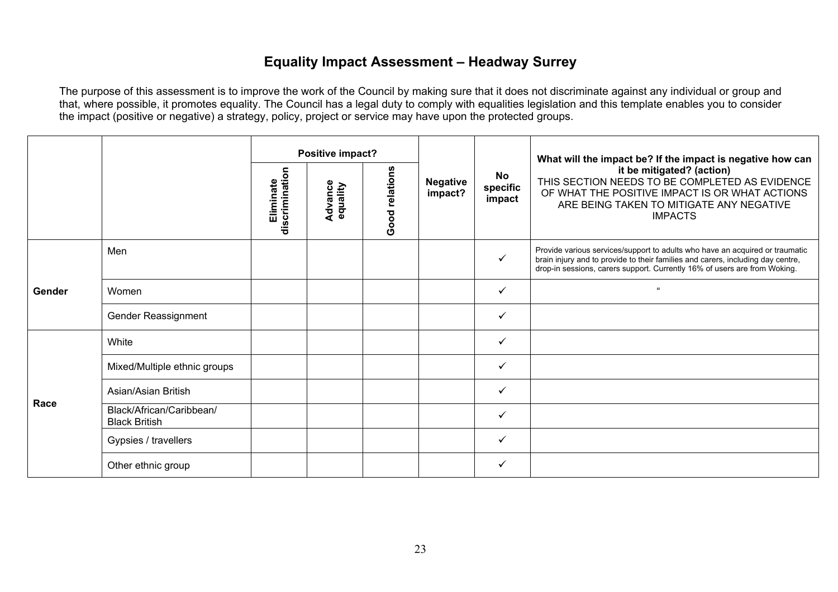# **Equality Impact Assessment – Headway Surrey**

|        |                                                  |                             | Positive impact?           |                |                            |                          | What will the impact be? If the impact is negative how can<br>it be mitigated? (action)<br>THIS SECTION NEEDS TO BE COMPLETED AS EVIDENCE<br>OF WHAT THE POSITIVE IMPACT IS OR WHAT ACTIONS<br>ARE BEING TAKEN TO MITIGATE ANY NEGATIVE<br><b>IMPACTS</b> |
|--------|--------------------------------------------------|-----------------------------|----------------------------|----------------|----------------------------|--------------------------|-----------------------------------------------------------------------------------------------------------------------------------------------------------------------------------------------------------------------------------------------------------|
|        |                                                  | discrimination<br>Eliminate | <b>Advance</b><br>equality | Good relations | <b>Negative</b><br>impact? | No<br>specific<br>impact |                                                                                                                                                                                                                                                           |
|        | Men                                              |                             |                            |                |                            | $\checkmark$             | Provide various services/support to adults who have an acquired or traumatic<br>brain injury and to provide to their families and carers, including day centre,<br>drop-in sessions, carers support. Currently 16% of users are from Woking.              |
| Gender | Women                                            |                             |                            |                |                            | $\checkmark$             | $\epsilon\epsilon$                                                                                                                                                                                                                                        |
|        | Gender Reassignment                              |                             |                            |                |                            | ✓                        |                                                                                                                                                                                                                                                           |
|        | White                                            |                             |                            |                |                            | ✓                        |                                                                                                                                                                                                                                                           |
|        | Mixed/Multiple ethnic groups                     |                             |                            |                |                            | $\checkmark$             |                                                                                                                                                                                                                                                           |
| Race   | Asian/Asian British                              |                             |                            |                |                            | $\checkmark$             |                                                                                                                                                                                                                                                           |
|        | Black/African/Caribbean/<br><b>Black British</b> |                             |                            |                |                            | $\checkmark$             |                                                                                                                                                                                                                                                           |
|        | Gypsies / travellers                             |                             |                            |                |                            | ✓                        |                                                                                                                                                                                                                                                           |
|        | Other ethnic group                               |                             |                            |                |                            | ✓                        |                                                                                                                                                                                                                                                           |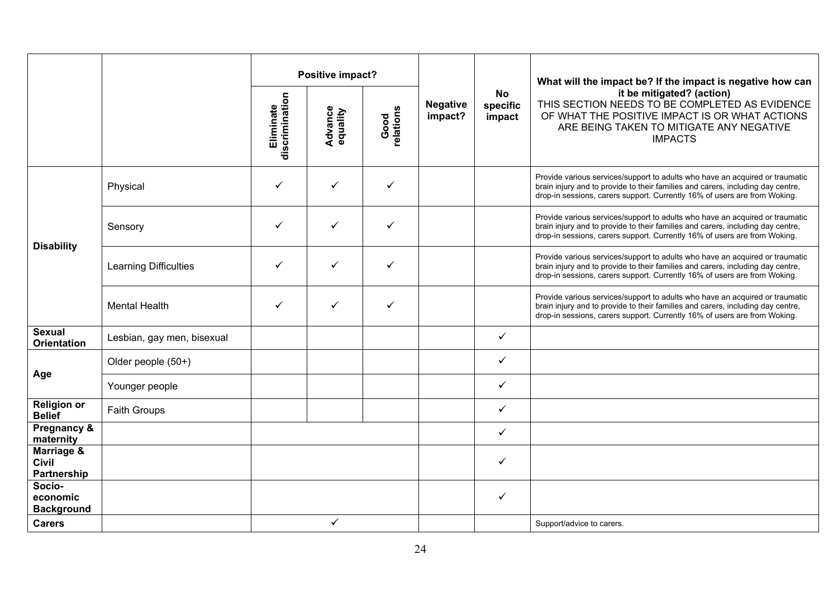|                                         |                            |                             | Positive impact?           |                   |                            |                                 | What will the impact be? If the impact is negative how can<br>it be mitigated? (action)<br>THIS SECTION NEEDS TO BE COMPLETED AS EVIDENCE<br>OF WHAT THE POSITIVE IMPACT IS OR WHAT ACTIONS<br>ARE BEING TAKEN TO MITIGATE ANY NEGATIVE<br><b>IMPACTS</b> |
|-----------------------------------------|----------------------------|-----------------------------|----------------------------|-------------------|----------------------------|---------------------------------|-----------------------------------------------------------------------------------------------------------------------------------------------------------------------------------------------------------------------------------------------------------|
|                                         |                            | discrimination<br>Eliminate | <b>Advance</b><br>equality | Good<br>relations | <b>Negative</b><br>impact? | <b>No</b><br>specific<br>impact |                                                                                                                                                                                                                                                           |
|                                         | Physical                   | ✓                           | ✓                          | ✓                 |                            |                                 | Provide various services/support to adults who have an acquired or traumatic<br>brain injury and to provide to their families and carers, including day centre,<br>drop-in sessions, carers support. Currently 16% of users are from Woking.              |
| <b>Disability</b>                       | Sensory                    | ✓                           | ✓                          | $\checkmark$      |                            |                                 | Provide various services/support to adults who have an acquired or traumatic<br>brain injury and to provide to their families and carers, including day centre,<br>drop-in sessions, carers support. Currently 16% of users are from Woking.              |
|                                         | Learning Difficulties      | ✓                           | ✓                          | $\checkmark$      |                            |                                 | Provide various services/support to adults who have an acquired or traumatic<br>brain injury and to provide to their families and carers, including day centre,<br>drop-in sessions, carers support. Currently 16% of users are from Woking.              |
|                                         | <b>Mental Health</b>       | ✓                           | ✓                          | ✓                 |                            |                                 | Provide various services/support to adults who have an acquired or traumatic<br>brain injury and to provide to their families and carers, including day centre,<br>drop-in sessions, carers support. Currently 16% of users are from Woking.              |
| <b>Sexual</b><br><b>Orientation</b>     | Lesbian, gay men, bisexual |                             |                            |                   |                            | ✓                               |                                                                                                                                                                                                                                                           |
|                                         | Older people (50+)         |                             |                            |                   |                            | $\checkmark$                    |                                                                                                                                                                                                                                                           |
| Age                                     | Younger people             |                             |                            |                   |                            | $\checkmark$                    |                                                                                                                                                                                                                                                           |
| <b>Religion or</b><br><b>Belief</b>     | Faith Groups               |                             |                            |                   |                            | $\checkmark$                    |                                                                                                                                                                                                                                                           |
| Pregnancy &<br>maternity                |                            |                             |                            |                   |                            | $\checkmark$                    |                                                                                                                                                                                                                                                           |
| Marriage &<br>Civil<br>Partnership      |                            |                             |                            |                   |                            | $\checkmark$                    |                                                                                                                                                                                                                                                           |
| Socio-<br>economic<br><b>Background</b> |                            |                             |                            |                   |                            | $\checkmark$                    |                                                                                                                                                                                                                                                           |
| <b>Carers</b>                           |                            |                             | ✓                          |                   |                            |                                 | Support/advice to carers.                                                                                                                                                                                                                                 |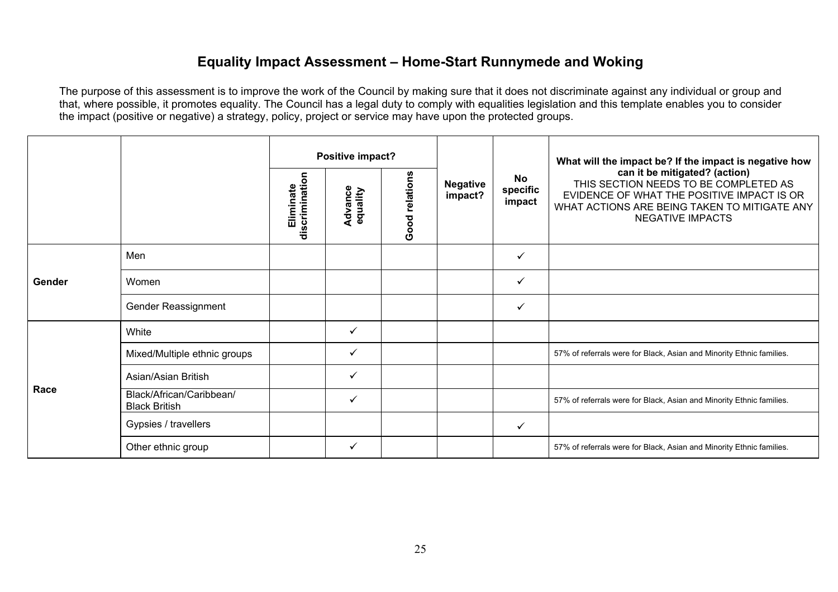#### **Equality Impact Assessment – Home-Start Runnymede and Woking**

|        |                                                  |                             | Positive impact?           |                |                            | <b>No</b><br>specific<br>impact | What will the impact be? If the impact is negative how<br>can it be mitigated? (action)<br>THIS SECTION NEEDS TO BE COMPLETED AS<br>EVIDENCE OF WHAT THE POSITIVE IMPACT IS OR<br>WHAT ACTIONS ARE BEING TAKEN TO MITIGATE ANY<br><b>NEGATIVE IMPACTS</b> |
|--------|--------------------------------------------------|-----------------------------|----------------------------|----------------|----------------------------|---------------------------------|-----------------------------------------------------------------------------------------------------------------------------------------------------------------------------------------------------------------------------------------------------------|
|        |                                                  | discrimination<br>Eliminate | <b>Advance</b><br>equality | Good relations | <b>Negative</b><br>impact? |                                 |                                                                                                                                                                                                                                                           |
| Gender | Men                                              |                             |                            |                |                            | ✓                               |                                                                                                                                                                                                                                                           |
|        | Women                                            |                             |                            |                |                            | ✓                               |                                                                                                                                                                                                                                                           |
|        | Gender Reassignment                              |                             |                            |                |                            | ✓                               |                                                                                                                                                                                                                                                           |
|        | White                                            |                             | ✓                          |                |                            |                                 |                                                                                                                                                                                                                                                           |
|        | Mixed/Multiple ethnic groups                     |                             | ✓                          |                |                            |                                 | 57% of referrals were for Black, Asian and Minority Ethnic families.                                                                                                                                                                                      |
|        | Asian/Asian British                              |                             | $\checkmark$               |                |                            |                                 |                                                                                                                                                                                                                                                           |
| Race   | Black/African/Caribbean/<br><b>Black British</b> |                             | ✓                          |                |                            |                                 | 57% of referrals were for Black, Asian and Minority Ethnic families.                                                                                                                                                                                      |
|        | Gypsies / travellers                             |                             |                            |                |                            | ✓                               |                                                                                                                                                                                                                                                           |
|        | Other ethnic group                               |                             | $\checkmark$               |                |                            |                                 | 57% of referrals were for Black, Asian and Minority Ethnic families.                                                                                                                                                                                      |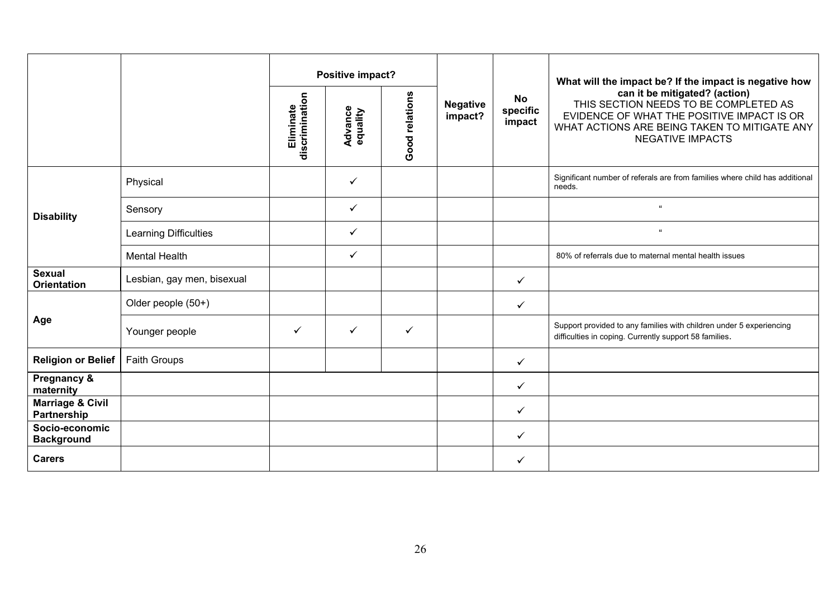|                                            |                            |                             | Positive impact?    |                |                            |                                 | What will the impact be? If the impact is negative how                                                                                                                                          |
|--------------------------------------------|----------------------------|-----------------------------|---------------------|----------------|----------------------------|---------------------------------|-------------------------------------------------------------------------------------------------------------------------------------------------------------------------------------------------|
|                                            |                            | Eliminate<br>discrimination | Advance<br>equality | Good relations | <b>Negative</b><br>impact? | <b>No</b><br>specific<br>impact | can it be mitigated? (action)<br>THIS SECTION NEEDS TO BE COMPLETED AS<br>EVIDENCE OF WHAT THE POSITIVE IMPACT IS OR<br>WHAT ACTIONS ARE BEING TAKEN TO MITIGATE ANY<br><b>NEGATIVE IMPACTS</b> |
|                                            | Physical                   |                             | ✓                   |                |                            |                                 | Significant number of referals are from families where child has additional<br>needs.                                                                                                           |
| <b>Disability</b>                          | Sensory                    |                             | $\checkmark$        |                |                            |                                 |                                                                                                                                                                                                 |
|                                            | Learning Difficulties      |                             | $\checkmark$        |                |                            |                                 | $\alpha$                                                                                                                                                                                        |
|                                            | <b>Mental Health</b>       |                             | $\checkmark$        |                |                            |                                 | 80% of referrals due to maternal mental health issues                                                                                                                                           |
| <b>Sexual</b><br><b>Orientation</b>        | Lesbian, gay men, bisexual |                             |                     |                |                            | $\checkmark$                    |                                                                                                                                                                                                 |
|                                            | Older people (50+)         |                             |                     |                |                            | $\checkmark$                    |                                                                                                                                                                                                 |
| Age                                        | Younger people             | $\checkmark$                | $\checkmark$        | $\checkmark$   |                            |                                 | Support provided to any families with children under 5 experiencing<br>difficulties in coping. Currently support 58 families.                                                                   |
| <b>Religion or Belief</b>                  | Faith Groups               |                             |                     |                |                            | $\checkmark$                    |                                                                                                                                                                                                 |
| Pregnancy &<br>maternity                   |                            |                             |                     |                |                            | ✓                               |                                                                                                                                                                                                 |
| <b>Marriage &amp; Civil</b><br>Partnership |                            |                             |                     |                |                            | ✓                               |                                                                                                                                                                                                 |
| Socio-economic<br><b>Background</b>        |                            |                             |                     |                |                            | ✓                               |                                                                                                                                                                                                 |
| <b>Carers</b>                              |                            |                             |                     |                |                            | ✓                               |                                                                                                                                                                                                 |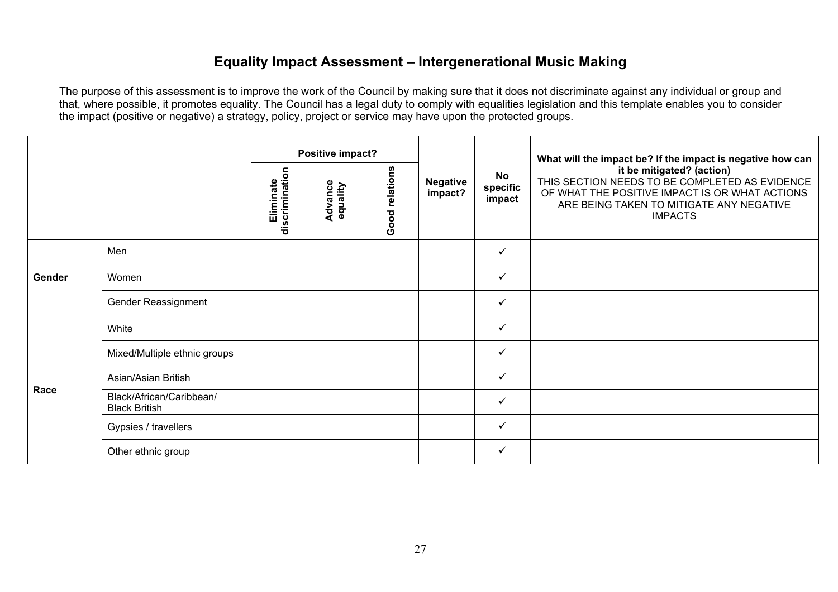#### **Equality Impact Assessment – Intergenerational Music Making**

|        |                                                  | Positive impact?            |                     |                |                            | What will the impact be? If the impact is negative how can |                                                                                                                                                                                             |
|--------|--------------------------------------------------|-----------------------------|---------------------|----------------|----------------------------|------------------------------------------------------------|---------------------------------------------------------------------------------------------------------------------------------------------------------------------------------------------|
|        |                                                  | discrimination<br>Eliminate | Advance<br>equality | Good relations | <b>Negative</b><br>impact? | <b>No</b><br>specific<br>impact                            | it be mitigated? (action)<br>THIS SECTION NEEDS TO BE COMPLETED AS EVIDENCE<br>OF WHAT THE POSITIVE IMPACT IS OR WHAT ACTIONS<br>ARE BEING TAKEN TO MITIGATE ANY NEGATIVE<br><b>IMPACTS</b> |
|        | Men                                              |                             |                     |                |                            | ✓                                                          |                                                                                                                                                                                             |
| Gender | Women                                            |                             |                     |                |                            | ✓                                                          |                                                                                                                                                                                             |
|        | Gender Reassignment                              |                             |                     |                |                            | $\checkmark$                                               |                                                                                                                                                                                             |
|        | White                                            |                             |                     |                |                            | $\checkmark$                                               |                                                                                                                                                                                             |
|        | Mixed/Multiple ethnic groups                     |                             |                     |                |                            | ✓                                                          |                                                                                                                                                                                             |
| Race   | Asian/Asian British                              |                             |                     |                |                            | ✓                                                          |                                                                                                                                                                                             |
|        | Black/African/Caribbean/<br><b>Black British</b> |                             |                     |                |                            | $\checkmark$                                               |                                                                                                                                                                                             |
|        | Gypsies / travellers                             |                             |                     |                |                            | ✓                                                          |                                                                                                                                                                                             |
|        | Other ethnic group                               |                             |                     |                |                            | $\checkmark$                                               |                                                                                                                                                                                             |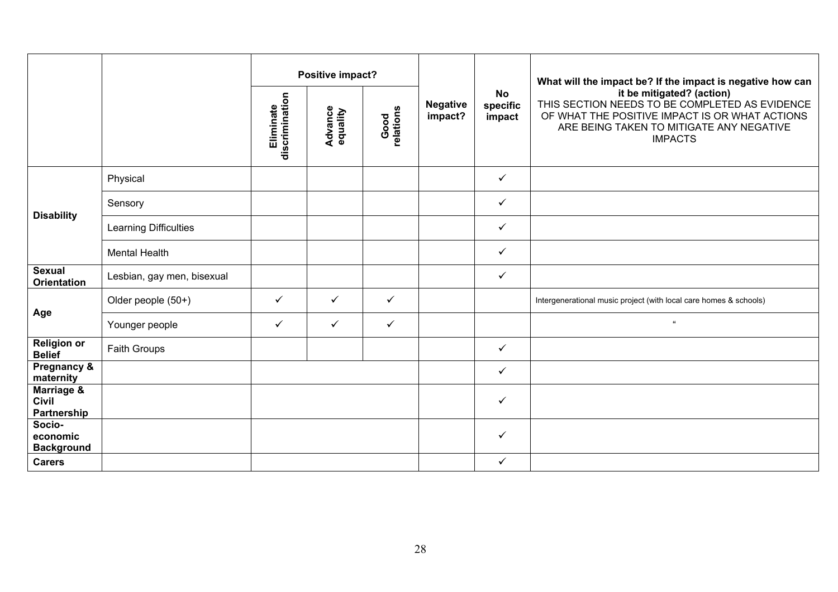|                                           |                              |                             | Positive impact?           |                   |                            |                                 | What will the impact be? If the impact is negative how can                                                                                                                                  |
|-------------------------------------------|------------------------------|-----------------------------|----------------------------|-------------------|----------------------------|---------------------------------|---------------------------------------------------------------------------------------------------------------------------------------------------------------------------------------------|
|                                           |                              | Eliminate<br>discrimination | <b>Advance</b><br>equality | Good<br>relations | <b>Negative</b><br>impact? | <b>No</b><br>specific<br>impact | it be mitigated? (action)<br>THIS SECTION NEEDS TO BE COMPLETED AS EVIDENCE<br>OF WHAT THE POSITIVE IMPACT IS OR WHAT ACTIONS<br>ARE BEING TAKEN TO MITIGATE ANY NEGATIVE<br><b>IMPACTS</b> |
|                                           | Physical                     |                             |                            |                   |                            | $\checkmark$                    |                                                                                                                                                                                             |
|                                           | Sensory                      |                             |                            |                   |                            | $\checkmark$                    |                                                                                                                                                                                             |
| <b>Disability</b>                         | <b>Learning Difficulties</b> |                             |                            |                   |                            | ✓                               |                                                                                                                                                                                             |
|                                           | <b>Mental Health</b>         |                             |                            |                   |                            | $\checkmark$                    |                                                                                                                                                                                             |
| <b>Sexual</b><br><b>Orientation</b>       | Lesbian, gay men, bisexual   |                             |                            |                   |                            | $\checkmark$                    |                                                                                                                                                                                             |
|                                           | Older people (50+)           | $\checkmark$                | $\checkmark$               | $\checkmark$      |                            |                                 | Intergenerational music project (with local care homes & schools)                                                                                                                           |
| Age                                       | Younger people               | ✓                           | $\checkmark$               | $\checkmark$      |                            |                                 | $\alpha$                                                                                                                                                                                    |
| <b>Religion or</b><br><b>Belief</b>       | Faith Groups                 |                             |                            |                   |                            | $\checkmark$                    |                                                                                                                                                                                             |
| Pregnancy &<br>maternity                  |                              |                             |                            |                   |                            | $\checkmark$                    |                                                                                                                                                                                             |
| Marriage &<br><b>Civil</b><br>Partnership |                              |                             |                            |                   |                            | ✓                               |                                                                                                                                                                                             |
| Socio-<br>economic<br><b>Background</b>   |                              |                             |                            |                   |                            | $\checkmark$                    |                                                                                                                                                                                             |
| <b>Carers</b>                             |                              |                             |                            |                   |                            | $\checkmark$                    |                                                                                                                                                                                             |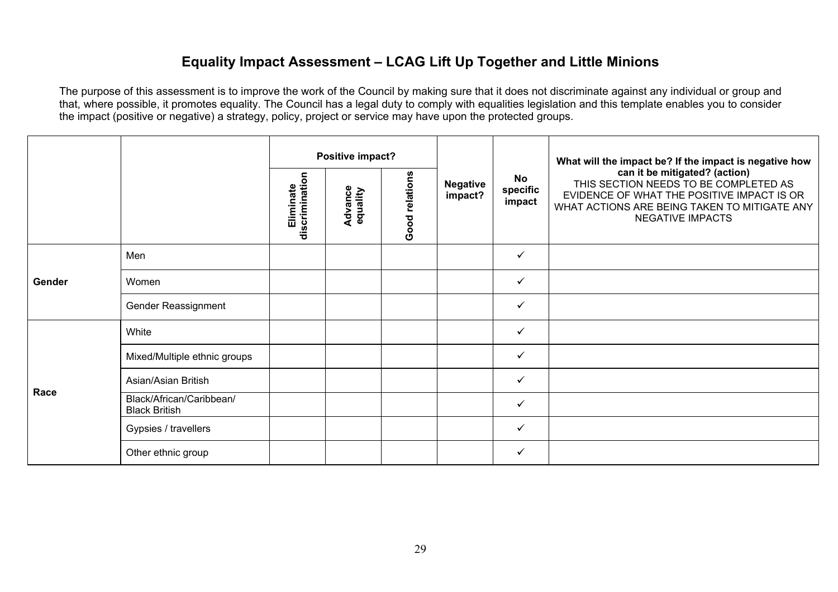### **Equality Impact Assessment – LCAG Lift Up Together and Little Minions**

|        |                                                  |                                                                      | Positive impact?           |                          |                                                                                                                                                                                                 |              | What will the impact be? If the impact is negative how |
|--------|--------------------------------------------------|----------------------------------------------------------------------|----------------------------|--------------------------|-------------------------------------------------------------------------------------------------------------------------------------------------------------------------------------------------|--------------|--------------------------------------------------------|
|        |                                                  | Good relations<br>discrimination<br>Eliminate<br>Advance<br>equality | <b>Negative</b><br>impact? | No<br>specific<br>impact | can it be mitigated? (action)<br>THIS SECTION NEEDS TO BE COMPLETED AS<br>EVIDENCE OF WHAT THE POSITIVE IMPACT IS OR<br>WHAT ACTIONS ARE BEING TAKEN TO MITIGATE ANY<br><b>NEGATIVE IMPACTS</b> |              |                                                        |
| Gender | Men                                              |                                                                      |                            |                          |                                                                                                                                                                                                 | ✓            |                                                        |
|        | Women                                            |                                                                      |                            |                          |                                                                                                                                                                                                 | ✓            |                                                        |
|        | Gender Reassignment                              |                                                                      |                            |                          |                                                                                                                                                                                                 | ✓            |                                                        |
|        | White                                            |                                                                      |                            |                          |                                                                                                                                                                                                 | $\checkmark$ |                                                        |
|        | Mixed/Multiple ethnic groups                     |                                                                      |                            |                          |                                                                                                                                                                                                 | $\checkmark$ |                                                        |
| Race   | Asian/Asian British                              |                                                                      |                            |                          |                                                                                                                                                                                                 | $\checkmark$ |                                                        |
|        | Black/African/Caribbean/<br><b>Black British</b> |                                                                      |                            |                          |                                                                                                                                                                                                 | $\checkmark$ |                                                        |
|        | Gypsies / travellers                             |                                                                      |                            |                          |                                                                                                                                                                                                 | $\checkmark$ |                                                        |
|        | Other ethnic group                               |                                                                      |                            |                          |                                                                                                                                                                                                 | $\checkmark$ |                                                        |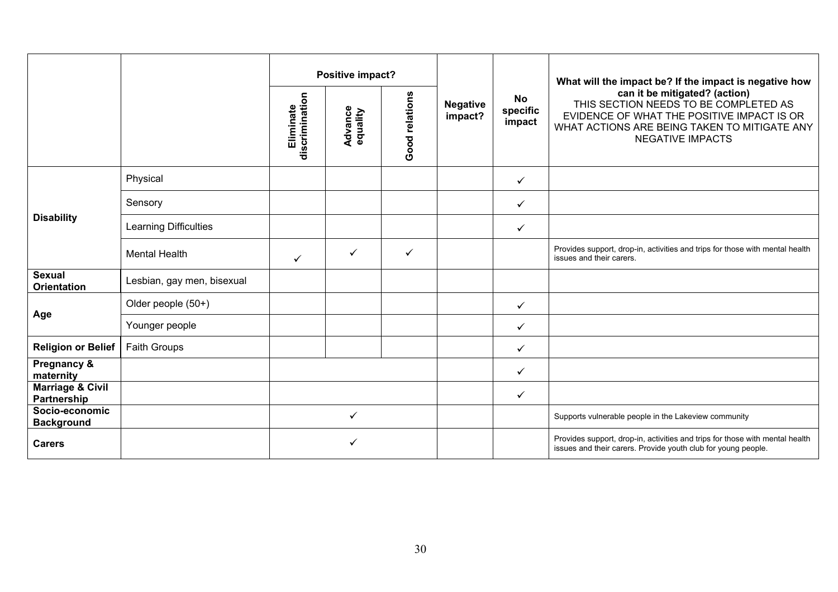|                                            |                            | Positive impact?            |                            |                |                            |                                 | What will the impact be? If the impact is negative how                                                                                                                                          |
|--------------------------------------------|----------------------------|-----------------------------|----------------------------|----------------|----------------------------|---------------------------------|-------------------------------------------------------------------------------------------------------------------------------------------------------------------------------------------------|
|                                            |                            | discrimination<br>Eliminate | <b>Advance</b><br>equality | Good relations | <b>Negative</b><br>impact? | <b>No</b><br>specific<br>impact | can it be mitigated? (action)<br>THIS SECTION NEEDS TO BE COMPLETED AS<br>EVIDENCE OF WHAT THE POSITIVE IMPACT IS OR<br>WHAT ACTIONS ARE BEING TAKEN TO MITIGATE ANY<br><b>NEGATIVE IMPACTS</b> |
|                                            | Physical                   |                             |                            |                |                            | $\checkmark$                    |                                                                                                                                                                                                 |
|                                            | Sensory                    |                             |                            |                |                            | $\checkmark$                    |                                                                                                                                                                                                 |
| <b>Disability</b>                          | Learning Difficulties      |                             |                            |                |                            | ✓                               |                                                                                                                                                                                                 |
|                                            | <b>Mental Health</b>       | $\checkmark$                | $\checkmark$               | ✓              |                            |                                 | Provides support, drop-in, activities and trips for those with mental health<br>issues and their carers.                                                                                        |
| <b>Sexual</b><br><b>Orientation</b>        | Lesbian, gay men, bisexual |                             |                            |                |                            |                                 |                                                                                                                                                                                                 |
|                                            | Older people (50+)         |                             |                            |                |                            | $\checkmark$                    |                                                                                                                                                                                                 |
| Age                                        | Younger people             |                             |                            |                |                            | ✓                               |                                                                                                                                                                                                 |
| <b>Religion or Belief</b>                  | <b>Faith Groups</b>        |                             |                            |                |                            | ✓                               |                                                                                                                                                                                                 |
| Pregnancy &<br>maternity                   |                            |                             |                            |                |                            | $\checkmark$                    |                                                                                                                                                                                                 |
| <b>Marriage &amp; Civil</b><br>Partnership |                            |                             |                            |                |                            | $\checkmark$                    |                                                                                                                                                                                                 |
| Socio-economic<br><b>Background</b>        |                            | ✓                           |                            |                |                            |                                 | Supports vulnerable people in the Lakeview community                                                                                                                                            |
| <b>Carers</b>                              |                            |                             |                            |                |                            |                                 | Provides support, drop-in, activities and trips for those with mental health<br>issues and their carers. Provide youth club for young people.                                                   |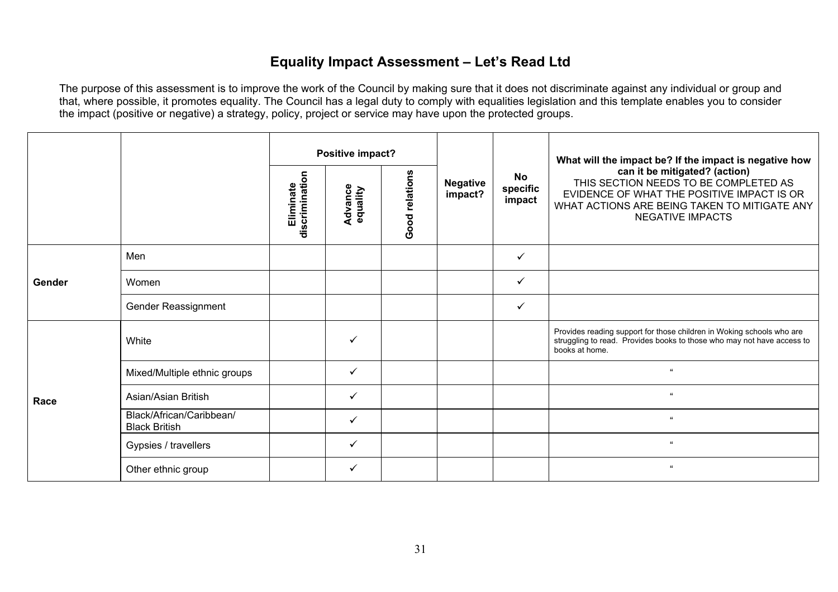### **Equality Impact Assessment – Let's Read Ltd**

|        |                                                                             |  | Positive impact?           |                                 |                                                                                                                                                                                                 |              | What will the impact be? If the impact is negative how                                                                                                            |
|--------|-----------------------------------------------------------------------------|--|----------------------------|---------------------------------|-------------------------------------------------------------------------------------------------------------------------------------------------------------------------------------------------|--------------|-------------------------------------------------------------------------------------------------------------------------------------------------------------------|
|        | Good relations<br>discrimination<br>Eliminate<br><b>Advance</b><br>equality |  | <b>Negative</b><br>impact? | <b>No</b><br>specific<br>impact | can it be mitigated? (action)<br>THIS SECTION NEEDS TO BE COMPLETED AS<br>EVIDENCE OF WHAT THE POSITIVE IMPACT IS OR<br>WHAT ACTIONS ARE BEING TAKEN TO MITIGATE ANY<br><b>NEGATIVE IMPACTS</b> |              |                                                                                                                                                                   |
| Gender | Men                                                                         |  |                            |                                 |                                                                                                                                                                                                 | $\checkmark$ |                                                                                                                                                                   |
|        | Women                                                                       |  |                            |                                 |                                                                                                                                                                                                 | $\checkmark$ |                                                                                                                                                                   |
|        | Gender Reassignment                                                         |  |                            |                                 |                                                                                                                                                                                                 | ✓            |                                                                                                                                                                   |
|        | White                                                                       |  | ✓                          |                                 |                                                                                                                                                                                                 |              | Provides reading support for those children in Woking schools who are<br>struggling to read. Provides books to those who may not have access to<br>books at home. |
|        | Mixed/Multiple ethnic groups                                                |  | $\checkmark$               |                                 |                                                                                                                                                                                                 |              | $\mathbf{u}$                                                                                                                                                      |
| Race   | Asian/Asian British                                                         |  | $\checkmark$               |                                 |                                                                                                                                                                                                 |              | $\epsilon\epsilon$                                                                                                                                                |
|        | Black/African/Caribbean/<br><b>Black British</b>                            |  | ✓                          |                                 |                                                                                                                                                                                                 |              | $\mathbf{u}$                                                                                                                                                      |
|        | Gypsies / travellers                                                        |  | ✓                          |                                 |                                                                                                                                                                                                 |              | $\alpha$                                                                                                                                                          |
|        | Other ethnic group                                                          |  | $\checkmark$               |                                 |                                                                                                                                                                                                 |              | $\mathbf{u}$                                                                                                                                                      |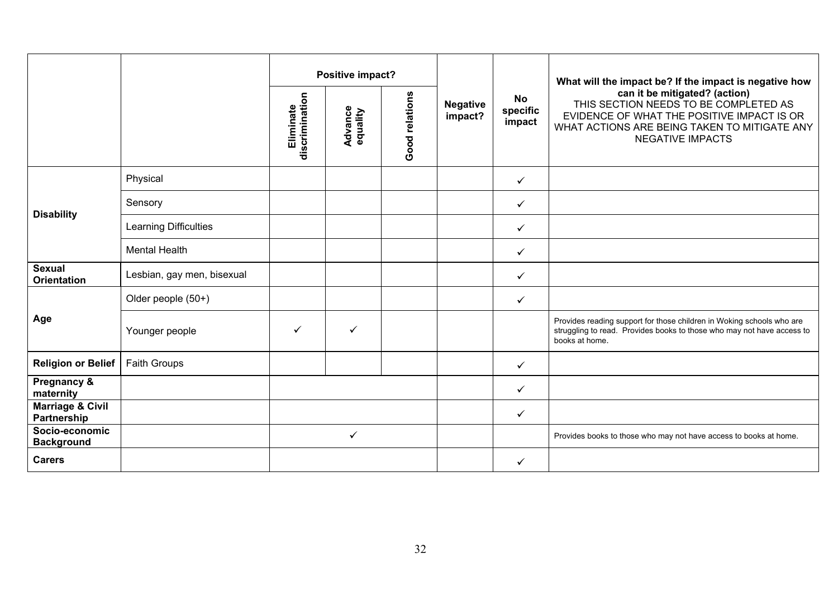|                                            |                            | Positive impact?            |                            |                |                            |                                 | What will the impact be? If the impact is negative how                                                                                                                                          |
|--------------------------------------------|----------------------------|-----------------------------|----------------------------|----------------|----------------------------|---------------------------------|-------------------------------------------------------------------------------------------------------------------------------------------------------------------------------------------------|
|                                            |                            | discrimination<br>Eliminate | <b>Advance</b><br>equality | Good relations | <b>Negative</b><br>impact? | <b>No</b><br>specific<br>impact | can it be mitigated? (action)<br>THIS SECTION NEEDS TO BE COMPLETED AS<br>EVIDENCE OF WHAT THE POSITIVE IMPACT IS OR<br>WHAT ACTIONS ARE BEING TAKEN TO MITIGATE ANY<br><b>NEGATIVE IMPACTS</b> |
|                                            | Physical                   |                             |                            |                |                            | $\checkmark$                    |                                                                                                                                                                                                 |
| <b>Disability</b>                          | Sensory                    |                             |                            |                |                            | ✓                               |                                                                                                                                                                                                 |
|                                            | Learning Difficulties      |                             |                            |                |                            | ✓                               |                                                                                                                                                                                                 |
|                                            | <b>Mental Health</b>       |                             |                            |                |                            | $\checkmark$                    |                                                                                                                                                                                                 |
| <b>Sexual</b><br><b>Orientation</b>        | Lesbian, gay men, bisexual |                             |                            |                |                            | $\checkmark$                    |                                                                                                                                                                                                 |
|                                            | Older people (50+)         |                             |                            |                |                            | ✓                               |                                                                                                                                                                                                 |
| Age                                        | Younger people             | $\checkmark$                | $\checkmark$               |                |                            |                                 | Provides reading support for those children in Woking schools who are<br>struggling to read. Provides books to those who may not have access to<br>books at home.                               |
| <b>Religion or Belief</b>                  | <b>Faith Groups</b>        |                             |                            |                |                            | $\checkmark$                    |                                                                                                                                                                                                 |
| Pregnancy &<br>maternity                   |                            |                             |                            |                |                            | $\checkmark$                    |                                                                                                                                                                                                 |
| <b>Marriage &amp; Civil</b><br>Partnership |                            |                             |                            |                |                            | $\checkmark$                    |                                                                                                                                                                                                 |
| Socio-economic<br><b>Background</b>        |                            |                             | ✓                          |                |                            |                                 | Provides books to those who may not have access to books at home.                                                                                                                               |
| <b>Carers</b>                              |                            |                             |                            |                |                            | ✓                               |                                                                                                                                                                                                 |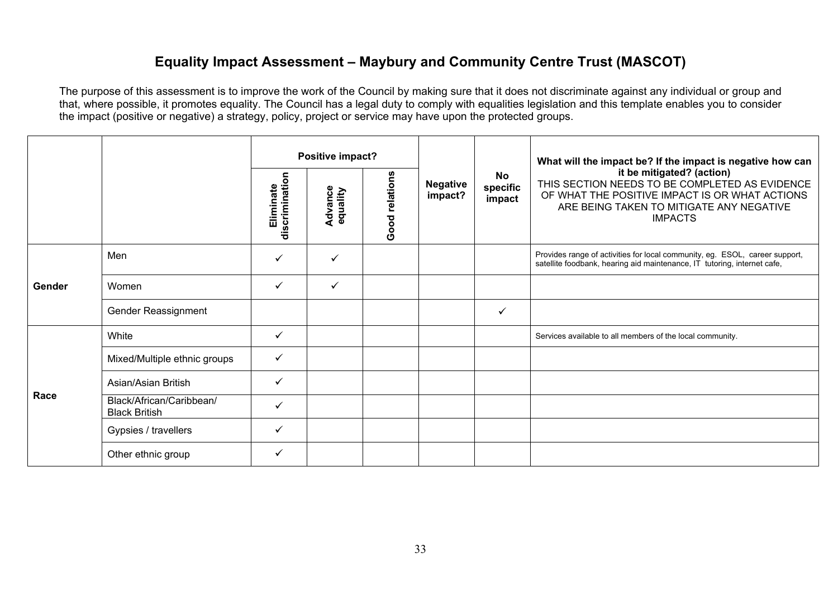### **Equality Impact Assessment – Maybury and Community Centre Trust (MASCOT)**

|        |                                                  | Positive impact?            |                     |                |                            | What will the impact be? If the impact is negative how can |                                                                                                                                                                                             |
|--------|--------------------------------------------------|-----------------------------|---------------------|----------------|----------------------------|------------------------------------------------------------|---------------------------------------------------------------------------------------------------------------------------------------------------------------------------------------------|
|        |                                                  | Eliminate<br>discrimination | Advance<br>equality | Good relations | <b>Negative</b><br>impact? | No<br>specific<br>impact                                   | it be mitigated? (action)<br>THIS SECTION NEEDS TO BE COMPLETED AS EVIDENCE<br>OF WHAT THE POSITIVE IMPACT IS OR WHAT ACTIONS<br>ARE BEING TAKEN TO MITIGATE ANY NEGATIVE<br><b>IMPACTS</b> |
|        | Men                                              | $\checkmark$                | ✓                   |                |                            |                                                            | Provides range of activities for local community, eg. ESOL, career support,<br>satellite foodbank, hearing aid maintenance, IT tutoring, internet cafe,                                     |
| Gender | Women                                            | $\checkmark$                | $\checkmark$        |                |                            |                                                            |                                                                                                                                                                                             |
|        | Gender Reassignment                              |                             |                     |                |                            | $\checkmark$                                               |                                                                                                                                                                                             |
|        | White                                            | $\checkmark$                |                     |                |                            |                                                            | Services available to all members of the local community.                                                                                                                                   |
|        | Mixed/Multiple ethnic groups                     | $\checkmark$                |                     |                |                            |                                                            |                                                                                                                                                                                             |
| Race   | Asian/Asian British                              | $\checkmark$                |                     |                |                            |                                                            |                                                                                                                                                                                             |
|        | Black/African/Caribbean/<br><b>Black British</b> | $\checkmark$                |                     |                |                            |                                                            |                                                                                                                                                                                             |
|        | Gypsies / travellers                             | $\checkmark$                |                     |                |                            |                                                            |                                                                                                                                                                                             |
|        | Other ethnic group                               | $\checkmark$                |                     |                |                            |                                                            |                                                                                                                                                                                             |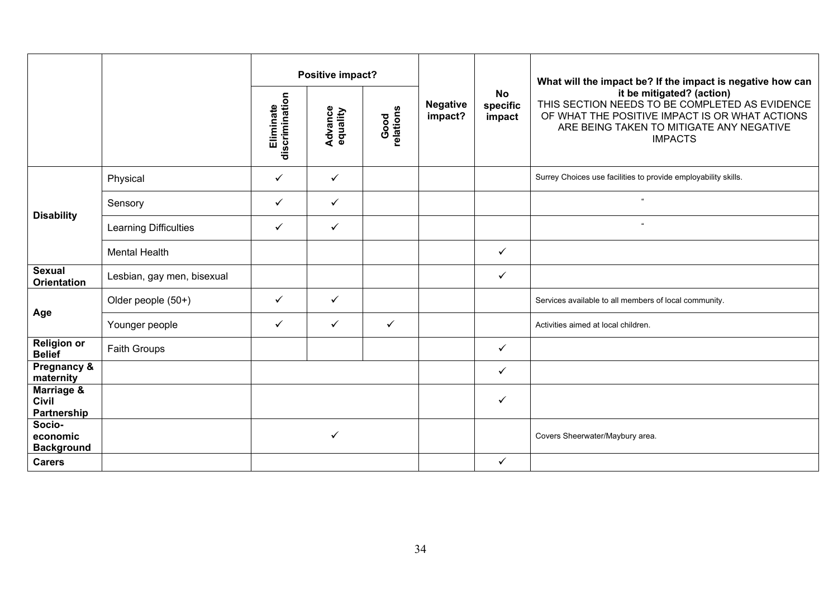|                                           |                            |                             | Positive impact?           |                   |                            |                                 | What will the impact be? If the impact is negative how can                                                                                                                                  |
|-------------------------------------------|----------------------------|-----------------------------|----------------------------|-------------------|----------------------------|---------------------------------|---------------------------------------------------------------------------------------------------------------------------------------------------------------------------------------------|
|                                           |                            | Eliminate<br>discrimination | <b>Advance</b><br>equality | Good<br>relations | <b>Negative</b><br>impact? | <b>No</b><br>specific<br>impact | it be mitigated? (action)<br>THIS SECTION NEEDS TO BE COMPLETED AS EVIDENCE<br>OF WHAT THE POSITIVE IMPACT IS OR WHAT ACTIONS<br>ARE BEING TAKEN TO MITIGATE ANY NEGATIVE<br><b>IMPACTS</b> |
|                                           | Physical                   | ✓                           | $\checkmark$               |                   |                            |                                 | Surrey Choices use facilities to provide employability skills.                                                                                                                              |
|                                           | Sensory                    | ✓                           | $\checkmark$               |                   |                            |                                 | $\alpha$                                                                                                                                                                                    |
| <b>Disability</b>                         | Learning Difficulties      | ✓                           | $\checkmark$               |                   |                            |                                 | $\alpha$                                                                                                                                                                                    |
|                                           | <b>Mental Health</b>       |                             |                            |                   |                            | $\checkmark$                    |                                                                                                                                                                                             |
| <b>Sexual</b><br><b>Orientation</b>       | Lesbian, gay men, bisexual |                             |                            |                   |                            | $\checkmark$                    |                                                                                                                                                                                             |
|                                           | Older people (50+)         | $\checkmark$                | $\checkmark$               |                   |                            |                                 | Services available to all members of local community.                                                                                                                                       |
| Age                                       | Younger people             | ✓                           | $\checkmark$               | $\checkmark$      |                            |                                 | Activities aimed at local children.                                                                                                                                                         |
| <b>Religion or</b><br><b>Belief</b>       | Faith Groups               |                             |                            |                   |                            | $\checkmark$                    |                                                                                                                                                                                             |
| Pregnancy &<br>maternity                  |                            |                             |                            |                   |                            | $\checkmark$                    |                                                                                                                                                                                             |
| Marriage &<br><b>Civil</b><br>Partnership |                            |                             |                            |                   |                            | $\checkmark$                    |                                                                                                                                                                                             |
| Socio-<br>economic<br><b>Background</b>   |                            |                             | ✓                          |                   |                            |                                 | Covers Sheerwater/Maybury area.                                                                                                                                                             |
| <b>Carers</b>                             |                            |                             |                            |                   |                            | $\checkmark$                    |                                                                                                                                                                                             |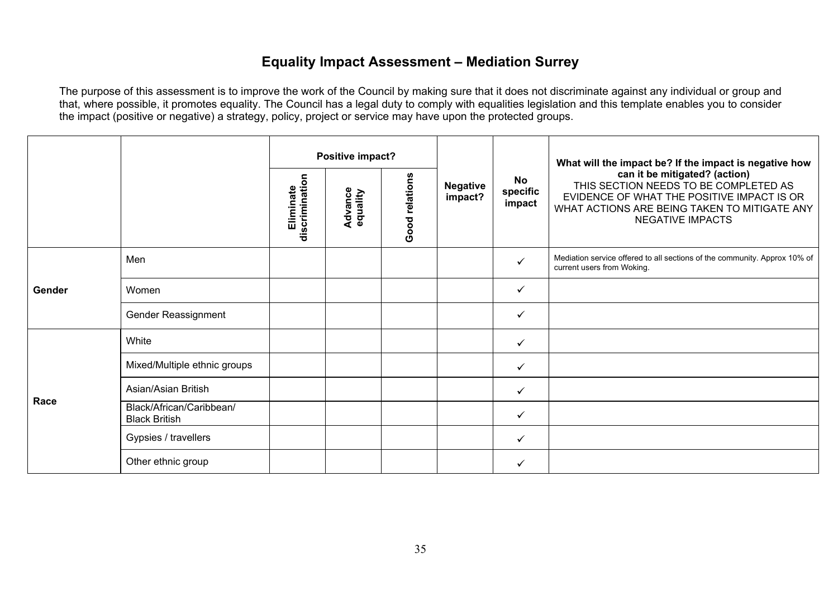## **Equality Impact Assessment – Mediation Surrey**

|        |                                                                             |  | Positive impact?           |                          |                                                                                                                                                                                                 |              | What will the impact be? If the impact is negative how                                                  |
|--------|-----------------------------------------------------------------------------|--|----------------------------|--------------------------|-------------------------------------------------------------------------------------------------------------------------------------------------------------------------------------------------|--------------|---------------------------------------------------------------------------------------------------------|
|        | Good relations<br>Eliminate<br>discrimination<br><b>Advance</b><br>equality |  | <b>Negative</b><br>impact? | No<br>specific<br>impact | can it be mitigated? (action)<br>THIS SECTION NEEDS TO BE COMPLETED AS<br>EVIDENCE OF WHAT THE POSITIVE IMPACT IS OR<br>WHAT ACTIONS ARE BEING TAKEN TO MITIGATE ANY<br><b>NEGATIVE IMPACTS</b> |              |                                                                                                         |
| Gender | Men                                                                         |  |                            |                          |                                                                                                                                                                                                 | $\checkmark$ | Mediation service offered to all sections of the community. Approx 10% of<br>current users from Woking. |
|        | Women                                                                       |  |                            |                          |                                                                                                                                                                                                 | $\checkmark$ |                                                                                                         |
|        | Gender Reassignment                                                         |  |                            |                          |                                                                                                                                                                                                 | $\checkmark$ |                                                                                                         |
|        | White                                                                       |  |                            |                          |                                                                                                                                                                                                 | $\checkmark$ |                                                                                                         |
|        | Mixed/Multiple ethnic groups                                                |  |                            |                          |                                                                                                                                                                                                 | ✓            |                                                                                                         |
| Race   | Asian/Asian British                                                         |  |                            |                          |                                                                                                                                                                                                 | $\checkmark$ |                                                                                                         |
|        | Black/African/Caribbean/<br><b>Black British</b>                            |  |                            |                          |                                                                                                                                                                                                 | $\checkmark$ |                                                                                                         |
|        | Gypsies / travellers                                                        |  |                            |                          |                                                                                                                                                                                                 | ✓            |                                                                                                         |
|        | Other ethnic group                                                          |  |                            |                          |                                                                                                                                                                                                 | ✓            |                                                                                                         |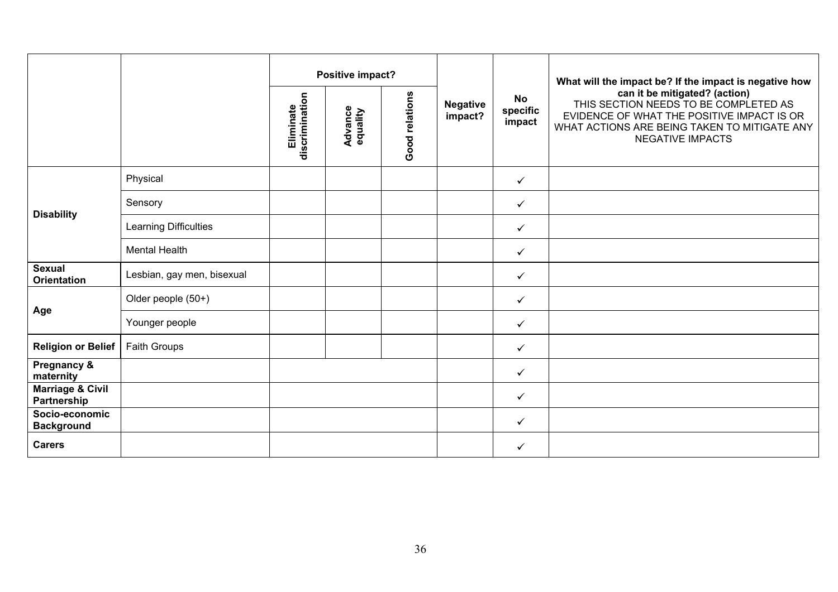|                                            |                            |                             | Positive impact?           |                |                            |                                 | What will the impact be? If the impact is negative how                                                                                                                                          |
|--------------------------------------------|----------------------------|-----------------------------|----------------------------|----------------|----------------------------|---------------------------------|-------------------------------------------------------------------------------------------------------------------------------------------------------------------------------------------------|
|                                            |                            | discrimination<br>Eliminate | <b>Advance</b><br>equality | Good relations | <b>Negative</b><br>impact? | <b>No</b><br>specific<br>impact | can it be mitigated? (action)<br>THIS SECTION NEEDS TO BE COMPLETED AS<br>EVIDENCE OF WHAT THE POSITIVE IMPACT IS OR<br>WHAT ACTIONS ARE BEING TAKEN TO MITIGATE ANY<br><b>NEGATIVE IMPACTS</b> |
|                                            | Physical                   |                             |                            |                |                            | $\checkmark$                    |                                                                                                                                                                                                 |
|                                            | Sensory                    |                             |                            |                |                            | $\checkmark$                    |                                                                                                                                                                                                 |
| <b>Disability</b>                          | Learning Difficulties      |                             |                            |                |                            | $\checkmark$                    |                                                                                                                                                                                                 |
|                                            | <b>Mental Health</b>       |                             |                            |                |                            | $\checkmark$                    |                                                                                                                                                                                                 |
| <b>Sexual</b><br><b>Orientation</b>        | Lesbian, gay men, bisexual |                             |                            |                |                            | $\checkmark$                    |                                                                                                                                                                                                 |
|                                            | Older people (50+)         |                             |                            |                |                            | $\checkmark$                    |                                                                                                                                                                                                 |
| Age                                        | Younger people             |                             |                            |                |                            | $\checkmark$                    |                                                                                                                                                                                                 |
| <b>Religion or Belief</b>                  | Faith Groups               |                             |                            |                |                            | $\checkmark$                    |                                                                                                                                                                                                 |
| <b>Pregnancy &amp;</b><br>maternity        |                            |                             |                            |                |                            | $\checkmark$                    |                                                                                                                                                                                                 |
| <b>Marriage &amp; Civil</b><br>Partnership |                            |                             |                            |                |                            | $\checkmark$                    |                                                                                                                                                                                                 |
| Socio-economic<br><b>Background</b>        |                            |                             |                            |                |                            | $\checkmark$                    |                                                                                                                                                                                                 |
| <b>Carers</b>                              |                            |                             |                            |                |                            | $\checkmark$                    |                                                                                                                                                                                                 |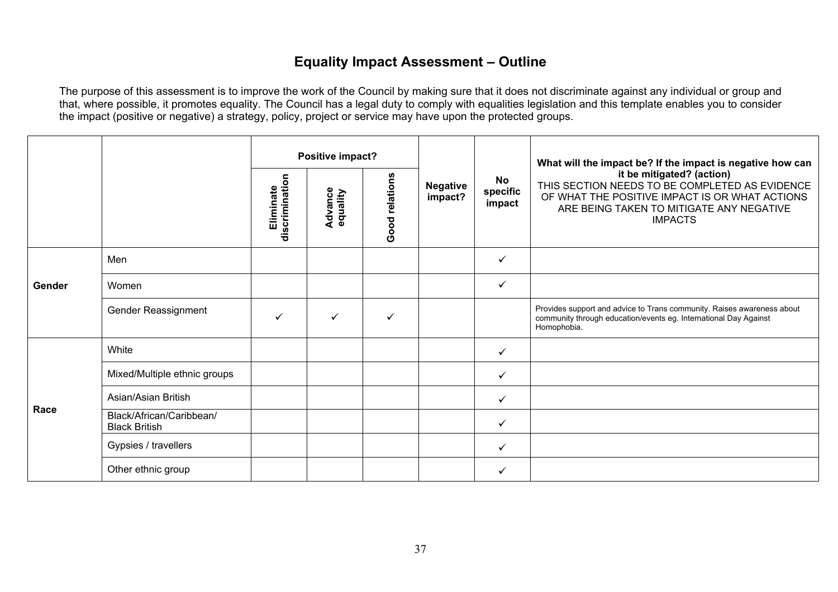## **Equality Impact Assessment – Outline**

|        |                                                  | Positive impact?            |                            |                |                            |                          | What will the impact be? If the impact is negative how can                                                                                                                                  |
|--------|--------------------------------------------------|-----------------------------|----------------------------|----------------|----------------------------|--------------------------|---------------------------------------------------------------------------------------------------------------------------------------------------------------------------------------------|
|        |                                                  | discrimination<br>Eliminate | <b>Advance</b><br>equality | Good relations | <b>Negative</b><br>impact? | No<br>specific<br>impact | it be mitigated? (action)<br>THIS SECTION NEEDS TO BE COMPLETED AS EVIDENCE<br>OF WHAT THE POSITIVE IMPACT IS OR WHAT ACTIONS<br>ARE BEING TAKEN TO MITIGATE ANY NEGATIVE<br><b>IMPACTS</b> |
|        | Men                                              |                             |                            |                |                            | ✓                        |                                                                                                                                                                                             |
| Gender | Women                                            |                             |                            |                |                            | ✓                        |                                                                                                                                                                                             |
|        | Gender Reassignment                              | $\checkmark$                | ✓                          | ✓              |                            |                          | Provides support and advice to Trans community. Raises awareness about<br>community through education/events eg. International Day Against<br>Homophobia.                                   |
|        | White                                            |                             |                            |                |                            | ✓                        |                                                                                                                                                                                             |
|        | Mixed/Multiple ethnic groups                     |                             |                            |                |                            | ✓                        |                                                                                                                                                                                             |
| Race   | Asian/Asian British                              |                             |                            |                |                            | ✓                        |                                                                                                                                                                                             |
|        | Black/African/Caribbean/<br><b>Black British</b> |                             |                            |                |                            | ✓                        |                                                                                                                                                                                             |
|        | Gypsies / travellers                             |                             |                            |                |                            | ✓                        |                                                                                                                                                                                             |
|        | Other ethnic group                               |                             |                            |                |                            |                          |                                                                                                                                                                                             |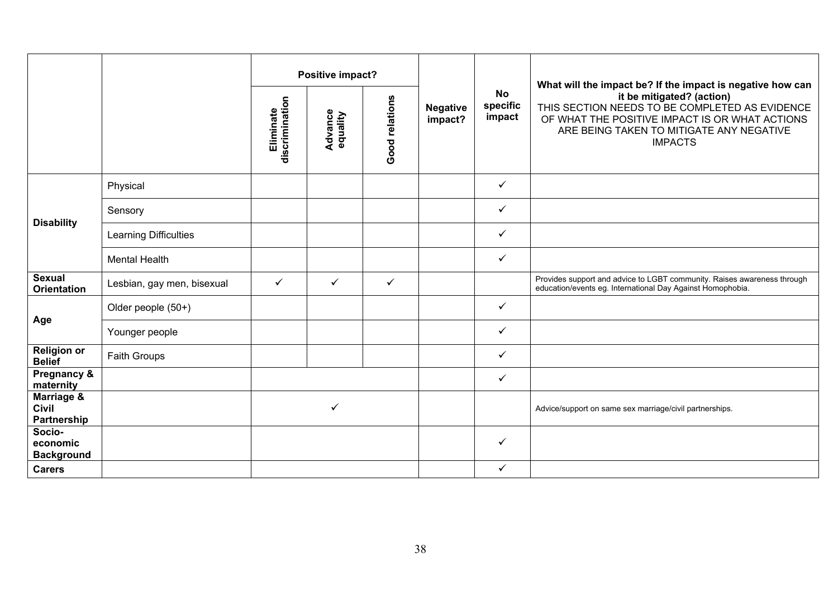|                                           |                              | discrimination<br>Eliminate | Positive impact?<br><b>Advance</b><br>equality | Good relations | <b>Negative</b><br>impact? | <b>No</b><br>specific<br>impact | What will the impact be? If the impact is negative how can<br>it be mitigated? (action)<br>THIS SECTION NEEDS TO BE COMPLETED AS EVIDENCE<br>OF WHAT THE POSITIVE IMPACT IS OR WHAT ACTIONS<br>ARE BEING TAKEN TO MITIGATE ANY NEGATIVE<br><b>IMPACTS</b> |
|-------------------------------------------|------------------------------|-----------------------------|------------------------------------------------|----------------|----------------------------|---------------------------------|-----------------------------------------------------------------------------------------------------------------------------------------------------------------------------------------------------------------------------------------------------------|
|                                           |                              |                             |                                                |                |                            |                                 |                                                                                                                                                                                                                                                           |
|                                           | Physical                     |                             |                                                |                |                            | $\checkmark$                    |                                                                                                                                                                                                                                                           |
|                                           | Sensory                      |                             |                                                |                |                            | $\checkmark$                    |                                                                                                                                                                                                                                                           |
| <b>Disability</b>                         | <b>Learning Difficulties</b> |                             |                                                |                |                            | $\checkmark$                    |                                                                                                                                                                                                                                                           |
|                                           | <b>Mental Health</b>         |                             |                                                |                |                            | $\checkmark$                    |                                                                                                                                                                                                                                                           |
| <b>Sexual</b><br><b>Orientation</b>       | Lesbian, gay men, bisexual   | $\checkmark$                | ✓                                              | $\checkmark$   |                            |                                 | Provides support and advice to LGBT community. Raises awareness through<br>education/events eg. International Day Against Homophobia.                                                                                                                     |
|                                           | Older people (50+)           |                             |                                                |                |                            | $\checkmark$                    |                                                                                                                                                                                                                                                           |
| Age                                       | Younger people               |                             |                                                |                |                            | $\checkmark$                    |                                                                                                                                                                                                                                                           |
| <b>Religion or</b><br><b>Belief</b>       | Faith Groups                 |                             |                                                |                |                            | $\checkmark$                    |                                                                                                                                                                                                                                                           |
| Pregnancy &<br>maternity                  |                              |                             |                                                |                |                            | $\checkmark$                    |                                                                                                                                                                                                                                                           |
| Marriage &<br><b>Civil</b><br>Partnership |                              |                             | ✓                                              |                |                            |                                 | Advice/support on same sex marriage/civil partnerships.                                                                                                                                                                                                   |
| Socio-<br>economic<br><b>Background</b>   |                              |                             |                                                |                |                            | $\checkmark$                    |                                                                                                                                                                                                                                                           |
| <b>Carers</b>                             |                              |                             |                                                |                |                            | $\checkmark$                    |                                                                                                                                                                                                                                                           |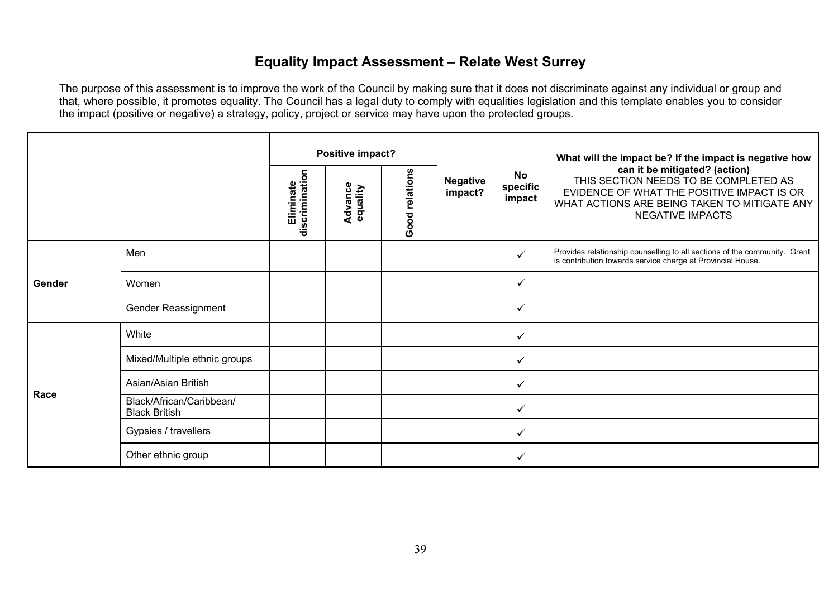### **Equality Impact Assessment – Relate West Surrey**

|        |                                                  |                             | Positive impact?    |                |                            |                          | What will the impact be? If the impact is negative how                                                                                                                                          |
|--------|--------------------------------------------------|-----------------------------|---------------------|----------------|----------------------------|--------------------------|-------------------------------------------------------------------------------------------------------------------------------------------------------------------------------------------------|
|        |                                                  | Eliminate<br>discrimination | Advance<br>equality | Good relations | <b>Negative</b><br>impact? | No<br>specific<br>impact | can it be mitigated? (action)<br>THIS SECTION NEEDS TO BE COMPLETED AS<br>EVIDENCE OF WHAT THE POSITIVE IMPACT IS OR<br>WHAT ACTIONS ARE BEING TAKEN TO MITIGATE ANY<br><b>NEGATIVE IMPACTS</b> |
|        | Men                                              |                             |                     |                |                            | ✓                        | Provides relationship counselling to all sections of the community. Grant<br>is contribution towards service charge at Provincial House.                                                        |
| Gender | Women                                            |                             |                     |                |                            | ✓                        |                                                                                                                                                                                                 |
|        | Gender Reassignment                              |                             |                     |                |                            | ✓                        |                                                                                                                                                                                                 |
|        | White                                            |                             |                     |                |                            | ✓                        |                                                                                                                                                                                                 |
|        | Mixed/Multiple ethnic groups                     |                             |                     |                |                            | $\checkmark$             |                                                                                                                                                                                                 |
|        | Asian/Asian British                              |                             |                     |                |                            | ✓                        |                                                                                                                                                                                                 |
| Race   | Black/African/Caribbean/<br><b>Black British</b> |                             |                     |                |                            | ✓                        |                                                                                                                                                                                                 |
|        | Gypsies / travellers                             |                             |                     |                |                            | $\checkmark$             |                                                                                                                                                                                                 |
|        | Other ethnic group                               |                             |                     |                |                            | ✓                        |                                                                                                                                                                                                 |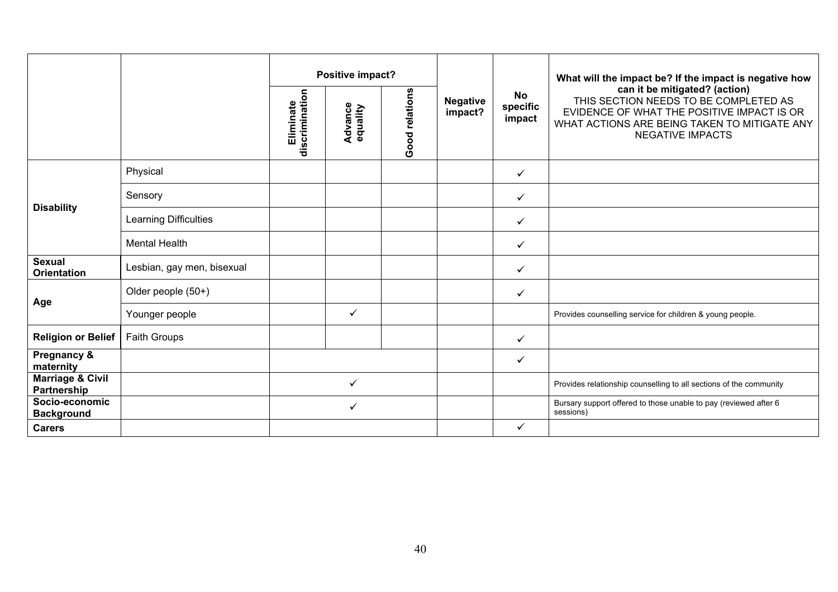|                                            |                            |                             | Positive impact?    |                |                            |                                 | What will the impact be? If the impact is negative how                                                                                                                                          |
|--------------------------------------------|----------------------------|-----------------------------|---------------------|----------------|----------------------------|---------------------------------|-------------------------------------------------------------------------------------------------------------------------------------------------------------------------------------------------|
|                                            |                            | Eliminate<br>discrimination | Advance<br>equality | Good relations | <b>Negative</b><br>impact? | <b>No</b><br>specific<br>impact | can it be mitigated? (action)<br>THIS SECTION NEEDS TO BE COMPLETED AS<br>EVIDENCE OF WHAT THE POSITIVE IMPACT IS OR<br>WHAT ACTIONS ARE BEING TAKEN TO MITIGATE ANY<br><b>NEGATIVE IMPACTS</b> |
|                                            | Physical                   |                             |                     |                |                            | $\checkmark$                    |                                                                                                                                                                                                 |
|                                            | Sensory                    |                             |                     |                |                            | $\checkmark$                    |                                                                                                                                                                                                 |
| <b>Disability</b>                          | Learning Difficulties      |                             |                     |                |                            | $\checkmark$                    |                                                                                                                                                                                                 |
|                                            | <b>Mental Health</b>       |                             |                     |                |                            | ✓                               |                                                                                                                                                                                                 |
| <b>Sexual</b><br><b>Orientation</b>        | Lesbian, gay men, bisexual |                             |                     |                |                            | $\checkmark$                    |                                                                                                                                                                                                 |
|                                            | Older people (50+)         |                             |                     |                |                            | $\checkmark$                    |                                                                                                                                                                                                 |
| Age                                        | Younger people             |                             | $\checkmark$        |                |                            |                                 | Provides counselling service for children & young people.                                                                                                                                       |
| <b>Religion or Belief</b>                  | Faith Groups               |                             |                     |                |                            | $\checkmark$                    |                                                                                                                                                                                                 |
| Pregnancy &<br>maternity                   |                            |                             |                     |                |                            | $\checkmark$                    |                                                                                                                                                                                                 |
| <b>Marriage &amp; Civil</b><br>Partnership |                            |                             | ✓                   |                |                            |                                 | Provides relationship counselling to all sections of the community                                                                                                                              |
| Socio-economic<br><b>Background</b>        |                            |                             | ✓                   |                |                            |                                 | Bursary support offered to those unable to pay (reviewed after 6<br>sessions)                                                                                                                   |
| <b>Carers</b>                              |                            |                             |                     |                |                            | $\checkmark$                    |                                                                                                                                                                                                 |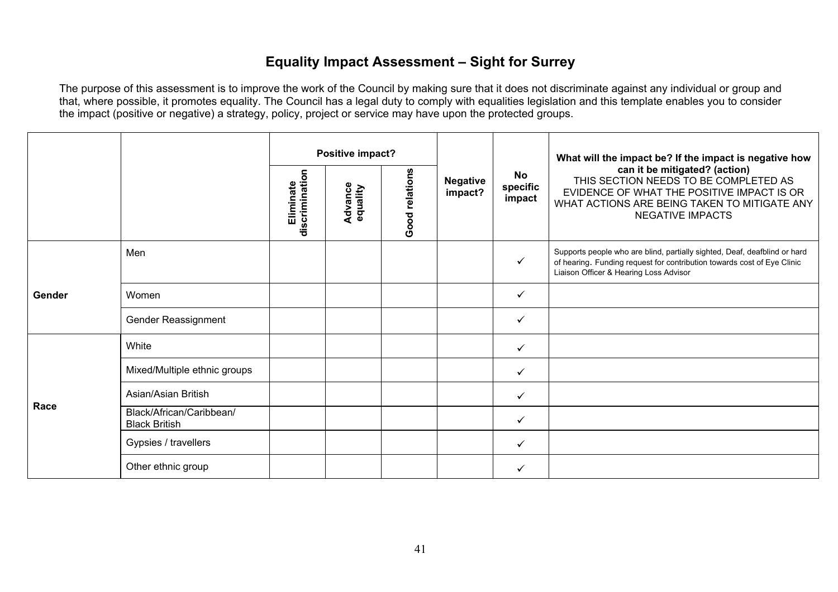# **Equality Impact Assessment – Sight for Surrey**

|        |                                                  |                             | Positive impact?           |                |                            |                                 | What will the impact be? If the impact is negative how                                                                                                                                          |
|--------|--------------------------------------------------|-----------------------------|----------------------------|----------------|----------------------------|---------------------------------|-------------------------------------------------------------------------------------------------------------------------------------------------------------------------------------------------|
|        |                                                  | discrimination<br>Eliminate | <b>Advance</b><br>equality | Good relations | <b>Negative</b><br>impact? | <b>No</b><br>specific<br>impact | can it be mitigated? (action)<br>THIS SECTION NEEDS TO BE COMPLETED AS<br>EVIDENCE OF WHAT THE POSITIVE IMPACT IS OR<br>WHAT ACTIONS ARE BEING TAKEN TO MITIGATE ANY<br><b>NEGATIVE IMPACTS</b> |
|        | Men                                              |                             |                            |                |                            | ✓                               | Supports people who are blind, partially sighted, Deaf, deafblind or hard<br>of hearing. Funding request for contribution towards cost of Eye Clinic<br>Liaison Officer & Hearing Loss Advisor  |
| Gender | Women                                            |                             |                            |                |                            | $\checkmark$                    |                                                                                                                                                                                                 |
|        | Gender Reassignment                              |                             |                            |                |                            | $\checkmark$                    |                                                                                                                                                                                                 |
|        | White                                            |                             |                            |                |                            | $\checkmark$                    |                                                                                                                                                                                                 |
|        | Mixed/Multiple ethnic groups                     |                             |                            |                |                            | $\checkmark$                    |                                                                                                                                                                                                 |
|        | Asian/Asian British                              |                             |                            |                |                            | $\checkmark$                    |                                                                                                                                                                                                 |
| Race   | Black/African/Caribbean/<br><b>Black British</b> |                             |                            |                |                            | ✓                               |                                                                                                                                                                                                 |
|        | Gypsies / travellers                             |                             |                            |                |                            | $\checkmark$                    |                                                                                                                                                                                                 |
|        | Other ethnic group                               |                             |                            |                |                            | $\checkmark$                    |                                                                                                                                                                                                 |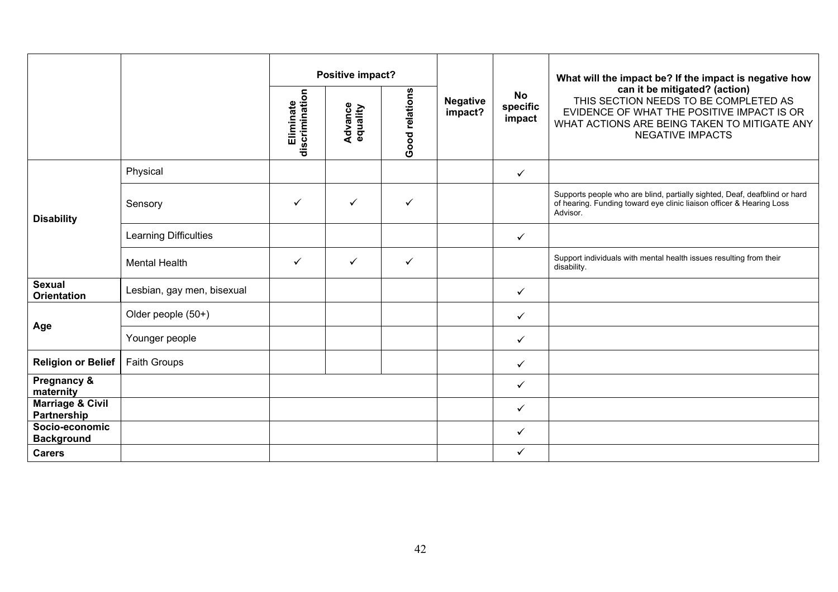|                                            |                            |                             | Positive impact?           |                |                            |                                 | What will the impact be? If the impact is negative how                                                                                                                                          |
|--------------------------------------------|----------------------------|-----------------------------|----------------------------|----------------|----------------------------|---------------------------------|-------------------------------------------------------------------------------------------------------------------------------------------------------------------------------------------------|
|                                            |                            | discrimination<br>Eliminate | <b>Advance</b><br>equality | Good relations | <b>Negative</b><br>impact? | <b>No</b><br>specific<br>impact | can it be mitigated? (action)<br>THIS SECTION NEEDS TO BE COMPLETED AS<br>EVIDENCE OF WHAT THE POSITIVE IMPACT IS OR<br>WHAT ACTIONS ARE BEING TAKEN TO MITIGATE ANY<br><b>NEGATIVE IMPACTS</b> |
|                                            | Physical                   |                             |                            |                |                            | $\checkmark$                    |                                                                                                                                                                                                 |
| <b>Disability</b>                          | Sensory                    | $\checkmark$                | $\checkmark$               | ✓              |                            |                                 | Supports people who are blind, partially sighted, Deaf, deafblind or hard<br>of hearing. Funding toward eye clinic liaison officer & Hearing Loss<br>Advisor.                                   |
|                                            | Learning Difficulties      |                             |                            |                |                            | $\checkmark$                    |                                                                                                                                                                                                 |
|                                            | <b>Mental Health</b>       | $\checkmark$                | $\checkmark$               | ✓              |                            |                                 | Support individuals with mental health issues resulting from their<br>disability.                                                                                                               |
| <b>Sexual</b><br><b>Orientation</b>        | Lesbian, gay men, bisexual |                             |                            |                |                            | $\checkmark$                    |                                                                                                                                                                                                 |
|                                            | Older people (50+)         |                             |                            |                |                            | $\checkmark$                    |                                                                                                                                                                                                 |
| Age                                        | Younger people             |                             |                            |                |                            | $\checkmark$                    |                                                                                                                                                                                                 |
| <b>Religion or Belief</b>                  | Faith Groups               |                             |                            |                |                            | $\checkmark$                    |                                                                                                                                                                                                 |
| Pregnancy &<br>maternity                   |                            |                             |                            |                |                            | $\checkmark$                    |                                                                                                                                                                                                 |
| <b>Marriage &amp; Civil</b><br>Partnership |                            |                             |                            |                |                            | $\checkmark$                    |                                                                                                                                                                                                 |
| Socio-economic<br><b>Background</b>        |                            |                             |                            |                |                            | $\checkmark$                    |                                                                                                                                                                                                 |
| <b>Carers</b>                              |                            |                             |                            |                |                            | $\checkmark$                    |                                                                                                                                                                                                 |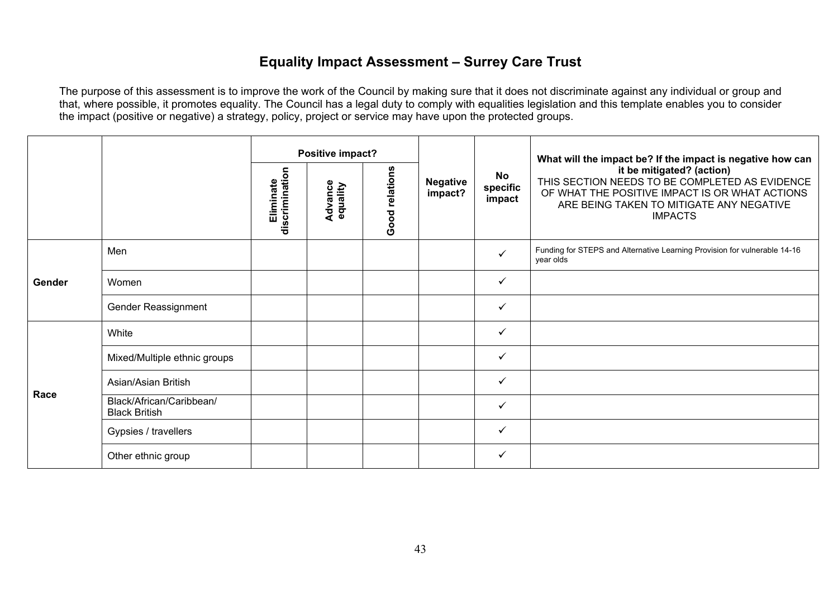# **Equality Impact Assessment – Surrey Care Trust**

|        |                                                  | Positive impact?            |                     |                |                            | What will the impact be? If the impact is negative how can |                                                                                                                                                                                             |
|--------|--------------------------------------------------|-----------------------------|---------------------|----------------|----------------------------|------------------------------------------------------------|---------------------------------------------------------------------------------------------------------------------------------------------------------------------------------------------|
|        |                                                  | discrimination<br>Eliminate | Advance<br>equality | Good relations | <b>Negative</b><br>impact? | <b>No</b><br>specific<br>impact                            | it be mitigated? (action)<br>THIS SECTION NEEDS TO BE COMPLETED AS EVIDENCE<br>OF WHAT THE POSITIVE IMPACT IS OR WHAT ACTIONS<br>ARE BEING TAKEN TO MITIGATE ANY NEGATIVE<br><b>IMPACTS</b> |
|        | Men                                              |                             |                     |                |                            | $\checkmark$                                               | Funding for STEPS and Alternative Learning Provision for vulnerable 14-16<br>year olds                                                                                                      |
| Gender | Women                                            |                             |                     |                |                            | $\checkmark$                                               |                                                                                                                                                                                             |
|        | Gender Reassignment                              |                             |                     |                |                            | ✓                                                          |                                                                                                                                                                                             |
|        | White                                            |                             |                     |                |                            | $\checkmark$                                               |                                                                                                                                                                                             |
|        | Mixed/Multiple ethnic groups                     |                             |                     |                |                            | $\checkmark$                                               |                                                                                                                                                                                             |
| Race   | Asian/Asian British                              |                             |                     |                |                            | ✓                                                          |                                                                                                                                                                                             |
|        | Black/African/Caribbean/<br><b>Black British</b> |                             |                     |                |                            | $\checkmark$                                               |                                                                                                                                                                                             |
|        | Gypsies / travellers                             |                             |                     |                |                            | $\checkmark$                                               |                                                                                                                                                                                             |
|        | Other ethnic group                               |                             |                     |                |                            | ✓                                                          |                                                                                                                                                                                             |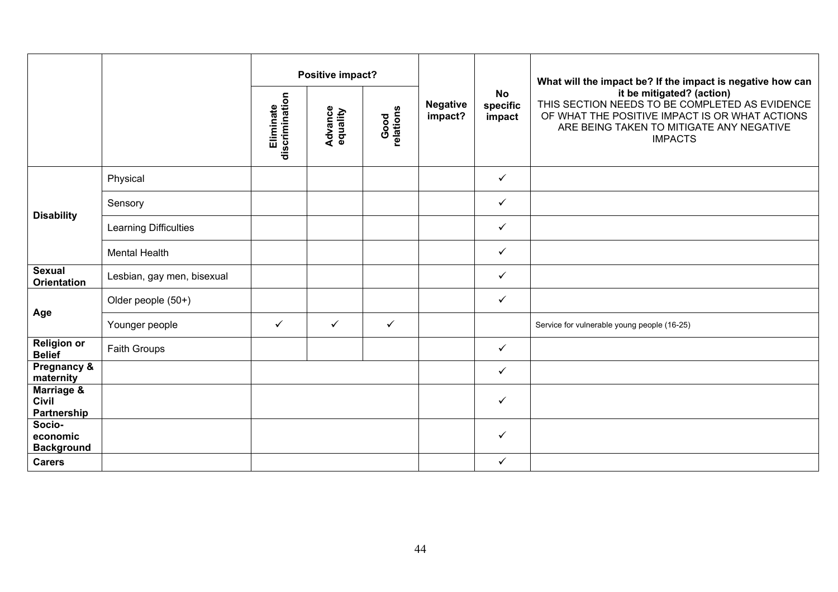|                                           |                            |                             | Positive impact?           |                   | <b>Negative</b><br>impact? |                                 | What will the impact be? If the impact is negative how can<br>it be mitigated? (action)<br>THIS SECTION NEEDS TO BE COMPLETED AS EVIDENCE<br>OF WHAT THE POSITIVE IMPACT IS OR WHAT ACTIONS<br>ARE BEING TAKEN TO MITIGATE ANY NEGATIVE<br><b>IMPACTS</b> |
|-------------------------------------------|----------------------------|-----------------------------|----------------------------|-------------------|----------------------------|---------------------------------|-----------------------------------------------------------------------------------------------------------------------------------------------------------------------------------------------------------------------------------------------------------|
|                                           |                            | discrimination<br>Eliminate | <b>Advance</b><br>equality | Good<br>relations |                            | <b>No</b><br>specific<br>impact |                                                                                                                                                                                                                                                           |
|                                           | Physical                   |                             |                            |                   |                            | $\checkmark$                    |                                                                                                                                                                                                                                                           |
|                                           | Sensory                    |                             |                            |                   |                            | $\checkmark$                    |                                                                                                                                                                                                                                                           |
| <b>Disability</b>                         | Learning Difficulties      |                             |                            |                   |                            | $\checkmark$                    |                                                                                                                                                                                                                                                           |
|                                           | <b>Mental Health</b>       |                             |                            |                   |                            | $\checkmark$                    |                                                                                                                                                                                                                                                           |
| <b>Sexual</b><br><b>Orientation</b>       | Lesbian, gay men, bisexual |                             |                            |                   |                            | $\checkmark$                    |                                                                                                                                                                                                                                                           |
|                                           | Older people (50+)         |                             |                            |                   |                            | $\checkmark$                    |                                                                                                                                                                                                                                                           |
| Age                                       | Younger people             | $\checkmark$                | $\checkmark$               | $\checkmark$      |                            |                                 | Service for vulnerable young people (16-25)                                                                                                                                                                                                               |
| <b>Religion or</b><br><b>Belief</b>       | Faith Groups               |                             |                            |                   |                            | $\checkmark$                    |                                                                                                                                                                                                                                                           |
| Pregnancy &<br>maternity                  |                            |                             |                            |                   |                            | $\checkmark$                    |                                                                                                                                                                                                                                                           |
| Marriage &<br><b>Civil</b><br>Partnership |                            |                             |                            |                   |                            | $\checkmark$                    |                                                                                                                                                                                                                                                           |
| Socio-<br>economic<br><b>Background</b>   |                            |                             |                            |                   |                            | $\checkmark$                    |                                                                                                                                                                                                                                                           |
| <b>Carers</b>                             |                            |                             |                            |                   |                            | $\checkmark$                    |                                                                                                                                                                                                                                                           |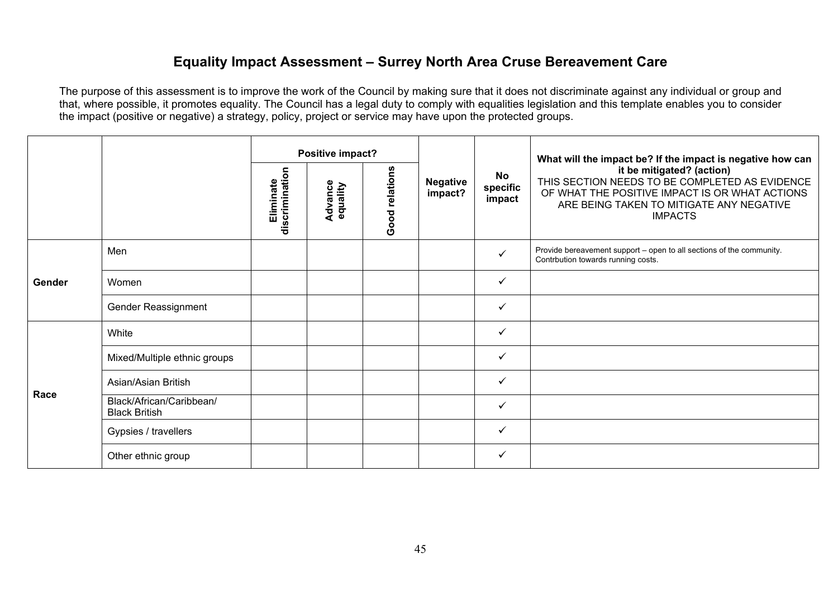#### **Equality Impact Assessment – Surrey North Area Cruse Bereavement Care**

|        |                                                  | Positive impact?            |                     |                |                            | What will the impact be? If the impact is negative how can |                                                                                                                                                                                             |
|--------|--------------------------------------------------|-----------------------------|---------------------|----------------|----------------------------|------------------------------------------------------------|---------------------------------------------------------------------------------------------------------------------------------------------------------------------------------------------|
|        |                                                  | discrimination<br>Eliminate | Advance<br>equality | Good relations | <b>Negative</b><br>impact? | <b>No</b><br>specific<br>impact                            | it be mitigated? (action)<br>THIS SECTION NEEDS TO BE COMPLETED AS EVIDENCE<br>OF WHAT THE POSITIVE IMPACT IS OR WHAT ACTIONS<br>ARE BEING TAKEN TO MITIGATE ANY NEGATIVE<br><b>IMPACTS</b> |
|        | Men                                              |                             |                     |                |                            | $\checkmark$                                               | Provide bereavement support - open to all sections of the community.<br>Contrbution towards running costs.                                                                                  |
| Gender | Women                                            |                             |                     |                |                            | $\checkmark$                                               |                                                                                                                                                                                             |
|        | Gender Reassignment                              |                             |                     |                |                            | ✓                                                          |                                                                                                                                                                                             |
|        | White                                            |                             |                     |                |                            | $\checkmark$                                               |                                                                                                                                                                                             |
|        | Mixed/Multiple ethnic groups                     |                             |                     |                |                            | $\checkmark$                                               |                                                                                                                                                                                             |
| Race   | Asian/Asian British                              |                             |                     |                |                            | ✓                                                          |                                                                                                                                                                                             |
|        | Black/African/Caribbean/<br><b>Black British</b> |                             |                     |                |                            | $\checkmark$                                               |                                                                                                                                                                                             |
|        | Gypsies / travellers                             |                             |                     |                |                            | $\checkmark$                                               |                                                                                                                                                                                             |
|        | Other ethnic group                               |                             |                     |                |                            | ✓                                                          |                                                                                                                                                                                             |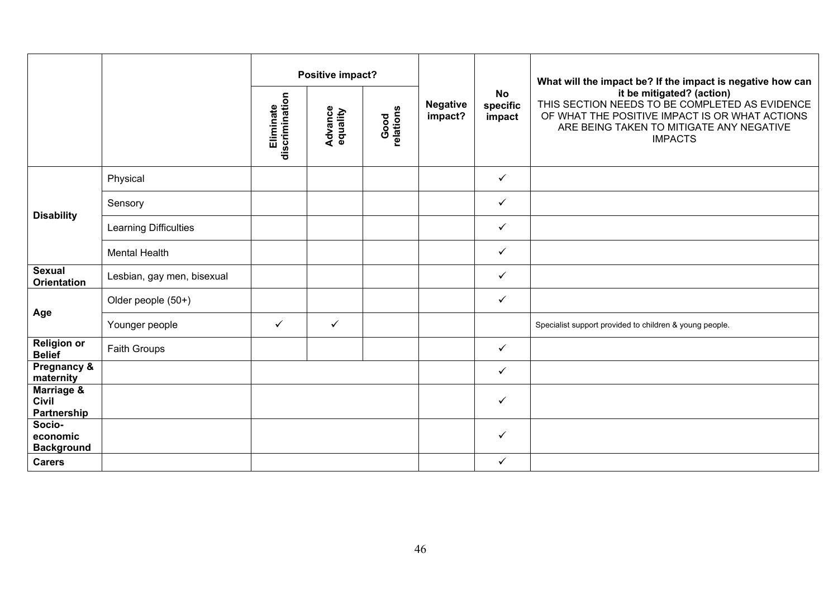|                                           |                            | Positive impact?                                                               |                            |                                 |                                                                                                                                                                                             |              | What will the impact be? If the impact is negative how can |
|-------------------------------------------|----------------------------|--------------------------------------------------------------------------------|----------------------------|---------------------------------|---------------------------------------------------------------------------------------------------------------------------------------------------------------------------------------------|--------------|------------------------------------------------------------|
|                                           |                            | discrimination<br>Eliminate<br><b>Advance</b><br>equality<br>Good<br>relations | <b>Negative</b><br>impact? | <b>No</b><br>specific<br>impact | it be mitigated? (action)<br>THIS SECTION NEEDS TO BE COMPLETED AS EVIDENCE<br>OF WHAT THE POSITIVE IMPACT IS OR WHAT ACTIONS<br>ARE BEING TAKEN TO MITIGATE ANY NEGATIVE<br><b>IMPACTS</b> |              |                                                            |
|                                           | Physical                   |                                                                                |                            |                                 |                                                                                                                                                                                             | $\checkmark$ |                                                            |
|                                           | Sensory                    |                                                                                |                            |                                 |                                                                                                                                                                                             | $\checkmark$ |                                                            |
| <b>Disability</b>                         | Learning Difficulties      |                                                                                |                            |                                 |                                                                                                                                                                                             | $\checkmark$ |                                                            |
|                                           | <b>Mental Health</b>       |                                                                                |                            |                                 |                                                                                                                                                                                             | $\checkmark$ |                                                            |
| <b>Sexual</b><br><b>Orientation</b>       | Lesbian, gay men, bisexual |                                                                                |                            |                                 |                                                                                                                                                                                             | $\checkmark$ |                                                            |
|                                           | Older people (50+)         |                                                                                |                            |                                 |                                                                                                                                                                                             | $\checkmark$ |                                                            |
| Age                                       | Younger people             | ✓                                                                              | ✓                          |                                 |                                                                                                                                                                                             |              | Specialist support provided to children & young people.    |
| <b>Religion or</b><br><b>Belief</b>       | Faith Groups               |                                                                                |                            |                                 |                                                                                                                                                                                             | $\checkmark$ |                                                            |
| Pregnancy &<br>maternity                  |                            |                                                                                |                            |                                 |                                                                                                                                                                                             | $\checkmark$ |                                                            |
| Marriage &<br><b>Civil</b><br>Partnership |                            |                                                                                |                            |                                 |                                                                                                                                                                                             | $\checkmark$ |                                                            |
| Socio-<br>economic<br><b>Background</b>   |                            |                                                                                |                            |                                 |                                                                                                                                                                                             | $\checkmark$ |                                                            |
| <b>Carers</b>                             |                            |                                                                                |                            |                                 |                                                                                                                                                                                             | $\checkmark$ |                                                            |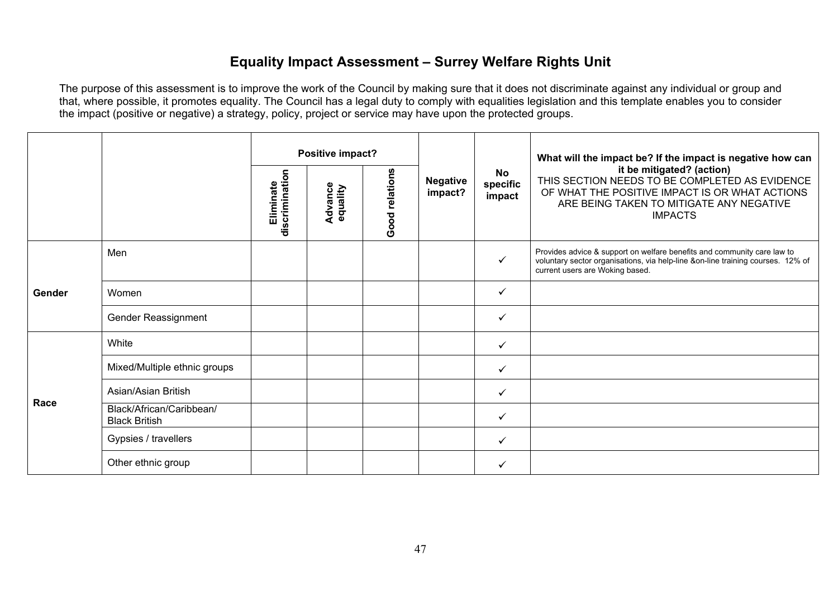## **Equality Impact Assessment – Surrey Welfare Rights Unit**

|        |                                                  |                             | Positive impact?    |                |                            | No<br>specific<br>impact | What will the impact be? If the impact is negative how can<br>it be mitigated? (action)<br>THIS SECTION NEEDS TO BE COMPLETED AS EVIDENCE<br>OF WHAT THE POSITIVE IMPACT IS OR WHAT ACTIONS<br>ARE BEING TAKEN TO MITIGATE ANY NEGATIVE<br><b>IMPACTS</b> |
|--------|--------------------------------------------------|-----------------------------|---------------------|----------------|----------------------------|--------------------------|-----------------------------------------------------------------------------------------------------------------------------------------------------------------------------------------------------------------------------------------------------------|
|        |                                                  | Eliminate<br>discrimination | Advance<br>equality | Good relations | <b>Negative</b><br>impact? |                          |                                                                                                                                                                                                                                                           |
|        | Men                                              |                             |                     |                |                            | $\checkmark$             | Provides advice & support on welfare benefits and community care law to<br>voluntary sector organisations, via help-line &on-line training courses. 12% of<br>current users are Woking based.                                                             |
| Gender | Women                                            |                             |                     |                |                            | ✓                        |                                                                                                                                                                                                                                                           |
|        | Gender Reassignment                              |                             |                     |                |                            | ✓                        |                                                                                                                                                                                                                                                           |
|        | White                                            |                             |                     |                |                            | $\checkmark$             |                                                                                                                                                                                                                                                           |
|        | Mixed/Multiple ethnic groups                     |                             |                     |                |                            | $\checkmark$             |                                                                                                                                                                                                                                                           |
| Race   | Asian/Asian British                              |                             |                     |                |                            | ✓                        |                                                                                                                                                                                                                                                           |
|        | Black/African/Caribbean/<br><b>Black British</b> |                             |                     |                |                            | ✓                        |                                                                                                                                                                                                                                                           |
|        | Gypsies / travellers                             |                             |                     |                |                            | $\checkmark$             |                                                                                                                                                                                                                                                           |
|        | Other ethnic group                               |                             |                     |                |                            | ✓                        |                                                                                                                                                                                                                                                           |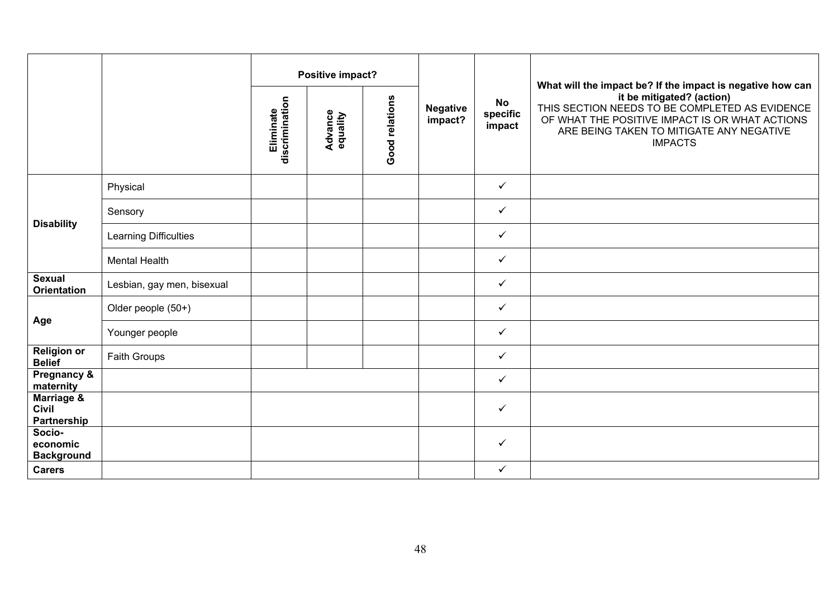|                                           |                              |                             | Positive impact?           |                |                            |                                 | What will the impact be? If the impact is negative how can                                                                                                                                  |
|-------------------------------------------|------------------------------|-----------------------------|----------------------------|----------------|----------------------------|---------------------------------|---------------------------------------------------------------------------------------------------------------------------------------------------------------------------------------------|
|                                           |                              | Eliminate<br>discrimination | <b>Advance</b><br>equality | Good relations | <b>Negative</b><br>impact? | <b>No</b><br>specific<br>impact | it be mitigated? (action)<br>THIS SECTION NEEDS TO BE COMPLETED AS EVIDENCE<br>OF WHAT THE POSITIVE IMPACT IS OR WHAT ACTIONS<br>ARE BEING TAKEN TO MITIGATE ANY NEGATIVE<br><b>IMPACTS</b> |
|                                           | Physical                     |                             |                            |                |                            | $\checkmark$                    |                                                                                                                                                                                             |
|                                           | Sensory                      |                             |                            |                |                            | $\checkmark$                    |                                                                                                                                                                                             |
| <b>Disability</b>                         | <b>Learning Difficulties</b> |                             |                            |                |                            | $\checkmark$                    |                                                                                                                                                                                             |
|                                           | <b>Mental Health</b>         |                             |                            |                |                            | $\checkmark$                    |                                                                                                                                                                                             |
| <b>Sexual</b><br><b>Orientation</b>       | Lesbian, gay men, bisexual   |                             |                            |                |                            | $\checkmark$                    |                                                                                                                                                                                             |
|                                           | Older people (50+)           |                             |                            |                |                            | $\checkmark$                    |                                                                                                                                                                                             |
| Age                                       | Younger people               |                             |                            |                |                            | $\checkmark$                    |                                                                                                                                                                                             |
| <b>Religion or</b><br><b>Belief</b>       | Faith Groups                 |                             |                            |                |                            | $\checkmark$                    |                                                                                                                                                                                             |
| Pregnancy &<br>maternity                  |                              |                             |                            |                |                            | $\checkmark$                    |                                                                                                                                                                                             |
| Marriage &<br><b>Civil</b><br>Partnership |                              |                             |                            |                |                            | $\checkmark$                    |                                                                                                                                                                                             |
| Socio-<br>economic<br><b>Background</b>   |                              |                             |                            |                |                            | $\checkmark$                    |                                                                                                                                                                                             |
| <b>Carers</b>                             |                              |                             |                            |                |                            | $\checkmark$                    |                                                                                                                                                                                             |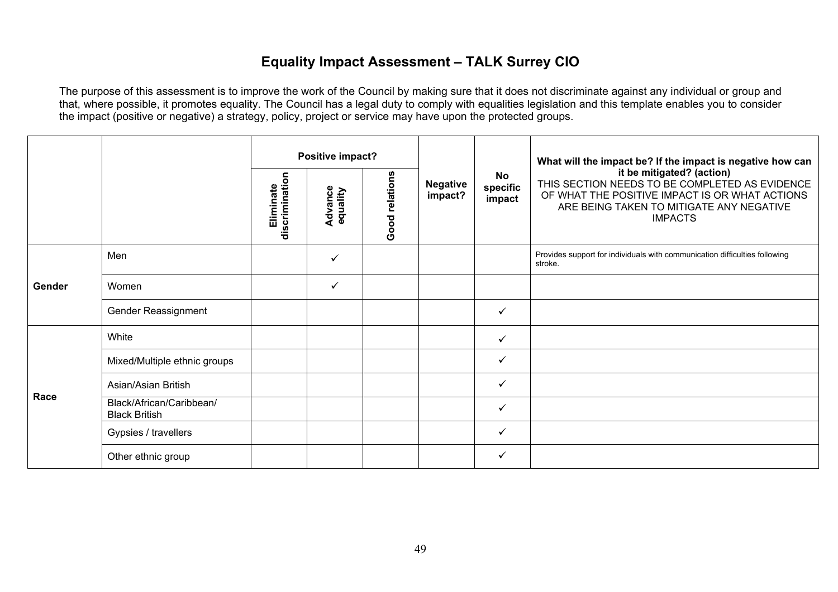# **Equality Impact Assessment – TALK Surrey CIO**

|        |                                                  |                             | Positive impact?    |                |                            |                                 | What will the impact be? If the impact is negative how can                                                                                                                                  |
|--------|--------------------------------------------------|-----------------------------|---------------------|----------------|----------------------------|---------------------------------|---------------------------------------------------------------------------------------------------------------------------------------------------------------------------------------------|
|        |                                                  | discrimination<br>Eliminate | Advance<br>equality | Good relations | <b>Negative</b><br>impact? | <b>No</b><br>specific<br>impact | it be mitigated? (action)<br>THIS SECTION NEEDS TO BE COMPLETED AS EVIDENCE<br>OF WHAT THE POSITIVE IMPACT IS OR WHAT ACTIONS<br>ARE BEING TAKEN TO MITIGATE ANY NEGATIVE<br><b>IMPACTS</b> |
|        | Men                                              |                             | ✓                   |                |                            |                                 | Provides support for individuals with communication difficulties following<br>stroke.                                                                                                       |
| Gender | Women                                            |                             | ✓                   |                |                            |                                 |                                                                                                                                                                                             |
|        | Gender Reassignment                              |                             |                     |                |                            | ✓                               |                                                                                                                                                                                             |
|        | White                                            |                             |                     |                |                            | $\checkmark$                    |                                                                                                                                                                                             |
|        | Mixed/Multiple ethnic groups                     |                             |                     |                |                            | ✓                               |                                                                                                                                                                                             |
| Race   | Asian/Asian British                              |                             |                     |                |                            | $\checkmark$                    |                                                                                                                                                                                             |
|        | Black/African/Caribbean/<br><b>Black British</b> |                             |                     |                |                            | ✓                               |                                                                                                                                                                                             |
|        | Gypsies / travellers                             |                             |                     |                |                            | ✓                               |                                                                                                                                                                                             |
|        | Other ethnic group                               |                             |                     |                |                            | ✓                               |                                                                                                                                                                                             |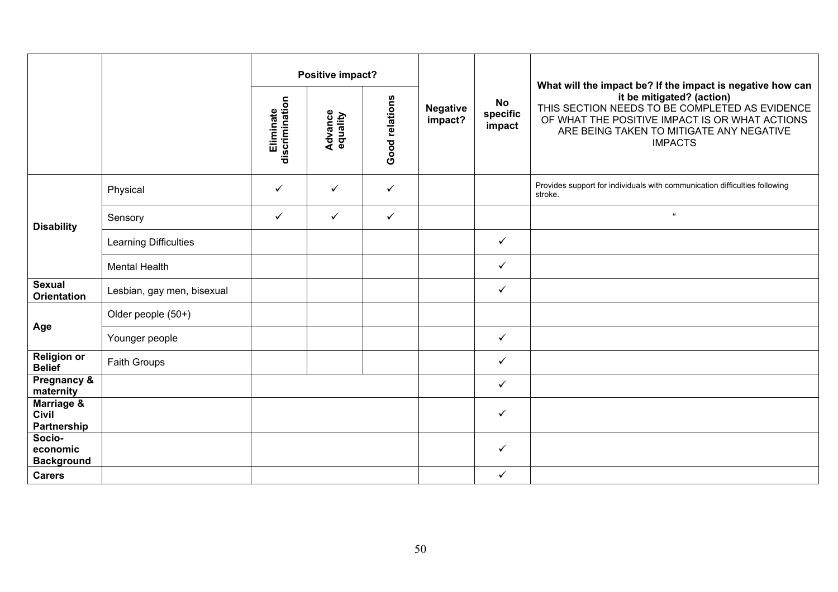|                                           |                            | discrimination<br>Eliminate | Positive impact?<br><b>Advance</b><br>equality | Good relations | <b>Negative</b><br>impact? | <b>No</b><br>specific<br>impact | What will the impact be? If the impact is negative how can<br>it be mitigated? (action)<br>THIS SECTION NEEDS TO BE COMPLETED AS EVIDENCE<br>OF WHAT THE POSITIVE IMPACT IS OR WHAT ACTIONS<br>ARE BEING TAKEN TO MITIGATE ANY NEGATIVE<br><b>IMPACTS</b> |
|-------------------------------------------|----------------------------|-----------------------------|------------------------------------------------|----------------|----------------------------|---------------------------------|-----------------------------------------------------------------------------------------------------------------------------------------------------------------------------------------------------------------------------------------------------------|
|                                           | Physical                   | $\checkmark$                | $\checkmark$                                   | $\checkmark$   |                            |                                 | Provides support for individuals with communication difficulties following<br>stroke.                                                                                                                                                                     |
| <b>Disability</b>                         | Sensory                    | $\checkmark$                | $\checkmark$                                   | $\checkmark$   |                            |                                 | $\alpha$                                                                                                                                                                                                                                                  |
|                                           | Learning Difficulties      |                             |                                                |                |                            | $\checkmark$                    |                                                                                                                                                                                                                                                           |
|                                           | <b>Mental Health</b>       |                             |                                                |                |                            | $\checkmark$                    |                                                                                                                                                                                                                                                           |
| <b>Sexual</b><br><b>Orientation</b>       | Lesbian, gay men, bisexual |                             |                                                |                |                            | $\checkmark$                    |                                                                                                                                                                                                                                                           |
|                                           | Older people (50+)         |                             |                                                |                |                            |                                 |                                                                                                                                                                                                                                                           |
| Age                                       | Younger people             |                             |                                                |                |                            | $\checkmark$                    |                                                                                                                                                                                                                                                           |
| <b>Religion or</b><br><b>Belief</b>       | Faith Groups               |                             |                                                |                |                            | $\checkmark$                    |                                                                                                                                                                                                                                                           |
| Pregnancy &<br>maternity                  |                            |                             |                                                |                |                            | $\checkmark$                    |                                                                                                                                                                                                                                                           |
| Marriage &<br><b>Civil</b><br>Partnership |                            |                             |                                                |                |                            | $\checkmark$                    |                                                                                                                                                                                                                                                           |
| Socio-<br>economic<br><b>Background</b>   |                            |                             |                                                |                |                            | $\checkmark$                    |                                                                                                                                                                                                                                                           |
| <b>Carers</b>                             |                            |                             |                                                |                |                            | $\checkmark$                    |                                                                                                                                                                                                                                                           |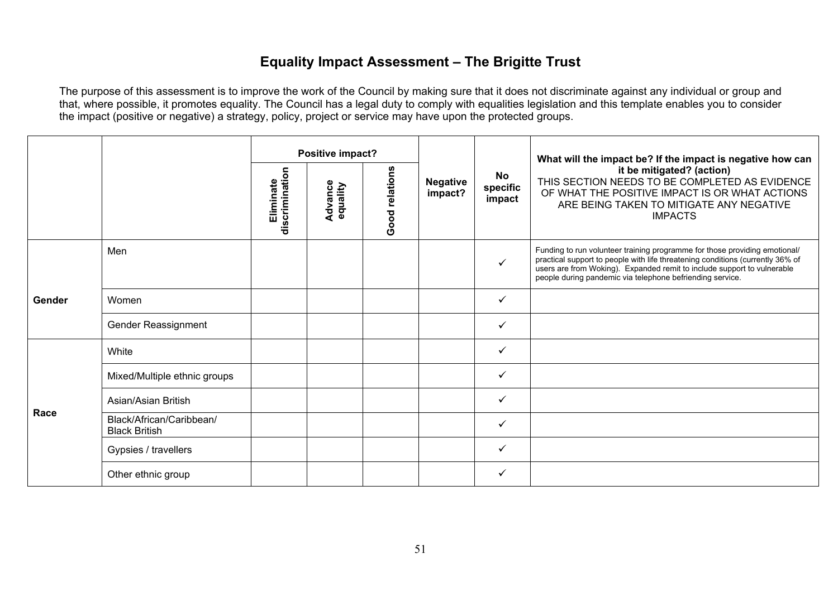## **Equality Impact Assessment – The Brigitte Trust**

|        |                                                  | Positive impact?            |                     |                |                            | What will the impact be? If the impact is negative how can |                                                                                                                                                                                                                                                                                                      |
|--------|--------------------------------------------------|-----------------------------|---------------------|----------------|----------------------------|------------------------------------------------------------|------------------------------------------------------------------------------------------------------------------------------------------------------------------------------------------------------------------------------------------------------------------------------------------------------|
|        |                                                  | discrimination<br>Eliminate | Advance<br>equality | Good relations | <b>Negative</b><br>impact? | No<br>specific<br>impact                                   | it be mitigated? (action)<br>THIS SECTION NEEDS TO BE COMPLETED AS EVIDENCE<br>OF WHAT THE POSITIVE IMPACT IS OR WHAT ACTIONS<br>ARE BEING TAKEN TO MITIGATE ANY NEGATIVE<br><b>IMPACTS</b>                                                                                                          |
|        | Men                                              |                             |                     |                |                            | ✓                                                          | Funding to run volunteer training programme for those providing emotional/<br>practical support to people with life threatening conditions (currently 36% of<br>users are from Woking). Expanded remit to include support to vulnerable<br>people during pandemic via telephone befriending service. |
| Gender | Women                                            |                             |                     |                |                            | ✓                                                          |                                                                                                                                                                                                                                                                                                      |
|        | Gender Reassignment                              |                             |                     |                |                            | ✓                                                          |                                                                                                                                                                                                                                                                                                      |
|        | White                                            |                             |                     |                |                            | ✓                                                          |                                                                                                                                                                                                                                                                                                      |
|        | Mixed/Multiple ethnic groups                     |                             |                     |                |                            |                                                            |                                                                                                                                                                                                                                                                                                      |
|        | Asian/Asian British                              |                             |                     |                |                            | ✓                                                          |                                                                                                                                                                                                                                                                                                      |
| Race   | Black/African/Caribbean/<br><b>Black British</b> |                             |                     |                |                            | ✓                                                          |                                                                                                                                                                                                                                                                                                      |
|        | Gypsies / travellers                             |                             |                     |                |                            | ✓                                                          |                                                                                                                                                                                                                                                                                                      |
|        | Other ethnic group                               |                             |                     |                |                            | ✓                                                          |                                                                                                                                                                                                                                                                                                      |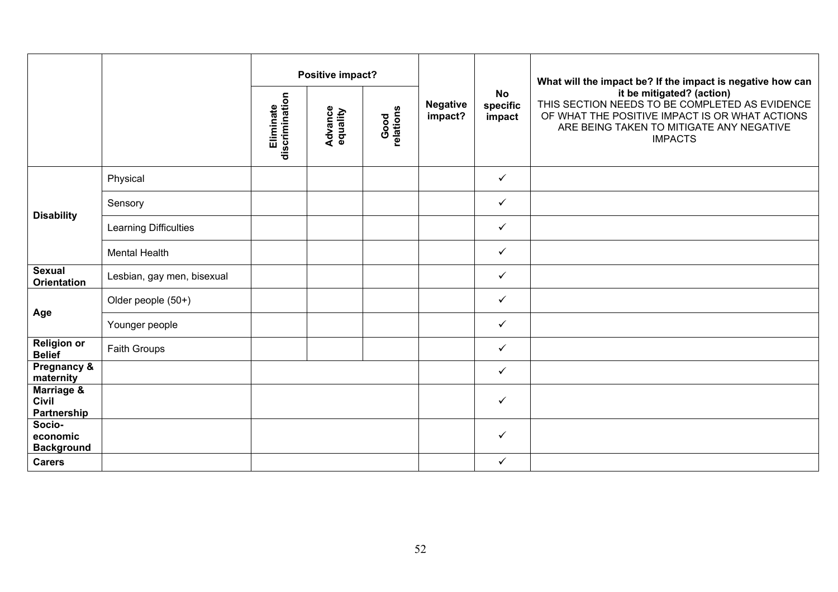|                                           |                            |                             | Positive impact?           |                   |                            |                                 | What will the impact be? If the impact is negative how can<br>it be mitigated? (action)<br>THIS SECTION NEEDS TO BE COMPLETED AS EVIDENCE<br>OF WHAT THE POSITIVE IMPACT IS OR WHAT ACTIONS<br>ARE BEING TAKEN TO MITIGATE ANY NEGATIVE<br><b>IMPACTS</b> |
|-------------------------------------------|----------------------------|-----------------------------|----------------------------|-------------------|----------------------------|---------------------------------|-----------------------------------------------------------------------------------------------------------------------------------------------------------------------------------------------------------------------------------------------------------|
|                                           |                            | discrimination<br>Eliminate | <b>Advance</b><br>equality | Good<br>relations | <b>Negative</b><br>impact? | <b>No</b><br>specific<br>impact |                                                                                                                                                                                                                                                           |
|                                           | Physical                   |                             |                            |                   |                            | $\checkmark$                    |                                                                                                                                                                                                                                                           |
|                                           | Sensory                    |                             |                            |                   |                            | $\checkmark$                    |                                                                                                                                                                                                                                                           |
| <b>Disability</b>                         | Learning Difficulties      |                             |                            |                   |                            | $\checkmark$                    |                                                                                                                                                                                                                                                           |
|                                           | <b>Mental Health</b>       |                             |                            |                   |                            | $\checkmark$                    |                                                                                                                                                                                                                                                           |
| <b>Sexual</b><br><b>Orientation</b>       | Lesbian, gay men, bisexual |                             |                            |                   |                            | $\checkmark$                    |                                                                                                                                                                                                                                                           |
|                                           | Older people (50+)         |                             |                            |                   |                            | $\checkmark$                    |                                                                                                                                                                                                                                                           |
| Age                                       | Younger people             |                             |                            |                   |                            | $\checkmark$                    |                                                                                                                                                                                                                                                           |
| <b>Religion or</b><br><b>Belief</b>       | Faith Groups               |                             |                            |                   |                            | $\checkmark$                    |                                                                                                                                                                                                                                                           |
| Pregnancy &<br>maternity                  |                            |                             |                            |                   |                            | $\checkmark$                    |                                                                                                                                                                                                                                                           |
| Marriage &<br><b>Civil</b><br>Partnership |                            |                             |                            |                   |                            | $\checkmark$                    |                                                                                                                                                                                                                                                           |
| Socio-<br>economic<br><b>Background</b>   |                            |                             |                            |                   |                            | $\checkmark$                    |                                                                                                                                                                                                                                                           |
| <b>Carers</b>                             |                            |                             |                            |                   |                            | $\checkmark$                    |                                                                                                                                                                                                                                                           |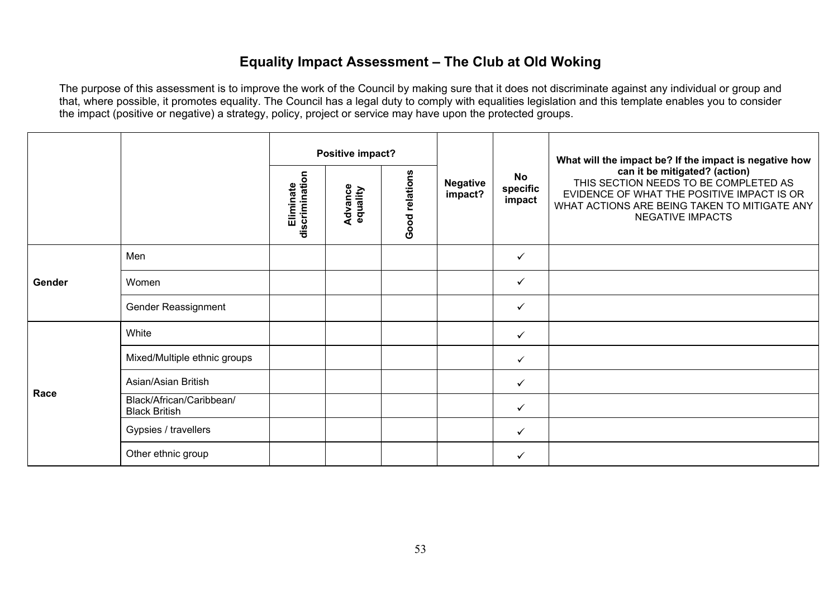# **Equality Impact Assessment – The Club at Old Woking**

|        |                                                  |                             | Positive impact?    |                |                            |                                 | What will the impact be? If the impact is negative how<br>can it be mitigated? (action)<br>THIS SECTION NEEDS TO BE COMPLETED AS<br>EVIDENCE OF WHAT THE POSITIVE IMPACT IS OR<br>WHAT ACTIONS ARE BEING TAKEN TO MITIGATE ANY<br><b>NEGATIVE IMPACTS</b> |
|--------|--------------------------------------------------|-----------------------------|---------------------|----------------|----------------------------|---------------------------------|-----------------------------------------------------------------------------------------------------------------------------------------------------------------------------------------------------------------------------------------------------------|
|        |                                                  | discrimination<br>Eliminate | Advance<br>equality | Good relations | <b>Negative</b><br>impact? | <b>No</b><br>specific<br>impact |                                                                                                                                                                                                                                                           |
|        | Men                                              |                             |                     |                |                            | ✓                               |                                                                                                                                                                                                                                                           |
| Gender | Women                                            |                             |                     |                |                            | $\checkmark$                    |                                                                                                                                                                                                                                                           |
|        | Gender Reassignment                              |                             |                     |                |                            | $\checkmark$                    |                                                                                                                                                                                                                                                           |
|        | White                                            |                             |                     |                |                            | $\checkmark$                    |                                                                                                                                                                                                                                                           |
|        | Mixed/Multiple ethnic groups                     |                             |                     |                |                            | $\checkmark$                    |                                                                                                                                                                                                                                                           |
|        | Asian/Asian British                              |                             |                     |                |                            | $\checkmark$                    |                                                                                                                                                                                                                                                           |
| Race   | Black/African/Caribbean/<br><b>Black British</b> |                             |                     |                |                            | $\checkmark$                    |                                                                                                                                                                                                                                                           |
|        | Gypsies / travellers                             |                             |                     |                |                            | $\checkmark$                    |                                                                                                                                                                                                                                                           |
|        | Other ethnic group                               |                             |                     |                |                            | ✓                               |                                                                                                                                                                                                                                                           |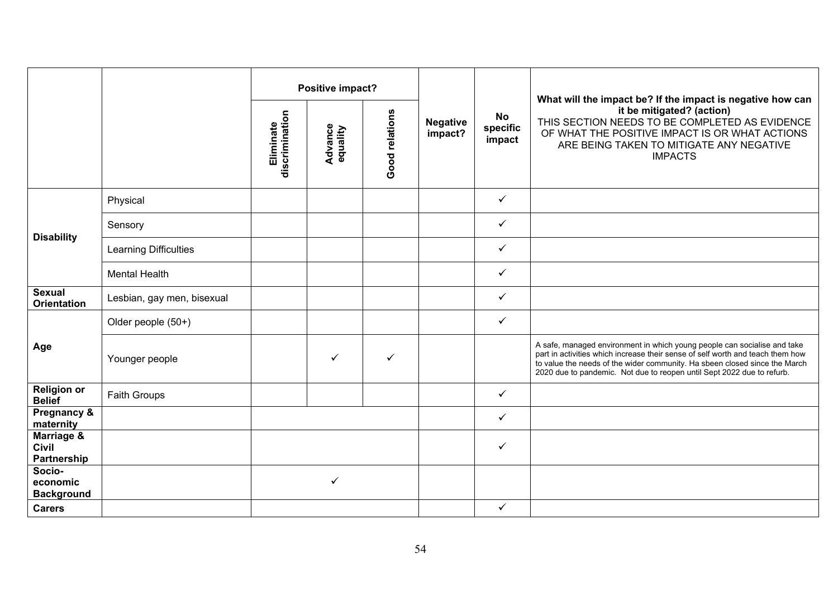|                                           |                              | Positive impact?            |                            |                |                            |                                 | What will the impact be? If the impact is negative how can                                                                                                                                                                                                                                                         |
|-------------------------------------------|------------------------------|-----------------------------|----------------------------|----------------|----------------------------|---------------------------------|--------------------------------------------------------------------------------------------------------------------------------------------------------------------------------------------------------------------------------------------------------------------------------------------------------------------|
|                                           |                              | Eliminate<br>discrimination | <b>Advance</b><br>equality | Good relations | <b>Negative</b><br>impact? | <b>No</b><br>specific<br>impact | it be mitigated? (action)<br>THIS SECTION NEEDS TO BE COMPLETED AS EVIDENCE<br>OF WHAT THE POSITIVE IMPACT IS OR WHAT ACTIONS<br>ARE BEING TAKEN TO MITIGATE ANY NEGATIVE<br><b>IMPACTS</b>                                                                                                                        |
|                                           | Physical                     |                             |                            |                |                            | $\checkmark$                    |                                                                                                                                                                                                                                                                                                                    |
|                                           | Sensory                      |                             |                            |                |                            | ✓                               |                                                                                                                                                                                                                                                                                                                    |
| <b>Disability</b>                         | <b>Learning Difficulties</b> |                             |                            |                |                            | ✓                               |                                                                                                                                                                                                                                                                                                                    |
|                                           | <b>Mental Health</b>         |                             |                            |                |                            | ✓                               |                                                                                                                                                                                                                                                                                                                    |
| <b>Sexual</b><br><b>Orientation</b>       | Lesbian, gay men, bisexual   |                             |                            |                |                            | ✓                               |                                                                                                                                                                                                                                                                                                                    |
|                                           | Older people (50+)           |                             |                            |                |                            | ✓                               |                                                                                                                                                                                                                                                                                                                    |
| Age                                       | Younger people               |                             | ✓                          | ✓              |                            |                                 | A safe, managed environment in which young people can socialise and take<br>part in activities which increase their sense of self worth and teach them how<br>to value the needs of the wider community. Ha sbeen closed since the March<br>2020 due to pandemic. Not due to reopen until Sept 2022 due to refurb. |
| <b>Religion or</b><br><b>Belief</b>       | Faith Groups                 |                             |                            |                |                            | $\checkmark$                    |                                                                                                                                                                                                                                                                                                                    |
| Pregnancy &<br>maternity                  |                              |                             |                            |                |                            | ✓                               |                                                                                                                                                                                                                                                                                                                    |
| Marriage &<br><b>Civil</b><br>Partnership |                              |                             |                            |                |                            | ✓                               |                                                                                                                                                                                                                                                                                                                    |
| Socio-<br>economic<br><b>Background</b>   |                              |                             | $\checkmark$               |                |                            |                                 |                                                                                                                                                                                                                                                                                                                    |
| <b>Carers</b>                             |                              |                             |                            |                |                            | ✓                               |                                                                                                                                                                                                                                                                                                                    |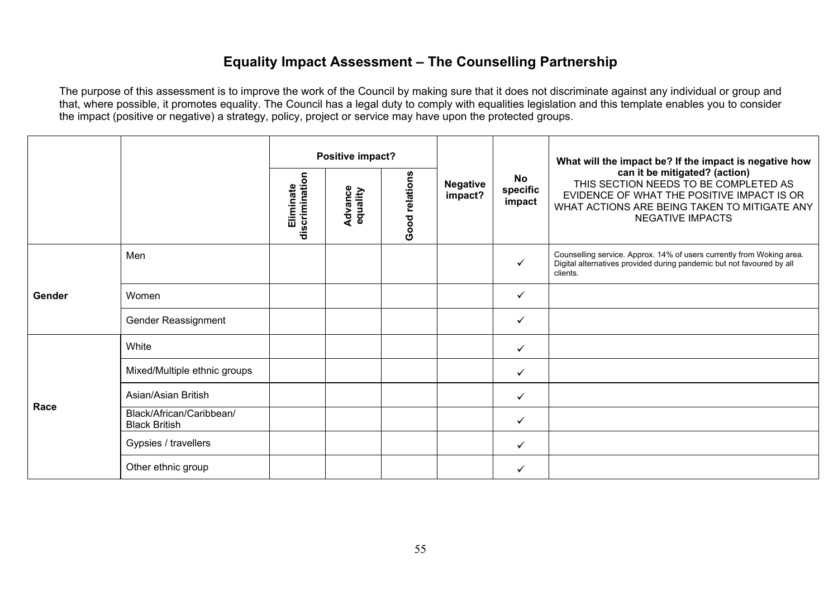### **Equality Impact Assessment – The Counselling Partnership**

|        |                                                  |                             | Positive impact?    |                |                            | <b>No</b><br>specific<br>impact | What will the impact be? If the impact is negative how<br>can it be mitigated? (action)<br>THIS SECTION NEEDS TO BE COMPLETED AS<br>EVIDENCE OF WHAT THE POSITIVE IMPACT IS OR<br>WHAT ACTIONS ARE BEING TAKEN TO MITIGATE ANY<br><b>NEGATIVE IMPACTS</b> |
|--------|--------------------------------------------------|-----------------------------|---------------------|----------------|----------------------------|---------------------------------|-----------------------------------------------------------------------------------------------------------------------------------------------------------------------------------------------------------------------------------------------------------|
|        |                                                  | discrimination<br>Eliminate | Advance<br>equality | Good relations | <b>Negative</b><br>impact? |                                 |                                                                                                                                                                                                                                                           |
|        | Men                                              |                             |                     |                |                            | ✓                               | Counselling service. Approx. 14% of users currently from Woking area.<br>Digital alternatives provided during pandemic but not favoured by all<br>clients.                                                                                                |
| Gender | Women                                            |                             |                     |                |                            | $\checkmark$                    |                                                                                                                                                                                                                                                           |
|        | Gender Reassignment                              |                             |                     |                |                            | $\checkmark$                    |                                                                                                                                                                                                                                                           |
|        | White                                            |                             |                     |                |                            | ✓                               |                                                                                                                                                                                                                                                           |
|        | Mixed/Multiple ethnic groups                     |                             |                     |                |                            | $\checkmark$                    |                                                                                                                                                                                                                                                           |
|        | Asian/Asian British                              |                             |                     |                |                            | $\checkmark$                    |                                                                                                                                                                                                                                                           |
| Race   | Black/African/Caribbean/<br><b>Black British</b> |                             |                     |                |                            | $\checkmark$                    |                                                                                                                                                                                                                                                           |
|        | Gypsies / travellers                             |                             |                     |                |                            | ✓                               |                                                                                                                                                                                                                                                           |
|        | Other ethnic group                               |                             |                     |                |                            | $\checkmark$                    |                                                                                                                                                                                                                                                           |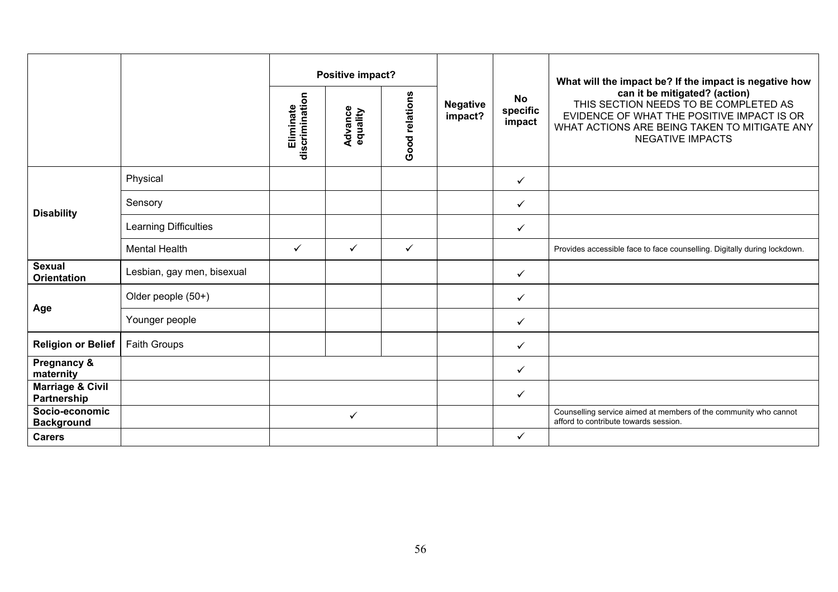|                                            |                            |                             | Positive impact?    |                |                            |                                 | What will the impact be? If the impact is negative how                                                                                                                                          |
|--------------------------------------------|----------------------------|-----------------------------|---------------------|----------------|----------------------------|---------------------------------|-------------------------------------------------------------------------------------------------------------------------------------------------------------------------------------------------|
|                                            |                            | discrimination<br>Eliminate | Advance<br>equality | Good relations | <b>Negative</b><br>impact? | <b>No</b><br>specific<br>impact | can it be mitigated? (action)<br>THIS SECTION NEEDS TO BE COMPLETED AS<br>EVIDENCE OF WHAT THE POSITIVE IMPACT IS OR<br>WHAT ACTIONS ARE BEING TAKEN TO MITIGATE ANY<br><b>NEGATIVE IMPACTS</b> |
|                                            | Physical                   |                             |                     |                |                            | $\checkmark$                    |                                                                                                                                                                                                 |
| <b>Disability</b>                          | Sensory                    |                             |                     |                |                            | $\checkmark$                    |                                                                                                                                                                                                 |
|                                            | Learning Difficulties      |                             |                     |                |                            | $\checkmark$                    |                                                                                                                                                                                                 |
|                                            | <b>Mental Health</b>       | $\checkmark$                | $\checkmark$        | $\checkmark$   |                            |                                 | Provides accessible face to face counselling. Digitally during lockdown.                                                                                                                        |
| <b>Sexual</b><br><b>Orientation</b>        | Lesbian, gay men, bisexual |                             |                     |                |                            | $\checkmark$                    |                                                                                                                                                                                                 |
|                                            | Older people (50+)         |                             |                     |                |                            | $\checkmark$                    |                                                                                                                                                                                                 |
| Age                                        | Younger people             |                             |                     |                |                            | $\checkmark$                    |                                                                                                                                                                                                 |
| <b>Religion or Belief</b>                  | <b>Faith Groups</b>        |                             |                     |                |                            | $\checkmark$                    |                                                                                                                                                                                                 |
| Pregnancy &<br>maternity                   |                            |                             |                     |                |                            | $\checkmark$                    |                                                                                                                                                                                                 |
| <b>Marriage &amp; Civil</b><br>Partnership |                            |                             |                     |                |                            | $\checkmark$                    |                                                                                                                                                                                                 |
| Socio-economic<br><b>Background</b>        |                            |                             | $\checkmark$        |                |                            |                                 | Counselling service aimed at members of the community who cannot<br>afford to contribute towards session.                                                                                       |
| <b>Carers</b>                              |                            |                             |                     |                |                            | $\checkmark$                    |                                                                                                                                                                                                 |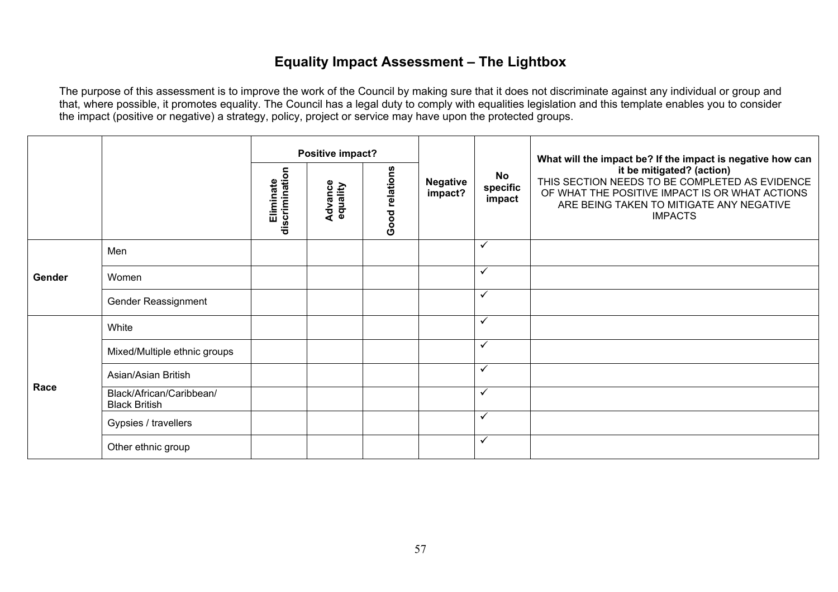## **Equality Impact Assessment – The Lightbox**

|        |                                                  |                             | Positive impact?    |                |                            |                                 | What will the impact be? If the impact is negative how can                                                                                                                                  |
|--------|--------------------------------------------------|-----------------------------|---------------------|----------------|----------------------------|---------------------------------|---------------------------------------------------------------------------------------------------------------------------------------------------------------------------------------------|
|        |                                                  | Eliminate<br>discrimination | Advance<br>equality | Good relations | <b>Negative</b><br>impact? | <b>No</b><br>specific<br>impact | it be mitigated? (action)<br>THIS SECTION NEEDS TO BE COMPLETED AS EVIDENCE<br>OF WHAT THE POSITIVE IMPACT IS OR WHAT ACTIONS<br>ARE BEING TAKEN TO MITIGATE ANY NEGATIVE<br><b>IMPACTS</b> |
|        | Men                                              |                             |                     |                |                            | $\checkmark$                    |                                                                                                                                                                                             |
| Gender | Women                                            |                             |                     |                |                            | $\checkmark$                    |                                                                                                                                                                                             |
|        | Gender Reassignment                              |                             |                     |                |                            | $\checkmark$                    |                                                                                                                                                                                             |
|        | White                                            |                             |                     |                |                            | $\checkmark$                    |                                                                                                                                                                                             |
|        | Mixed/Multiple ethnic groups                     |                             |                     |                |                            | $\checkmark$                    |                                                                                                                                                                                             |
| Race   | Asian/Asian British                              |                             |                     |                |                            | $\checkmark$                    |                                                                                                                                                                                             |
|        | Black/African/Caribbean/<br><b>Black British</b> |                             |                     |                |                            | $\checkmark$                    |                                                                                                                                                                                             |
|        | Gypsies / travellers                             |                             |                     |                |                            | $\checkmark$                    |                                                                                                                                                                                             |
|        | Other ethnic group                               |                             |                     |                |                            | $\checkmark$                    |                                                                                                                                                                                             |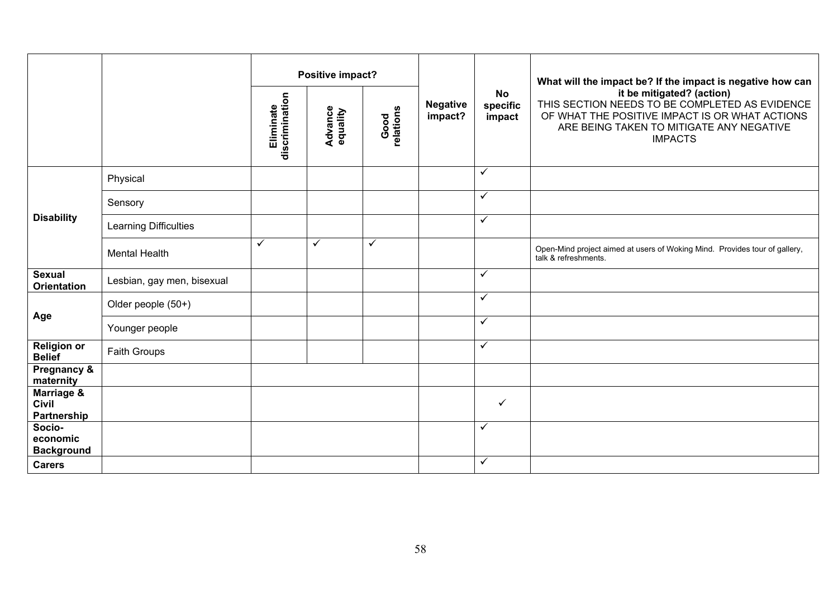|                                           |                            | Positive impact?            |                            |                                                 |  | What will the impact be? If the impact is negative how can |                                                                                                                                                                                             |
|-------------------------------------------|----------------------------|-----------------------------|----------------------------|-------------------------------------------------|--|------------------------------------------------------------|---------------------------------------------------------------------------------------------------------------------------------------------------------------------------------------------|
|                                           |                            | discrimination<br>Eliminate | <b>Advance</b><br>equality | <b>Negative</b><br>Good<br>relations<br>impact? |  | <b>No</b><br>specific<br>impact                            | it be mitigated? (action)<br>THIS SECTION NEEDS TO BE COMPLETED AS EVIDENCE<br>OF WHAT THE POSITIVE IMPACT IS OR WHAT ACTIONS<br>ARE BEING TAKEN TO MITIGATE ANY NEGATIVE<br><b>IMPACTS</b> |
|                                           | Physical                   |                             |                            |                                                 |  | $\checkmark$                                               |                                                                                                                                                                                             |
|                                           | Sensory                    |                             |                            |                                                 |  | $\checkmark$                                               |                                                                                                                                                                                             |
| <b>Disability</b>                         | Learning Difficulties      |                             |                            |                                                 |  | $\checkmark$                                               |                                                                                                                                                                                             |
|                                           | <b>Mental Health</b>       | $\checkmark$                | $\checkmark$               | $\checkmark$                                    |  |                                                            | Open-Mind project aimed at users of Woking Mind. Provides tour of gallery,<br>talk & refreshments.                                                                                          |
| <b>Sexual</b><br><b>Orientation</b>       | Lesbian, gay men, bisexual |                             |                            |                                                 |  | $\checkmark$                                               |                                                                                                                                                                                             |
|                                           | Older people (50+)         |                             |                            |                                                 |  | $\checkmark$                                               |                                                                                                                                                                                             |
| Age                                       | Younger people             |                             |                            |                                                 |  | $\checkmark$                                               |                                                                                                                                                                                             |
| <b>Religion or</b><br><b>Belief</b>       | Faith Groups               |                             |                            |                                                 |  | $\checkmark$                                               |                                                                                                                                                                                             |
| Pregnancy &<br>maternity                  |                            |                             |                            |                                                 |  |                                                            |                                                                                                                                                                                             |
| Marriage &<br><b>Civil</b><br>Partnership |                            |                             |                            |                                                 |  | $\checkmark$                                               |                                                                                                                                                                                             |
| Socio-<br>economic<br><b>Background</b>   |                            |                             |                            |                                                 |  | $\checkmark$                                               |                                                                                                                                                                                             |
| <b>Carers</b>                             |                            |                             |                            |                                                 |  | $\checkmark$                                               |                                                                                                                                                                                             |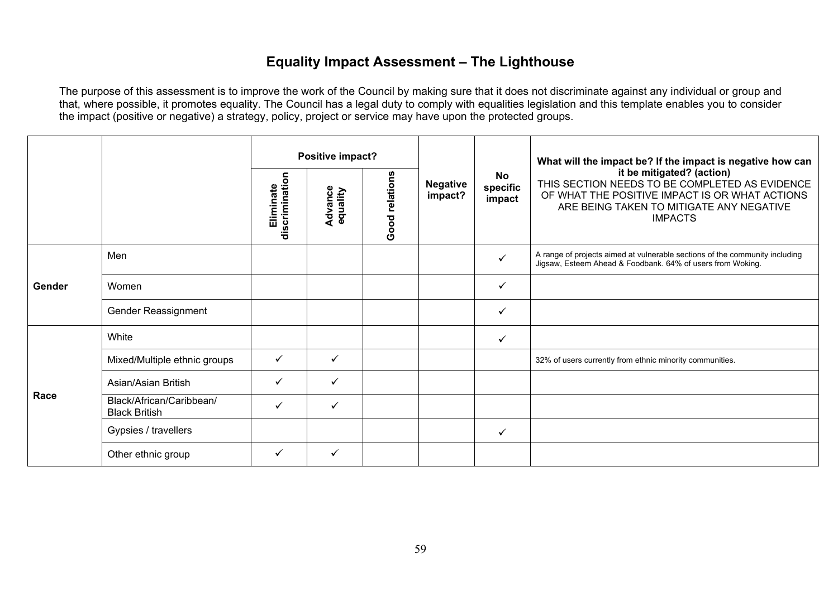### **Equality Impact Assessment – The Lighthouse**

|        |                                                  |                             | Positive impact?    |                |                            |                                 | What will the impact be? If the impact is negative how can<br>it be mitigated? (action)<br>THIS SECTION NEEDS TO BE COMPLETED AS EVIDENCE<br>OF WHAT THE POSITIVE IMPACT IS OR WHAT ACTIONS<br>ARE BEING TAKEN TO MITIGATE ANY NEGATIVE<br><b>IMPACTS</b> |
|--------|--------------------------------------------------|-----------------------------|---------------------|----------------|----------------------------|---------------------------------|-----------------------------------------------------------------------------------------------------------------------------------------------------------------------------------------------------------------------------------------------------------|
|        |                                                  | discrimination<br>Eliminate | Advance<br>equality | Good relations | <b>Negative</b><br>impact? | <b>No</b><br>specific<br>impact |                                                                                                                                                                                                                                                           |
| Gender | Men                                              |                             |                     |                |                            | ✓                               | A range of projects aimed at vulnerable sections of the community including<br>Jigsaw, Esteem Ahead & Foodbank. 64% of users from Woking.                                                                                                                 |
|        | Women                                            |                             |                     |                |                            | ✓                               |                                                                                                                                                                                                                                                           |
|        | Gender Reassignment                              |                             |                     |                |                            | ✓                               |                                                                                                                                                                                                                                                           |
|        | White                                            |                             |                     |                |                            | ✓                               |                                                                                                                                                                                                                                                           |
|        | Mixed/Multiple ethnic groups                     | $\checkmark$                | $\checkmark$        |                |                            |                                 | 32% of users currently from ethnic minority communities.                                                                                                                                                                                                  |
|        | Asian/Asian British                              | $\checkmark$                | ✓                   |                |                            |                                 |                                                                                                                                                                                                                                                           |
| Race   | Black/African/Caribbean/<br><b>Black British</b> | ✓                           | $\checkmark$        |                |                            |                                 |                                                                                                                                                                                                                                                           |
|        | Gypsies / travellers                             |                             |                     |                |                            | $\checkmark$                    |                                                                                                                                                                                                                                                           |
|        | Other ethnic group                               | $\checkmark$                | ✓                   |                |                            |                                 |                                                                                                                                                                                                                                                           |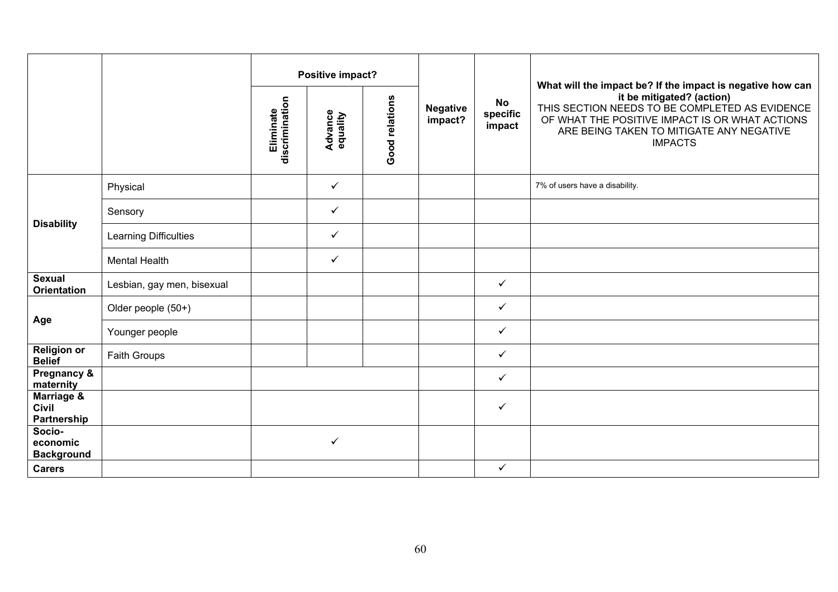|                                           |                            | Positive impact?            |                            |                |                            |                                 | What will the impact be? If the impact is negative how can                                                                                                                                  |
|-------------------------------------------|----------------------------|-----------------------------|----------------------------|----------------|----------------------------|---------------------------------|---------------------------------------------------------------------------------------------------------------------------------------------------------------------------------------------|
|                                           |                            | Eliminate<br>discrimination | <b>Advance</b><br>equality | Good relations | <b>Negative</b><br>impact? | <b>No</b><br>specific<br>impact | it be mitigated? (action)<br>THIS SECTION NEEDS TO BE COMPLETED AS EVIDENCE<br>OF WHAT THE POSITIVE IMPACT IS OR WHAT ACTIONS<br>ARE BEING TAKEN TO MITIGATE ANY NEGATIVE<br><b>IMPACTS</b> |
|                                           | Physical                   |                             | $\checkmark$               |                |                            |                                 | 7% of users have a disability.                                                                                                                                                              |
|                                           | Sensory                    |                             | $\checkmark$               |                |                            |                                 |                                                                                                                                                                                             |
| <b>Disability</b>                         | Learning Difficulties      |                             | $\checkmark$               |                |                            |                                 |                                                                                                                                                                                             |
|                                           | <b>Mental Health</b>       |                             | $\checkmark$               |                |                            |                                 |                                                                                                                                                                                             |
| <b>Sexual</b><br><b>Orientation</b>       | Lesbian, gay men, bisexual |                             |                            |                |                            | $\checkmark$                    |                                                                                                                                                                                             |
|                                           | Older people (50+)         |                             |                            |                |                            | $\checkmark$                    |                                                                                                                                                                                             |
| Age                                       | Younger people             |                             |                            |                |                            | $\checkmark$                    |                                                                                                                                                                                             |
| <b>Religion or</b><br><b>Belief</b>       | Faith Groups               |                             |                            |                |                            | $\checkmark$                    |                                                                                                                                                                                             |
| Pregnancy &<br>maternity                  |                            |                             |                            |                |                            | $\checkmark$                    |                                                                                                                                                                                             |
| Marriage &<br><b>Civil</b><br>Partnership |                            |                             |                            |                |                            | $\checkmark$                    |                                                                                                                                                                                             |
| Socio-<br>economic<br><b>Background</b>   |                            |                             | ✓                          |                |                            |                                 |                                                                                                                                                                                             |
| <b>Carers</b>                             |                            |                             |                            |                |                            | $\checkmark$                    |                                                                                                                                                                                             |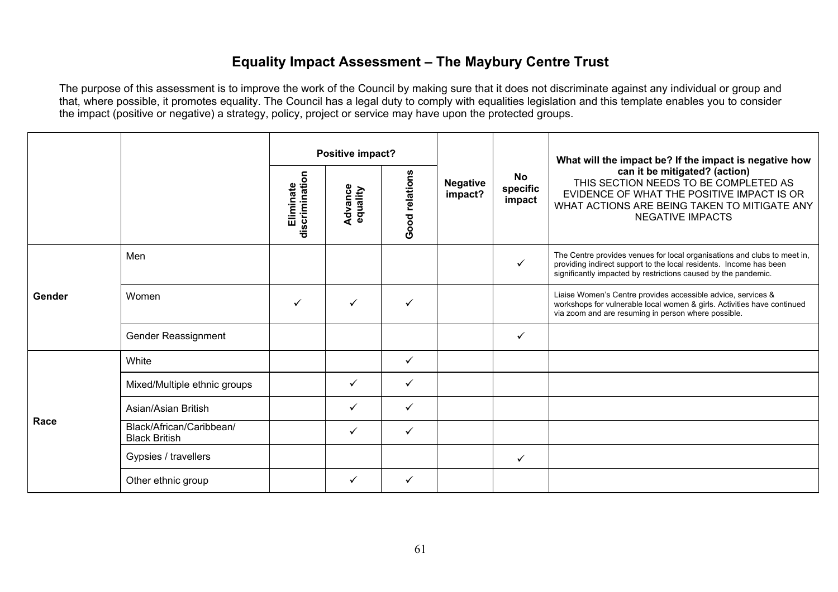## **Equality Impact Assessment – The Maybury Centre Trust**

|        |                                                  | Positive impact?            |                            |                |                            |                                 | What will the impact be? If the impact is negative how                                                                                                                                                           |
|--------|--------------------------------------------------|-----------------------------|----------------------------|----------------|----------------------------|---------------------------------|------------------------------------------------------------------------------------------------------------------------------------------------------------------------------------------------------------------|
|        |                                                  | discrimination<br>Eliminate | <b>Advance</b><br>equality | Good relations | <b>Negative</b><br>impact? | <b>No</b><br>specific<br>impact | can it be mitigated? (action)<br>THIS SECTION NEEDS TO BE COMPLETED AS<br>EVIDENCE OF WHAT THE POSITIVE IMPACT IS OR<br>WHAT ACTIONS ARE BEING TAKEN TO MITIGATE ANY<br><b>NEGATIVE IMPACTS</b>                  |
|        | Men                                              |                             |                            |                |                            | $\checkmark$                    | The Centre provides venues for local organisations and clubs to meet in,<br>providing indirect support to the local residents. Income has been<br>significantly impacted by restrictions caused by the pandemic. |
| Gender | Women                                            | $\checkmark$                |                            | ✓              |                            |                                 | Liaise Women's Centre provides accessible advice, services &<br>workshops for vulnerable local women & girls. Activities have continued<br>via zoom and are resuming in person where possible.                   |
|        | Gender Reassignment                              |                             |                            |                |                            | ✓                               |                                                                                                                                                                                                                  |
|        | White                                            |                             |                            | ✓              |                            |                                 |                                                                                                                                                                                                                  |
|        | Mixed/Multiple ethnic groups                     |                             | ✓                          | ✓              |                            |                                 |                                                                                                                                                                                                                  |
| Race   | Asian/Asian British                              |                             | ✓                          | ✓              |                            |                                 |                                                                                                                                                                                                                  |
|        | Black/African/Caribbean/<br><b>Black British</b> |                             | ✓                          | ✓              |                            |                                 |                                                                                                                                                                                                                  |
|        | Gypsies / travellers                             |                             |                            |                |                            | ✓                               |                                                                                                                                                                                                                  |
|        | Other ethnic group                               |                             | ✓                          | ✓              |                            |                                 |                                                                                                                                                                                                                  |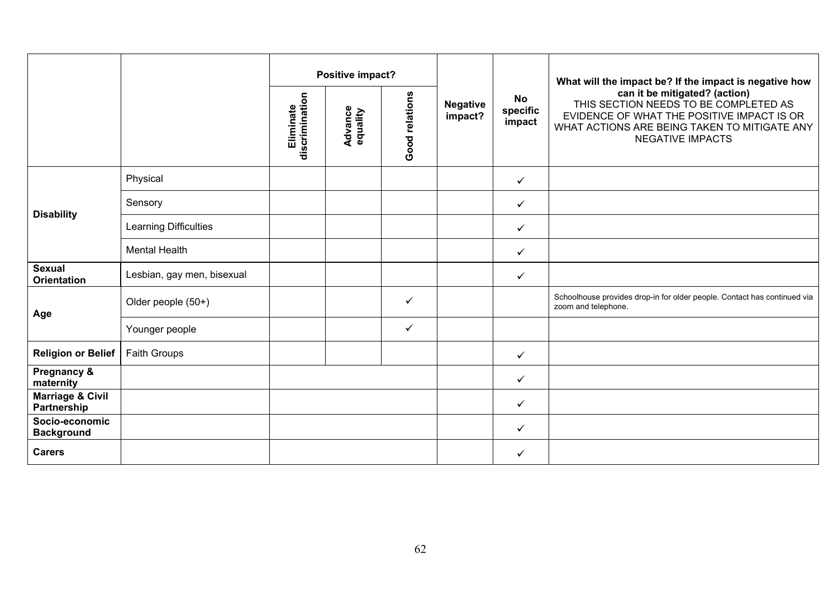|                                            |                            |                             | Positive impact?           |                | <b>Negative</b><br>impact? |                          | What will the impact be? If the impact is negative how                                                                                                                                          |
|--------------------------------------------|----------------------------|-----------------------------|----------------------------|----------------|----------------------------|--------------------------|-------------------------------------------------------------------------------------------------------------------------------------------------------------------------------------------------|
|                                            |                            | discrimination<br>Eliminate | <b>Advance</b><br>equality | Good relations |                            | No<br>specific<br>impact | can it be mitigated? (action)<br>THIS SECTION NEEDS TO BE COMPLETED AS<br>EVIDENCE OF WHAT THE POSITIVE IMPACT IS OR<br>WHAT ACTIONS ARE BEING TAKEN TO MITIGATE ANY<br><b>NEGATIVE IMPACTS</b> |
|                                            | Physical                   |                             |                            |                |                            | $\checkmark$             |                                                                                                                                                                                                 |
|                                            | Sensory                    |                             |                            |                |                            | $\checkmark$             |                                                                                                                                                                                                 |
| <b>Disability</b>                          | Learning Difficulties      |                             |                            |                |                            | $\checkmark$             |                                                                                                                                                                                                 |
|                                            | <b>Mental Health</b>       |                             |                            |                |                            | $\checkmark$             |                                                                                                                                                                                                 |
| <b>Sexual</b><br><b>Orientation</b>        | Lesbian, gay men, bisexual |                             |                            |                |                            | $\checkmark$             |                                                                                                                                                                                                 |
| Age                                        | Older people (50+)         |                             |                            | ✓              |                            |                          | Schoolhouse provides drop-in for older people. Contact has continued via<br>zoom and telephone.                                                                                                 |
|                                            | Younger people             |                             |                            | $\checkmark$   |                            |                          |                                                                                                                                                                                                 |
| <b>Religion or Belief</b>                  | <b>Faith Groups</b>        |                             |                            |                |                            | $\checkmark$             |                                                                                                                                                                                                 |
| Pregnancy &<br>maternity                   |                            |                             |                            |                |                            | $\checkmark$             |                                                                                                                                                                                                 |
| <b>Marriage &amp; Civil</b><br>Partnership |                            |                             |                            |                |                            | $\checkmark$             |                                                                                                                                                                                                 |
| Socio-economic<br><b>Background</b>        |                            |                             |                            |                |                            | $\checkmark$             |                                                                                                                                                                                                 |
| <b>Carers</b>                              |                            |                             |                            |                |                            | $\checkmark$             |                                                                                                                                                                                                 |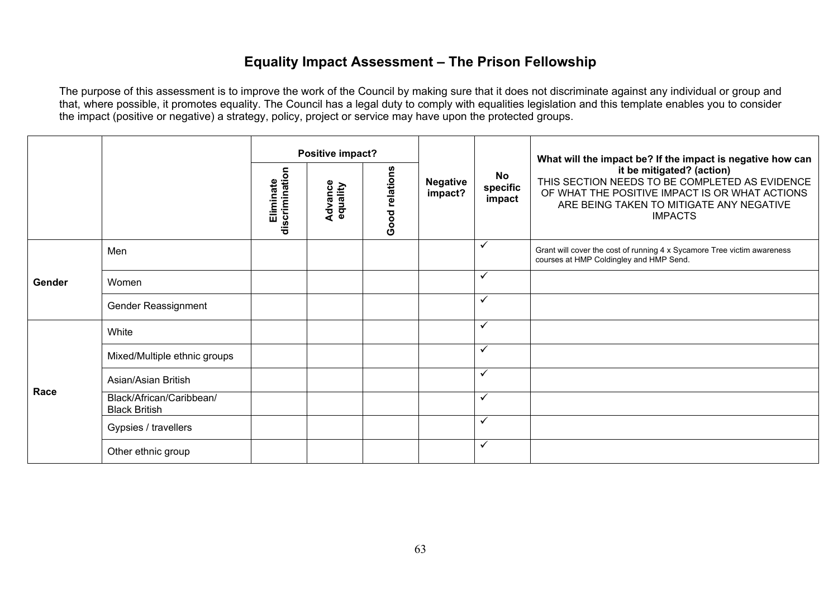# **Equality Impact Assessment – The Prison Fellowship**

|        |                                                  |                             |                     | Positive impact? |                            |                          | What will the impact be? If the impact is negative how can                                                                                                                                  |
|--------|--------------------------------------------------|-----------------------------|---------------------|------------------|----------------------------|--------------------------|---------------------------------------------------------------------------------------------------------------------------------------------------------------------------------------------|
|        |                                                  | discrimination<br>Eliminate | Advance<br>equality | Good relations   | <b>Negative</b><br>impact? | No<br>specific<br>impact | it be mitigated? (action)<br>THIS SECTION NEEDS TO BE COMPLETED AS EVIDENCE<br>OF WHAT THE POSITIVE IMPACT IS OR WHAT ACTIONS<br>ARE BEING TAKEN TO MITIGATE ANY NEGATIVE<br><b>IMPACTS</b> |
|        | Men                                              |                             |                     |                  |                            | $\checkmark$             | Grant will cover the cost of running 4 x Sycamore Tree victim awareness<br>courses at HMP Coldingley and HMP Send.                                                                          |
| Gender | Women                                            |                             |                     |                  |                            | $\checkmark$             |                                                                                                                                                                                             |
|        | Gender Reassignment                              |                             |                     |                  |                            | $\checkmark$             |                                                                                                                                                                                             |
|        | White                                            |                             |                     |                  |                            | $\checkmark$             |                                                                                                                                                                                             |
|        | Mixed/Multiple ethnic groups                     |                             |                     |                  |                            | $\checkmark$             |                                                                                                                                                                                             |
| Race   | Asian/Asian British                              |                             |                     |                  |                            | $\checkmark$             |                                                                                                                                                                                             |
|        | Black/African/Caribbean/<br><b>Black British</b> |                             |                     |                  |                            | $\checkmark$             |                                                                                                                                                                                             |
|        | Gypsies / travellers                             |                             |                     |                  |                            | $\checkmark$             |                                                                                                                                                                                             |
|        | Other ethnic group                               |                             |                     |                  |                            | $\checkmark$             |                                                                                                                                                                                             |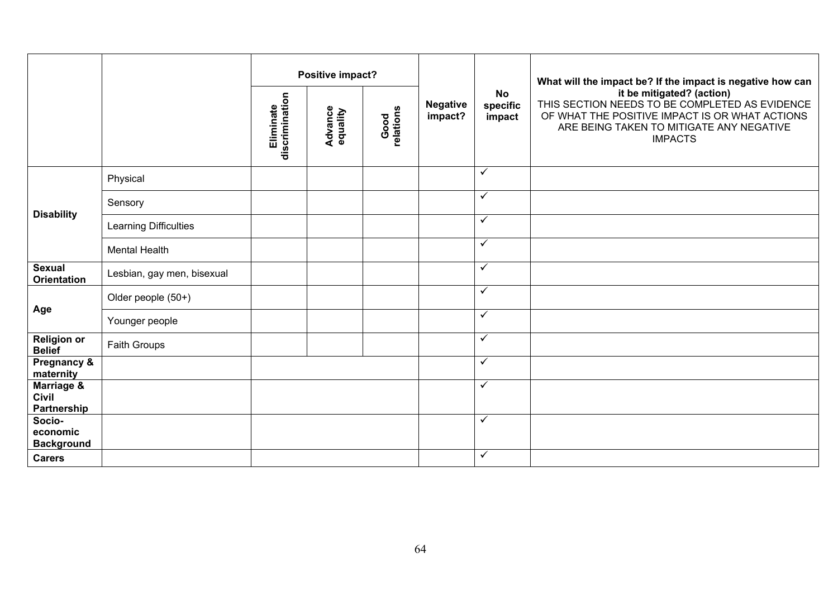|                                         |                            |                                                                                | Positive impact?           |                                 |                                                                                                                                                                                             |                         | What will the impact be? If the impact is negative how can |
|-----------------------------------------|----------------------------|--------------------------------------------------------------------------------|----------------------------|---------------------------------|---------------------------------------------------------------------------------------------------------------------------------------------------------------------------------------------|-------------------------|------------------------------------------------------------|
|                                         |                            | discrimination<br>Eliminate<br>Good<br>relations<br><b>Advance</b><br>equality | <b>Negative</b><br>impact? | <b>No</b><br>specific<br>impact | it be mitigated? (action)<br>THIS SECTION NEEDS TO BE COMPLETED AS EVIDENCE<br>OF WHAT THE POSITIVE IMPACT IS OR WHAT ACTIONS<br>ARE BEING TAKEN TO MITIGATE ANY NEGATIVE<br><b>IMPACTS</b> |                         |                                                            |
|                                         | Physical                   |                                                                                |                            |                                 |                                                                                                                                                                                             | $\checkmark$            |                                                            |
|                                         | Sensory                    |                                                                                |                            |                                 |                                                                                                                                                                                             | $\checkmark$            |                                                            |
| <b>Disability</b>                       | Learning Difficulties      |                                                                                |                            |                                 |                                                                                                                                                                                             | $\checkmark$            |                                                            |
|                                         | <b>Mental Health</b>       |                                                                                |                            |                                 |                                                                                                                                                                                             | $\checkmark$            |                                                            |
| <b>Sexual</b><br><b>Orientation</b>     | Lesbian, gay men, bisexual |                                                                                |                            |                                 |                                                                                                                                                                                             | $\checkmark$            |                                                            |
|                                         | Older people (50+)         |                                                                                |                            |                                 |                                                                                                                                                                                             | $\checkmark$            |                                                            |
| Age                                     | Younger people             |                                                                                |                            |                                 |                                                                                                                                                                                             | $\checkmark$            |                                                            |
| <b>Religion or</b><br><b>Belief</b>     | Faith Groups               |                                                                                |                            |                                 |                                                                                                                                                                                             | $\overline{\checkmark}$ |                                                            |
| Pregnancy &<br>maternity                |                            |                                                                                |                            |                                 |                                                                                                                                                                                             | $\checkmark$            |                                                            |
| Marriage &<br>Civil<br>Partnership      |                            |                                                                                |                            |                                 |                                                                                                                                                                                             | $\checkmark$            |                                                            |
| Socio-<br>economic<br><b>Background</b> |                            |                                                                                |                            |                                 |                                                                                                                                                                                             | $\checkmark$            |                                                            |
| <b>Carers</b>                           |                            |                                                                                |                            |                                 |                                                                                                                                                                                             | $\checkmark$            |                                                            |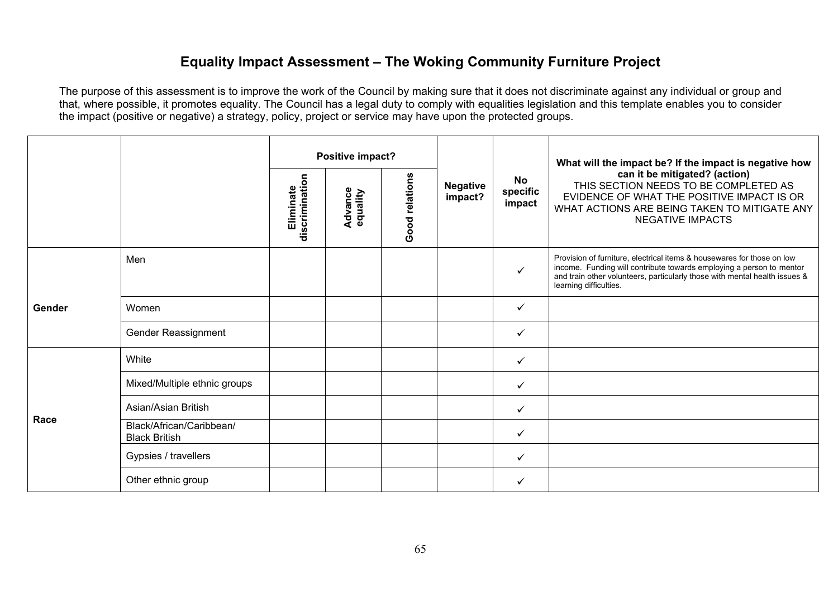## **Equality Impact Assessment – The Woking Community Furniture Project**

|        |                                                  | Positive impact?            |                            |                |                            |                          | What will the impact be? If the impact is negative how                                                                                                                                                                                                 |
|--------|--------------------------------------------------|-----------------------------|----------------------------|----------------|----------------------------|--------------------------|--------------------------------------------------------------------------------------------------------------------------------------------------------------------------------------------------------------------------------------------------------|
|        |                                                  | discrimination<br>Eliminate | <b>Advance</b><br>equality | Good relations | <b>Negative</b><br>impact? | No<br>specific<br>impact | can it be mitigated? (action)<br>THIS SECTION NEEDS TO BE COMPLETED AS<br>EVIDENCE OF WHAT THE POSITIVE IMPACT IS OR<br>WHAT ACTIONS ARE BEING TAKEN TO MITIGATE ANY<br><b>NEGATIVE IMPACTS</b>                                                        |
|        | Men                                              |                             |                            |                |                            | $\checkmark$             | Provision of furniture, electrical items & housewares for those on low<br>income. Funding will contribute towards employing a person to mentor<br>and train other volunteers, particularly those with mental health issues &<br>learning difficulties. |
| Gender | Women                                            |                             |                            |                |                            | $\checkmark$             |                                                                                                                                                                                                                                                        |
|        | Gender Reassignment                              |                             |                            |                |                            | $\checkmark$             |                                                                                                                                                                                                                                                        |
|        | White                                            |                             |                            |                |                            | $\checkmark$             |                                                                                                                                                                                                                                                        |
|        | Mixed/Multiple ethnic groups                     |                             |                            |                |                            | $\checkmark$             |                                                                                                                                                                                                                                                        |
| Race   | Asian/Asian British                              |                             |                            |                |                            | $\checkmark$             |                                                                                                                                                                                                                                                        |
|        | Black/African/Caribbean/<br><b>Black British</b> |                             |                            |                |                            | $\checkmark$             |                                                                                                                                                                                                                                                        |
|        | Gypsies / travellers                             |                             |                            |                |                            | $\checkmark$             |                                                                                                                                                                                                                                                        |
|        | Other ethnic group                               |                             |                            |                |                            | $\checkmark$             |                                                                                                                                                                                                                                                        |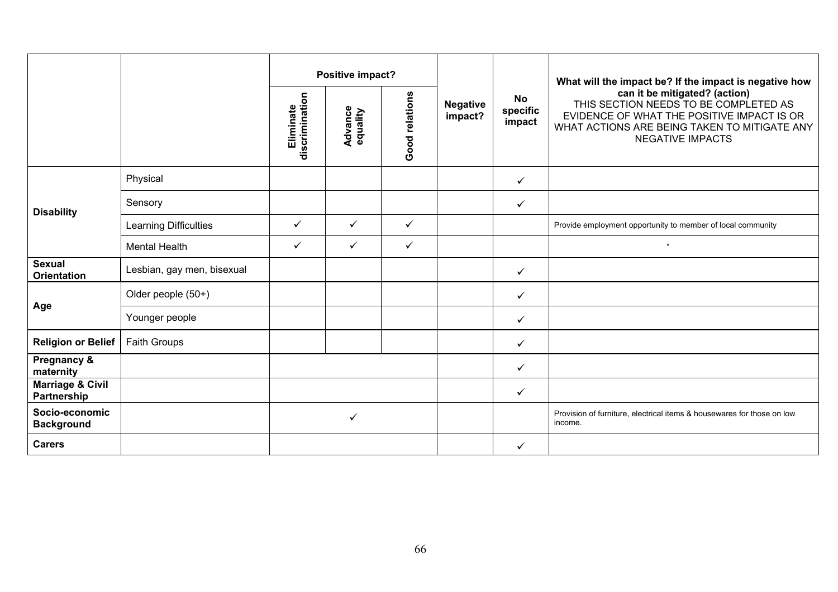|                                            |                              |                             | Positive impact?           |                |                            |                          | What will the impact be? If the impact is negative how                                                                                                                                          |
|--------------------------------------------|------------------------------|-----------------------------|----------------------------|----------------|----------------------------|--------------------------|-------------------------------------------------------------------------------------------------------------------------------------------------------------------------------------------------|
|                                            |                              | discrimination<br>Eliminate | <b>Advance</b><br>equality | Good relations | <b>Negative</b><br>impact? | No<br>specific<br>impact | can it be mitigated? (action)<br>THIS SECTION NEEDS TO BE COMPLETED AS<br>EVIDENCE OF WHAT THE POSITIVE IMPACT IS OR<br>WHAT ACTIONS ARE BEING TAKEN TO MITIGATE ANY<br><b>NEGATIVE IMPACTS</b> |
|                                            | Physical                     |                             |                            |                |                            | $\checkmark$             |                                                                                                                                                                                                 |
| <b>Disability</b>                          | Sensory                      |                             |                            |                |                            | ✓                        |                                                                                                                                                                                                 |
|                                            | <b>Learning Difficulties</b> | $\checkmark$                | $\checkmark$               | $\checkmark$   |                            |                          | Provide employment opportunity to member of local community                                                                                                                                     |
|                                            | <b>Mental Health</b>         | $\checkmark$                | $\checkmark$               | $\checkmark$   |                            |                          | $\alpha$                                                                                                                                                                                        |
| <b>Sexual</b><br><b>Orientation</b>        | Lesbian, gay men, bisexual   |                             |                            |                |                            | $\checkmark$             |                                                                                                                                                                                                 |
|                                            | Older people (50+)           |                             |                            |                |                            | ✓                        |                                                                                                                                                                                                 |
| Age                                        | Younger people               |                             |                            |                |                            | ✓                        |                                                                                                                                                                                                 |
| <b>Religion or Belief</b>                  | <b>Faith Groups</b>          |                             |                            |                |                            | ✓                        |                                                                                                                                                                                                 |
| Pregnancy &<br>maternity                   |                              |                             |                            |                |                            | $\checkmark$             |                                                                                                                                                                                                 |
| <b>Marriage &amp; Civil</b><br>Partnership |                              |                             |                            |                |                            | $\checkmark$             |                                                                                                                                                                                                 |
| Socio-economic<br><b>Background</b>        |                              | $\checkmark$                |                            |                |                            |                          | Provision of furniture, electrical items & housewares for those on low<br>income.                                                                                                               |
| <b>Carers</b>                              |                              |                             |                            |                |                            | ✓                        |                                                                                                                                                                                                 |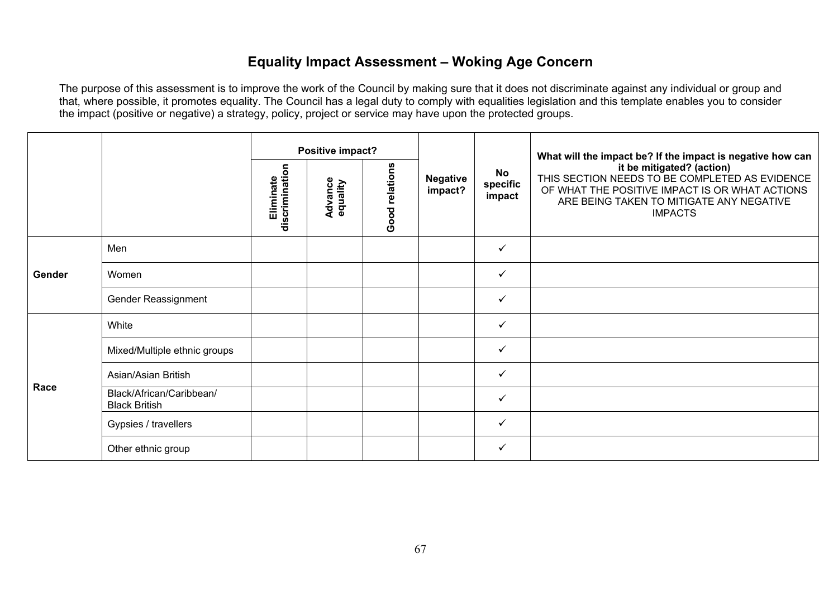# **Equality Impact Assessment – Woking Age Concern**

|        |                                                  | Positive impact?            |                     |                |                            | What will the impact be? If the impact is negative how can |                                                                                                                                                                                             |
|--------|--------------------------------------------------|-----------------------------|---------------------|----------------|----------------------------|------------------------------------------------------------|---------------------------------------------------------------------------------------------------------------------------------------------------------------------------------------------|
|        |                                                  | discrimination<br>Eliminate | Advance<br>equality | Good relations | <b>Negative</b><br>impact? | <b>No</b><br>specific<br>impact                            | it be mitigated? (action)<br>THIS SECTION NEEDS TO BE COMPLETED AS EVIDENCE<br>OF WHAT THE POSITIVE IMPACT IS OR WHAT ACTIONS<br>ARE BEING TAKEN TO MITIGATE ANY NEGATIVE<br><b>IMPACTS</b> |
|        | Men                                              |                             |                     |                |                            | $\checkmark$                                               |                                                                                                                                                                                             |
| Gender | Women                                            |                             |                     |                |                            | $\checkmark$                                               |                                                                                                                                                                                             |
|        | Gender Reassignment                              |                             |                     |                |                            | $\checkmark$                                               |                                                                                                                                                                                             |
|        | White                                            |                             |                     |                |                            | $\checkmark$                                               |                                                                                                                                                                                             |
|        | Mixed/Multiple ethnic groups                     |                             |                     |                |                            | ✓                                                          |                                                                                                                                                                                             |
| Race   | Asian/Asian British                              |                             |                     |                |                            | $\checkmark$                                               |                                                                                                                                                                                             |
|        | Black/African/Caribbean/<br><b>Black British</b> |                             |                     |                |                            | $\checkmark$                                               |                                                                                                                                                                                             |
|        | Gypsies / travellers                             |                             |                     |                |                            | $\checkmark$                                               |                                                                                                                                                                                             |
|        | Other ethnic group                               |                             |                     |                |                            | $\checkmark$                                               |                                                                                                                                                                                             |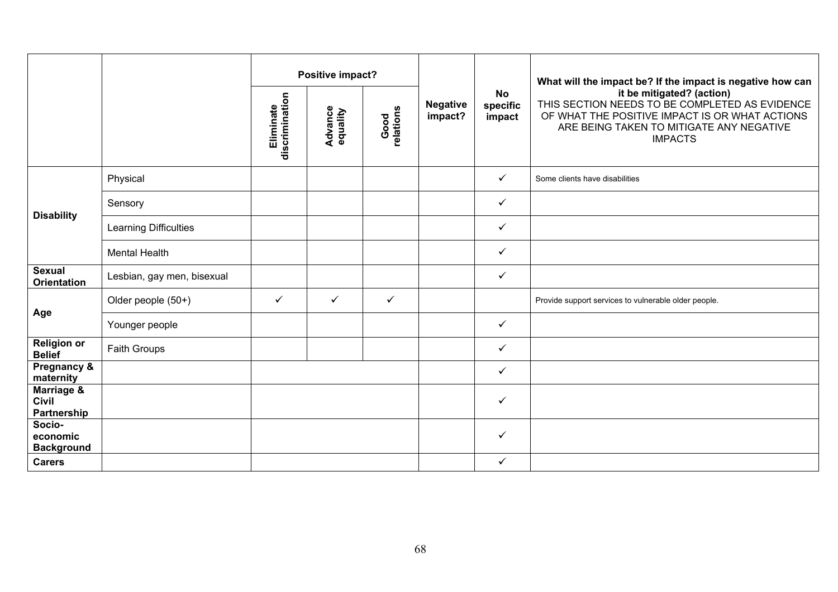|                                                      |                            | Positive impact?            |                     |                   |                            |                                 | What will the impact be? If the impact is negative how can                                                                                                                                  |
|------------------------------------------------------|----------------------------|-----------------------------|---------------------|-------------------|----------------------------|---------------------------------|---------------------------------------------------------------------------------------------------------------------------------------------------------------------------------------------|
|                                                      |                            | Eliminate<br>discrimination | Advance<br>equality | Good<br>relations | <b>Negative</b><br>impact? | <b>No</b><br>specific<br>impact | it be mitigated? (action)<br>THIS SECTION NEEDS TO BE COMPLETED AS EVIDENCE<br>OF WHAT THE POSITIVE IMPACT IS OR WHAT ACTIONS<br>ARE BEING TAKEN TO MITIGATE ANY NEGATIVE<br><b>IMPACTS</b> |
|                                                      | Physical                   |                             |                     |                   |                            | ✓                               | Some clients have disabilities                                                                                                                                                              |
|                                                      | Sensory                    |                             |                     |                   |                            | $\checkmark$                    |                                                                                                                                                                                             |
| <b>Disability</b>                                    | Learning Difficulties      |                             |                     |                   |                            | ✓                               |                                                                                                                                                                                             |
|                                                      | <b>Mental Health</b>       |                             |                     |                   |                            | $\checkmark$                    |                                                                                                                                                                                             |
| <b>Sexual</b><br><b>Orientation</b>                  | Lesbian, gay men, bisexual |                             |                     |                   |                            | $\checkmark$                    |                                                                                                                                                                                             |
|                                                      | Older people (50+)         | $\checkmark$                | $\checkmark$        | $\checkmark$      |                            |                                 | Provide support services to vulnerable older people.                                                                                                                                        |
| Age                                                  | Younger people             |                             |                     |                   |                            | $\checkmark$                    |                                                                                                                                                                                             |
| <b>Religion or</b><br><b>Belief</b>                  | Faith Groups               |                             |                     |                   |                            | $\checkmark$                    |                                                                                                                                                                                             |
| <b>Pregnancy &amp;</b><br>maternity                  |                            |                             |                     |                   |                            | $\checkmark$                    |                                                                                                                                                                                             |
| <b>Marriage &amp;</b><br><b>Civil</b><br>Partnership |                            |                             |                     |                   |                            | ✓                               |                                                                                                                                                                                             |
| Socio-<br>economic<br><b>Background</b>              |                            |                             |                     |                   |                            | ✓                               |                                                                                                                                                                                             |
| <b>Carers</b>                                        |                            |                             |                     |                   |                            | $\checkmark$                    |                                                                                                                                                                                             |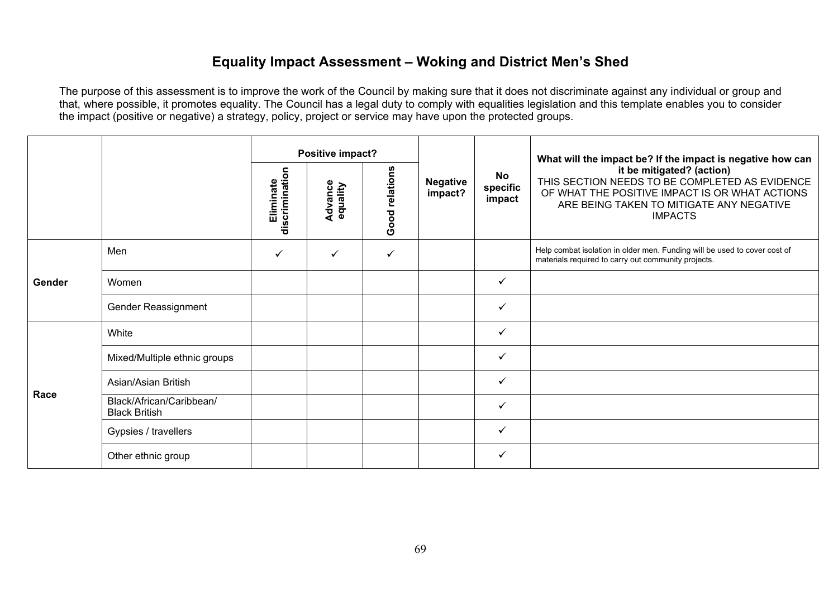### **Equality Impact Assessment – Woking and District Men's Shed**

|        |                                                  |                             | Positive impact?    |                |                            |                                 | What will the impact be? If the impact is negative how can                                                                                                                                  |
|--------|--------------------------------------------------|-----------------------------|---------------------|----------------|----------------------------|---------------------------------|---------------------------------------------------------------------------------------------------------------------------------------------------------------------------------------------|
|        |                                                  | discrimination<br>Eliminate | Advance<br>equality | Good relations | <b>Negative</b><br>impact? | <b>No</b><br>specific<br>impact | it be mitigated? (action)<br>THIS SECTION NEEDS TO BE COMPLETED AS EVIDENCE<br>OF WHAT THE POSITIVE IMPACT IS OR WHAT ACTIONS<br>ARE BEING TAKEN TO MITIGATE ANY NEGATIVE<br><b>IMPACTS</b> |
|        | Men                                              | ✓                           | ✓                   | ✓              |                            |                                 | Help combat isolation in older men. Funding will be used to cover cost of<br>materials required to carry out community projects.                                                            |
| Gender | Women                                            |                             |                     |                |                            | $\checkmark$                    |                                                                                                                                                                                             |
|        | Gender Reassignment                              |                             |                     |                |                            | ✓                               |                                                                                                                                                                                             |
|        | White                                            |                             |                     |                |                            | $\checkmark$                    |                                                                                                                                                                                             |
|        | Mixed/Multiple ethnic groups                     |                             |                     |                |                            | $\checkmark$                    |                                                                                                                                                                                             |
| Race   | Asian/Asian British                              |                             |                     |                |                            | $\checkmark$                    |                                                                                                                                                                                             |
|        | Black/African/Caribbean/<br><b>Black British</b> |                             |                     |                |                            | $\checkmark$                    |                                                                                                                                                                                             |
|        | Gypsies / travellers                             |                             |                     |                |                            | $\checkmark$                    |                                                                                                                                                                                             |
|        | Other ethnic group                               |                             |                     |                |                            | $\checkmark$                    |                                                                                                                                                                                             |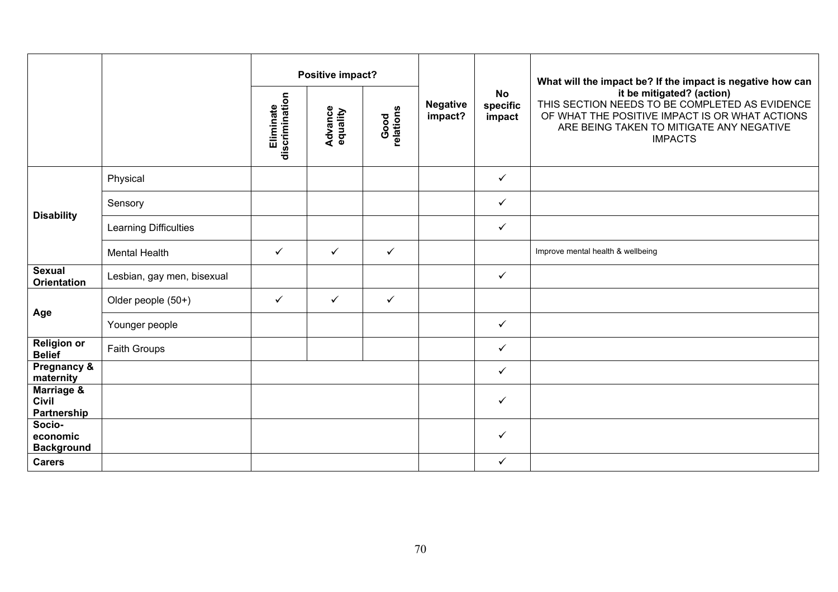|                                                      |                            | Positive impact?            |                            |                   |                            |                                 | What will the impact be? If the impact is negative how can                                                                                                                                  |
|------------------------------------------------------|----------------------------|-----------------------------|----------------------------|-------------------|----------------------------|---------------------------------|---------------------------------------------------------------------------------------------------------------------------------------------------------------------------------------------|
|                                                      |                            | discrimination<br>Eliminate | <b>Advance</b><br>equality | Good<br>relations | <b>Negative</b><br>impact? | <b>No</b><br>specific<br>impact | it be mitigated? (action)<br>THIS SECTION NEEDS TO BE COMPLETED AS EVIDENCE<br>OF WHAT THE POSITIVE IMPACT IS OR WHAT ACTIONS<br>ARE BEING TAKEN TO MITIGATE ANY NEGATIVE<br><b>IMPACTS</b> |
|                                                      | Physical                   |                             |                            |                   |                            | $\checkmark$                    |                                                                                                                                                                                             |
|                                                      | Sensory                    |                             |                            |                   |                            | $\checkmark$                    |                                                                                                                                                                                             |
| <b>Disability</b>                                    | Learning Difficulties      |                             |                            |                   |                            | $\checkmark$                    |                                                                                                                                                                                             |
|                                                      | <b>Mental Health</b>       | $\checkmark$                | ✓                          | $\checkmark$      |                            |                                 | Improve mental health & wellbeing                                                                                                                                                           |
| <b>Sexual</b><br><b>Orientation</b>                  | Lesbian, gay men, bisexual |                             |                            |                   |                            | $\checkmark$                    |                                                                                                                                                                                             |
|                                                      | Older people (50+)         | $\checkmark$                | $\checkmark$               | $\checkmark$      |                            |                                 |                                                                                                                                                                                             |
| Age                                                  | Younger people             |                             |                            |                   |                            | $\checkmark$                    |                                                                                                                                                                                             |
| <b>Religion or</b><br><b>Belief</b>                  | Faith Groups               |                             |                            |                   |                            | $\checkmark$                    |                                                                                                                                                                                             |
| Pregnancy &<br>maternity                             |                            |                             |                            |                   |                            | $\checkmark$                    |                                                                                                                                                                                             |
| <b>Marriage &amp;</b><br><b>Civil</b><br>Partnership |                            |                             |                            |                   |                            | $\checkmark$                    |                                                                                                                                                                                             |
| Socio-<br>economic<br><b>Background</b>              |                            |                             |                            |                   |                            | $\checkmark$                    |                                                                                                                                                                                             |
| <b>Carers</b>                                        |                            |                             |                            |                   |                            | $\checkmark$                    |                                                                                                                                                                                             |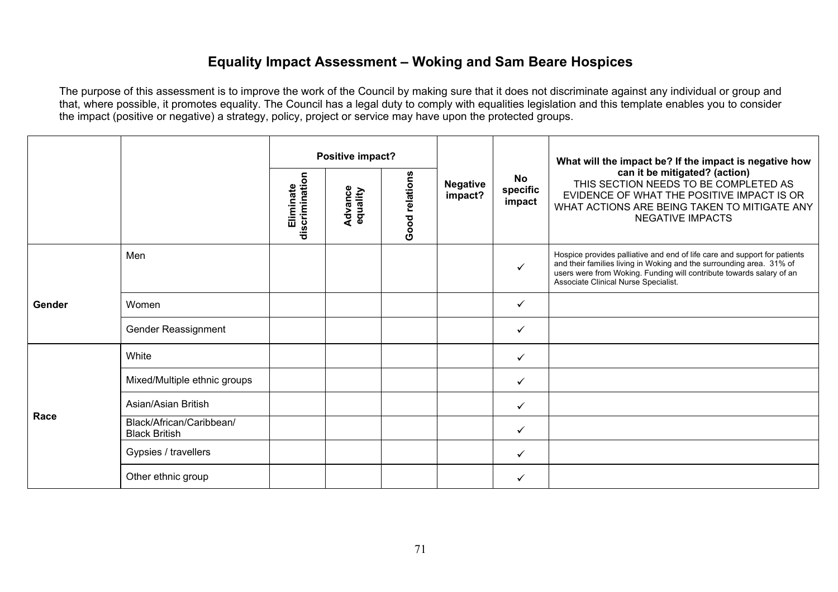## **Equality Impact Assessment – Woking and Sam Beare Hospices**

|        |                                                  |                             | Positive impact?           |                |                            |                                 | What will the impact be? If the impact is negative how                                                                                                                                                                                                            |
|--------|--------------------------------------------------|-----------------------------|----------------------------|----------------|----------------------------|---------------------------------|-------------------------------------------------------------------------------------------------------------------------------------------------------------------------------------------------------------------------------------------------------------------|
|        |                                                  | discrimination<br>Eliminate | <b>Advance</b><br>equality | Good relations | <b>Negative</b><br>impact? | <b>No</b><br>specific<br>impact | can it be mitigated? (action)<br>THIS SECTION NEEDS TO BE COMPLETED AS<br>EVIDENCE OF WHAT THE POSITIVE IMPACT IS OR<br>WHAT ACTIONS ARE BEING TAKEN TO MITIGATE ANY<br><b>NEGATIVE IMPACTS</b>                                                                   |
|        | Men                                              |                             |                            |                |                            | $\checkmark$                    | Hospice provides palliative and end of life care and support for patients<br>and their families living in Woking and the surrounding area. 31% of<br>users were from Woking. Funding will contribute towards salary of an<br>Associate Clinical Nurse Specialist. |
| Gender | Women                                            |                             |                            |                |                            | $\checkmark$                    |                                                                                                                                                                                                                                                                   |
|        | Gender Reassignment                              |                             |                            |                |                            | $\checkmark$                    |                                                                                                                                                                                                                                                                   |
|        | White                                            |                             |                            |                |                            | $\checkmark$                    |                                                                                                                                                                                                                                                                   |
|        | Mixed/Multiple ethnic groups                     |                             |                            |                |                            | $\checkmark$                    |                                                                                                                                                                                                                                                                   |
| Race   | Asian/Asian British                              |                             |                            |                |                            | $\checkmark$                    |                                                                                                                                                                                                                                                                   |
|        | Black/African/Caribbean/<br><b>Black British</b> |                             |                            |                |                            | $\checkmark$                    |                                                                                                                                                                                                                                                                   |
|        | Gypsies / travellers                             |                             |                            |                |                            | ✓                               |                                                                                                                                                                                                                                                                   |
|        | Other ethnic group                               |                             |                            |                |                            | $\checkmark$                    |                                                                                                                                                                                                                                                                   |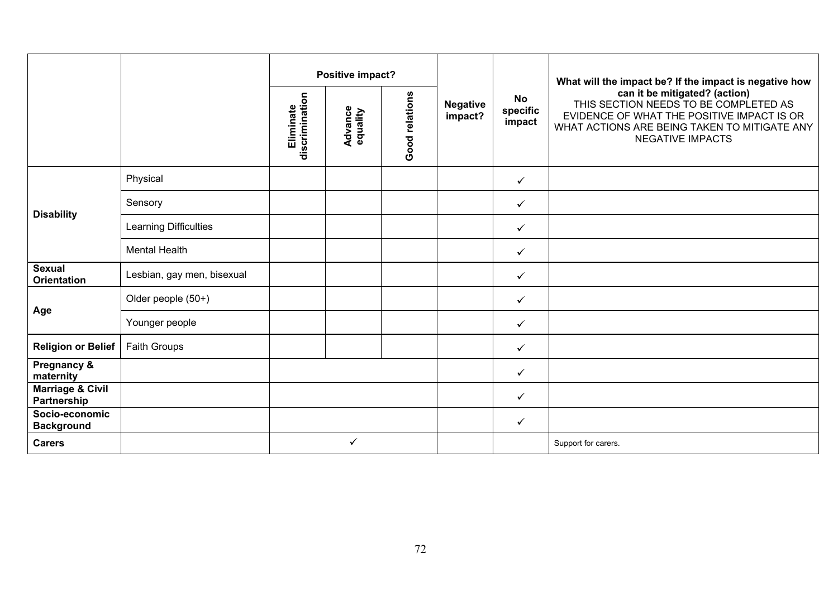|                                            |                            | Positive impact?            |                            |                |                            |                                 | What will the impact be? If the impact is negative how                                                                                                                                          |
|--------------------------------------------|----------------------------|-----------------------------|----------------------------|----------------|----------------------------|---------------------------------|-------------------------------------------------------------------------------------------------------------------------------------------------------------------------------------------------|
|                                            |                            | discrimination<br>Eliminate | <b>Advance</b><br>equality | Good relations | <b>Negative</b><br>impact? | <b>No</b><br>specific<br>impact | can it be mitigated? (action)<br>THIS SECTION NEEDS TO BE COMPLETED AS<br>EVIDENCE OF WHAT THE POSITIVE IMPACT IS OR<br>WHAT ACTIONS ARE BEING TAKEN TO MITIGATE ANY<br><b>NEGATIVE IMPACTS</b> |
|                                            | Physical                   |                             |                            |                |                            | $\checkmark$                    |                                                                                                                                                                                                 |
| <b>Disability</b>                          | Sensory                    |                             |                            |                |                            | $\checkmark$                    |                                                                                                                                                                                                 |
|                                            | Learning Difficulties      |                             |                            |                |                            | $\checkmark$                    |                                                                                                                                                                                                 |
|                                            | <b>Mental Health</b>       |                             |                            |                |                            | $\checkmark$                    |                                                                                                                                                                                                 |
| <b>Sexual</b><br><b>Orientation</b>        | Lesbian, gay men, bisexual |                             |                            |                |                            | $\checkmark$                    |                                                                                                                                                                                                 |
|                                            | Older people (50+)         |                             |                            |                |                            | $\checkmark$                    |                                                                                                                                                                                                 |
| Age                                        | Younger people             |                             |                            |                |                            | $\checkmark$                    |                                                                                                                                                                                                 |
| <b>Religion or Belief</b>                  | Faith Groups               |                             |                            |                |                            | $\checkmark$                    |                                                                                                                                                                                                 |
| <b>Pregnancy &amp;</b><br>maternity        |                            |                             |                            |                |                            | $\checkmark$                    |                                                                                                                                                                                                 |
| <b>Marriage &amp; Civil</b><br>Partnership |                            |                             |                            |                |                            | $\checkmark$                    |                                                                                                                                                                                                 |
| Socio-economic<br><b>Background</b>        |                            |                             |                            |                |                            | $\checkmark$                    |                                                                                                                                                                                                 |
| <b>Carers</b>                              |                            |                             | ✓                          |                |                            |                                 | Support for carers.                                                                                                                                                                             |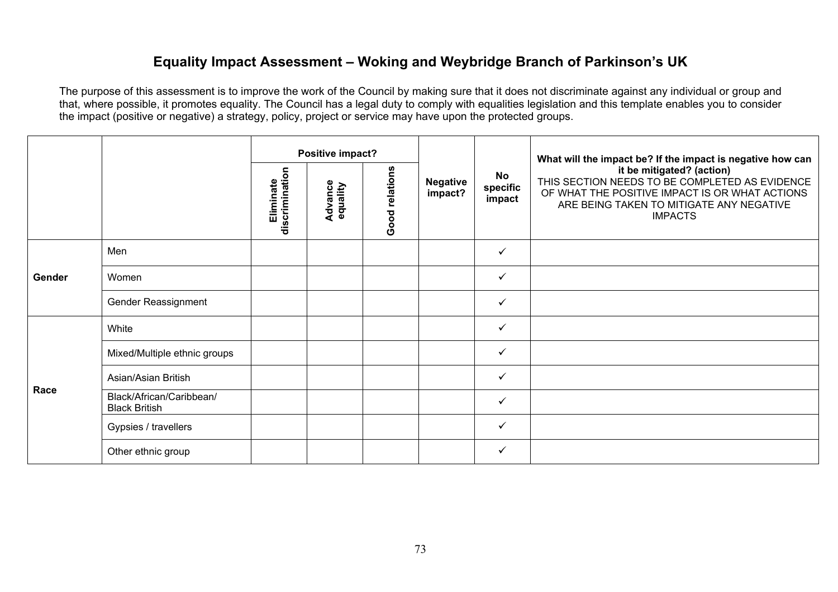### **Equality Impact Assessment – Woking and Weybridge Branch of Parkinson's UK**

|        |                                                  | Positive impact?            |                     |                |                            | What will the impact be? If the impact is negative how can |                                                                                                                                                                                             |
|--------|--------------------------------------------------|-----------------------------|---------------------|----------------|----------------------------|------------------------------------------------------------|---------------------------------------------------------------------------------------------------------------------------------------------------------------------------------------------|
|        |                                                  | discrimination<br>Eliminate | Advance<br>equality | Good relations | <b>Negative</b><br>impact? | <b>No</b><br>specific<br>impact                            | it be mitigated? (action)<br>THIS SECTION NEEDS TO BE COMPLETED AS EVIDENCE<br>OF WHAT THE POSITIVE IMPACT IS OR WHAT ACTIONS<br>ARE BEING TAKEN TO MITIGATE ANY NEGATIVE<br><b>IMPACTS</b> |
|        | Men                                              |                             |                     |                |                            | $\checkmark$                                               |                                                                                                                                                                                             |
| Gender | Women                                            |                             |                     |                |                            | $\checkmark$                                               |                                                                                                                                                                                             |
|        | Gender Reassignment                              |                             |                     |                |                            | $\checkmark$                                               |                                                                                                                                                                                             |
|        | White                                            |                             |                     |                |                            | $\checkmark$                                               |                                                                                                                                                                                             |
|        | Mixed/Multiple ethnic groups                     |                             |                     |                |                            | $\checkmark$                                               |                                                                                                                                                                                             |
| Race   | Asian/Asian British                              |                             |                     |                |                            | $\checkmark$                                               |                                                                                                                                                                                             |
|        | Black/African/Caribbean/<br><b>Black British</b> |                             |                     |                |                            | $\checkmark$                                               |                                                                                                                                                                                             |
|        | Gypsies / travellers                             |                             |                     |                |                            | $\checkmark$                                               |                                                                                                                                                                                             |
|        | Other ethnic group                               |                             |                     |                |                            | $\checkmark$                                               |                                                                                                                                                                                             |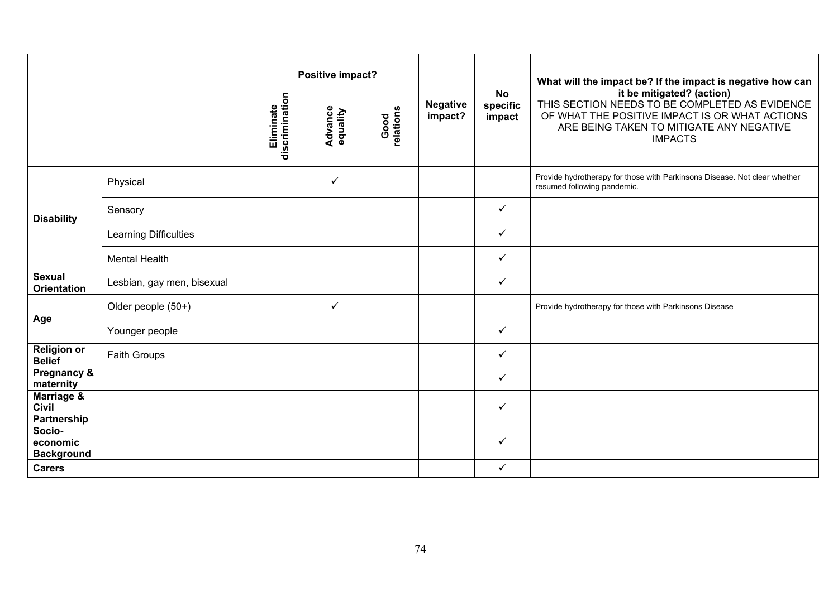|                                         |                            | discrimination<br>Eliminate | Positive impact?<br><b>Advance</b><br>equality | Good<br>relations | <b>Negative</b><br>impact? | <b>No</b><br>specific<br>impact | What will the impact be? If the impact is negative how can<br>it be mitigated? (action)<br>THIS SECTION NEEDS TO BE COMPLETED AS EVIDENCE<br>OF WHAT THE POSITIVE IMPACT IS OR WHAT ACTIONS<br>ARE BEING TAKEN TO MITIGATE ANY NEGATIVE<br><b>IMPACTS</b> |
|-----------------------------------------|----------------------------|-----------------------------|------------------------------------------------|-------------------|----------------------------|---------------------------------|-----------------------------------------------------------------------------------------------------------------------------------------------------------------------------------------------------------------------------------------------------------|
|                                         | Physical                   |                             | $\checkmark$                                   |                   |                            |                                 | Provide hydrotherapy for those with Parkinsons Disease. Not clear whether<br>resumed following pandemic.                                                                                                                                                  |
| <b>Disability</b>                       | Sensory                    |                             |                                                |                   |                            | $\checkmark$                    |                                                                                                                                                                                                                                                           |
|                                         | Learning Difficulties      |                             |                                                |                   |                            | $\checkmark$                    |                                                                                                                                                                                                                                                           |
|                                         | <b>Mental Health</b>       |                             |                                                |                   |                            | $\checkmark$                    |                                                                                                                                                                                                                                                           |
| <b>Sexual</b><br><b>Orientation</b>     | Lesbian, gay men, bisexual |                             |                                                |                   |                            | $\checkmark$                    |                                                                                                                                                                                                                                                           |
|                                         | Older people (50+)         |                             | $\checkmark$                                   |                   |                            |                                 | Provide hydrotherapy for those with Parkinsons Disease                                                                                                                                                                                                    |
| Age                                     | Younger people             |                             |                                                |                   |                            | $\checkmark$                    |                                                                                                                                                                                                                                                           |
| <b>Religion or</b><br><b>Belief</b>     | <b>Faith Groups</b>        |                             |                                                |                   |                            | ✓                               |                                                                                                                                                                                                                                                           |
| Pregnancy &<br>maternity                |                            |                             |                                                |                   |                            | $\checkmark$                    |                                                                                                                                                                                                                                                           |
| Marriage &<br>Civil<br>Partnership      |                            |                             |                                                |                   |                            | $\checkmark$                    |                                                                                                                                                                                                                                                           |
| Socio-<br>economic<br><b>Background</b> |                            |                             |                                                |                   |                            | ✓                               |                                                                                                                                                                                                                                                           |
| <b>Carers</b>                           |                            |                             |                                                |                   |                            | $\checkmark$                    |                                                                                                                                                                                                                                                           |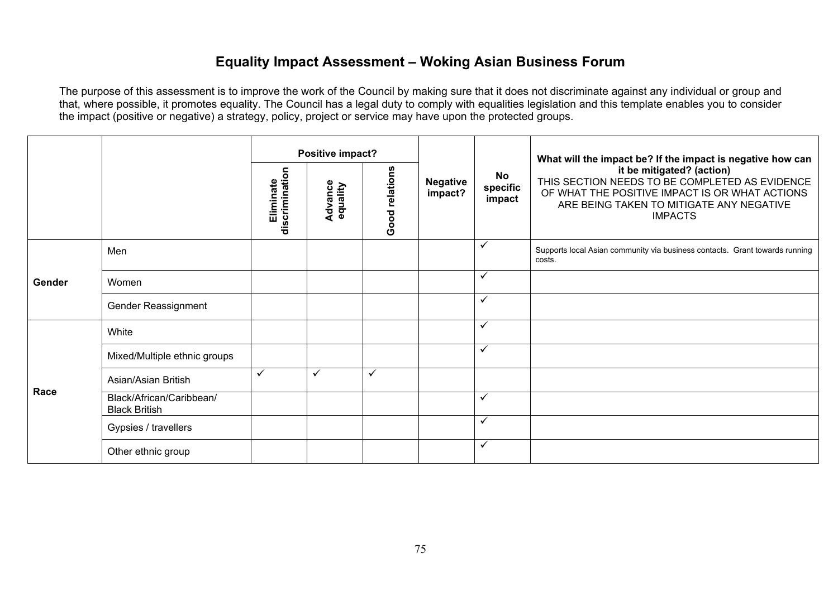### **Equality Impact Assessment – Woking Asian Business Forum**

|        |                                                  | Positive impact?            |                     |                |                            | What will the impact be? If the impact is negative how can |                                                                                                                                                                                             |
|--------|--------------------------------------------------|-----------------------------|---------------------|----------------|----------------------------|------------------------------------------------------------|---------------------------------------------------------------------------------------------------------------------------------------------------------------------------------------------|
|        |                                                  | discrimination<br>Eliminate | Advance<br>equality | Good relations | <b>Negative</b><br>impact? | <b>No</b><br>specific<br>impact                            | it be mitigated? (action)<br>THIS SECTION NEEDS TO BE COMPLETED AS EVIDENCE<br>OF WHAT THE POSITIVE IMPACT IS OR WHAT ACTIONS<br>ARE BEING TAKEN TO MITIGATE ANY NEGATIVE<br><b>IMPACTS</b> |
|        | Men                                              |                             |                     |                |                            | $\checkmark$                                               | Supports local Asian community via business contacts. Grant towards running<br>costs.                                                                                                       |
| Gender | Women                                            |                             |                     |                |                            | $\checkmark$                                               |                                                                                                                                                                                             |
|        | Gender Reassignment                              |                             |                     |                |                            | $\checkmark$                                               |                                                                                                                                                                                             |
|        | White                                            |                             |                     |                |                            | $\checkmark$                                               |                                                                                                                                                                                             |
|        | Mixed/Multiple ethnic groups                     |                             |                     |                |                            | $\checkmark$                                               |                                                                                                                                                                                             |
| Race   | Asian/Asian British                              | $\checkmark$                | ✓                   | $\checkmark$   |                            |                                                            |                                                                                                                                                                                             |
|        | Black/African/Caribbean/<br><b>Black British</b> |                             |                     |                |                            | $\checkmark$                                               |                                                                                                                                                                                             |
|        | Gypsies / travellers                             |                             |                     |                |                            | $\checkmark$                                               |                                                                                                                                                                                             |
|        | Other ethnic group                               |                             |                     |                |                            | $\checkmark$                                               |                                                                                                                                                                                             |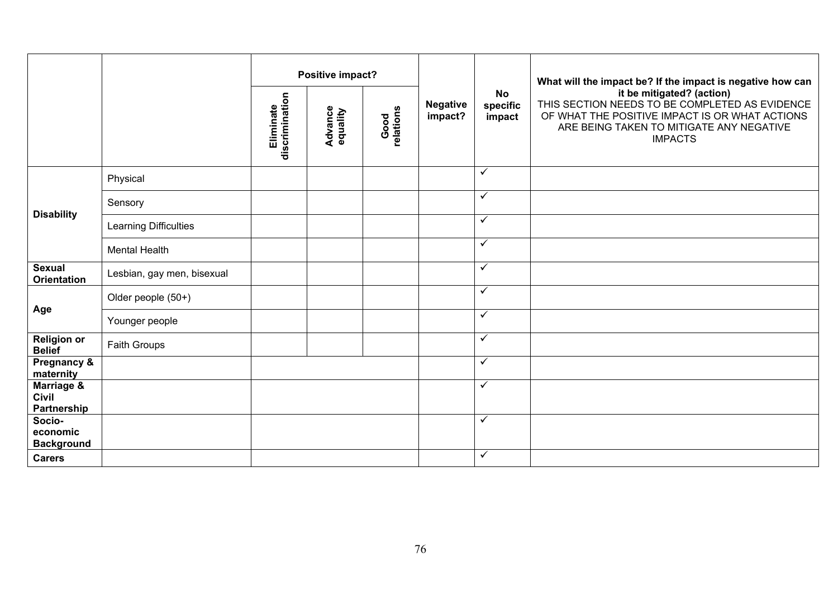|                                           |                            | Positive impact?            |                            |                   |                            |                                 | What will the impact be? If the impact is negative how can                                                                                                                                  |
|-------------------------------------------|----------------------------|-----------------------------|----------------------------|-------------------|----------------------------|---------------------------------|---------------------------------------------------------------------------------------------------------------------------------------------------------------------------------------------|
|                                           |                            | discrimination<br>Eliminate | <b>Advance</b><br>equality | Good<br>relations | <b>Negative</b><br>impact? | <b>No</b><br>specific<br>impact | it be mitigated? (action)<br>THIS SECTION NEEDS TO BE COMPLETED AS EVIDENCE<br>OF WHAT THE POSITIVE IMPACT IS OR WHAT ACTIONS<br>ARE BEING TAKEN TO MITIGATE ANY NEGATIVE<br><b>IMPACTS</b> |
|                                           | Physical                   |                             |                            |                   |                            | $\checkmark$                    |                                                                                                                                                                                             |
|                                           | Sensory                    |                             |                            |                   |                            | $\checkmark$                    |                                                                                                                                                                                             |
| <b>Disability</b>                         | Learning Difficulties      |                             |                            |                   |                            | $\checkmark$                    |                                                                                                                                                                                             |
|                                           | <b>Mental Health</b>       |                             |                            |                   |                            | $\checkmark$                    |                                                                                                                                                                                             |
| <b>Sexual</b><br><b>Orientation</b>       | Lesbian, gay men, bisexual |                             |                            |                   |                            | $\checkmark$                    |                                                                                                                                                                                             |
|                                           | Older people (50+)         |                             |                            |                   |                            | $\checkmark$                    |                                                                                                                                                                                             |
| Age                                       | Younger people             |                             |                            |                   |                            | $\checkmark$                    |                                                                                                                                                                                             |
| <b>Religion or</b><br><b>Belief</b>       | Faith Groups               |                             |                            |                   |                            | $\checkmark$                    |                                                                                                                                                                                             |
| Pregnancy &<br>maternity                  |                            |                             |                            |                   |                            | $\checkmark$                    |                                                                                                                                                                                             |
| Marriage &<br><b>Civil</b><br>Partnership |                            |                             |                            |                   |                            | $\checkmark$                    |                                                                                                                                                                                             |
| Socio-<br>economic<br><b>Background</b>   |                            |                             |                            |                   |                            | $\checkmark$                    |                                                                                                                                                                                             |
| <b>Carers</b>                             |                            |                             |                            |                   |                            | $\checkmark$                    |                                                                                                                                                                                             |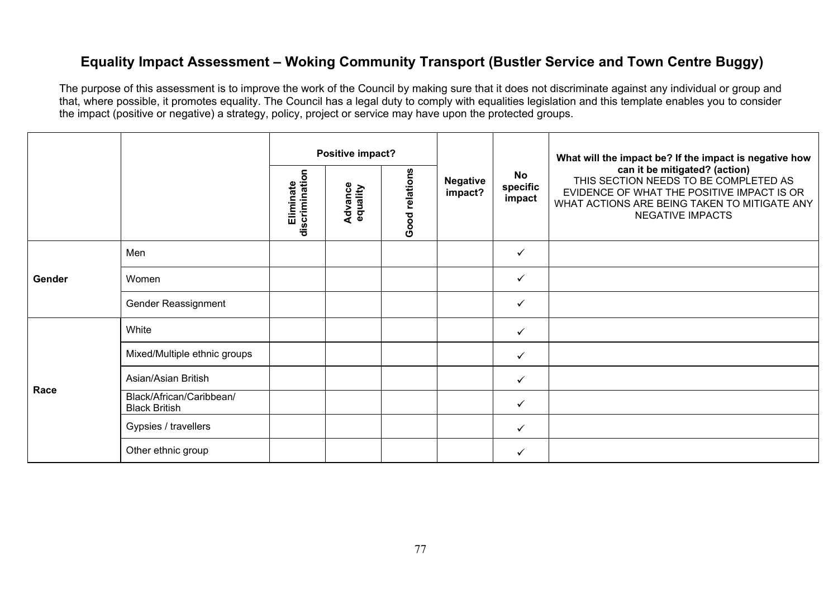## **Equality Impact Assessment – Woking Community Transport (Bustler Service and Town Centre Buggy)**

|        |                                                  |                             | Positive impact?    |                |                            |                                 | What will the impact be? If the impact is negative how                                                                                                                                          |
|--------|--------------------------------------------------|-----------------------------|---------------------|----------------|----------------------------|---------------------------------|-------------------------------------------------------------------------------------------------------------------------------------------------------------------------------------------------|
|        |                                                  | discrimination<br>Eliminate | Advance<br>equality | Good relations | <b>Negative</b><br>impact? | <b>No</b><br>specific<br>impact | can it be mitigated? (action)<br>THIS SECTION NEEDS TO BE COMPLETED AS<br>EVIDENCE OF WHAT THE POSITIVE IMPACT IS OR<br>WHAT ACTIONS ARE BEING TAKEN TO MITIGATE ANY<br><b>NEGATIVE IMPACTS</b> |
| Gender | Men                                              |                             |                     |                |                            | $\checkmark$                    |                                                                                                                                                                                                 |
|        | Women                                            |                             |                     |                |                            | $\checkmark$                    |                                                                                                                                                                                                 |
|        | Gender Reassignment                              |                             |                     |                |                            | $\checkmark$                    |                                                                                                                                                                                                 |
|        | White                                            |                             |                     |                |                            | $\checkmark$                    |                                                                                                                                                                                                 |
|        | Mixed/Multiple ethnic groups                     |                             |                     |                |                            | ✓                               |                                                                                                                                                                                                 |
| Race   | Asian/Asian British                              |                             |                     |                |                            | $\checkmark$                    |                                                                                                                                                                                                 |
|        | Black/African/Caribbean/<br><b>Black British</b> |                             |                     |                |                            | ✓                               |                                                                                                                                                                                                 |
|        | Gypsies / travellers                             |                             |                     |                |                            | $\checkmark$                    |                                                                                                                                                                                                 |
|        | Other ethnic group                               |                             |                     |                |                            | $\checkmark$                    |                                                                                                                                                                                                 |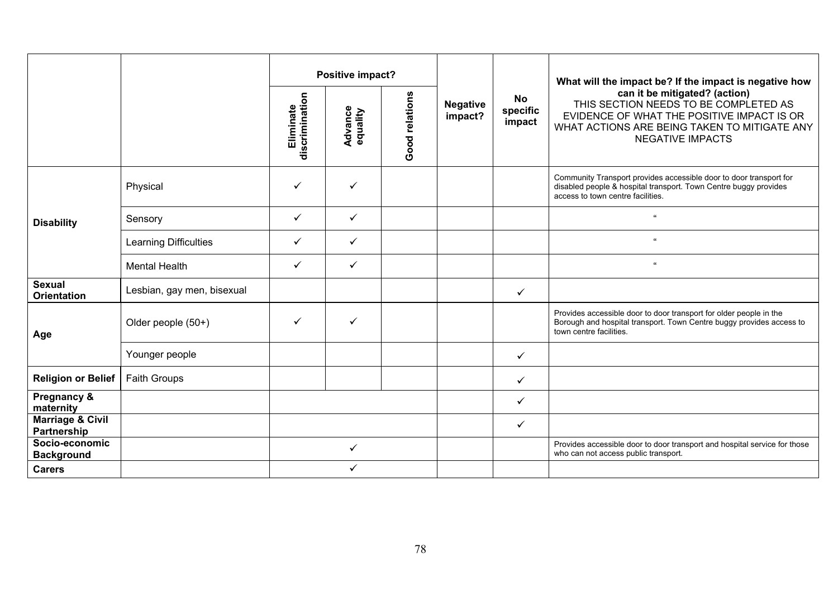|                                            |                            | Positive impact? |                            |                |                            |                                 | What will the impact be? If the impact is negative how                                                                                                                                          |
|--------------------------------------------|----------------------------|------------------|----------------------------|----------------|----------------------------|---------------------------------|-------------------------------------------------------------------------------------------------------------------------------------------------------------------------------------------------|
|                                            |                            |                  | <b>Advance</b><br>equality | Good relations | <b>Negative</b><br>impact? | <b>No</b><br>specific<br>impact | can it be mitigated? (action)<br>THIS SECTION NEEDS TO BE COMPLETED AS<br>EVIDENCE OF WHAT THE POSITIVE IMPACT IS OR<br>WHAT ACTIONS ARE BEING TAKEN TO MITIGATE ANY<br><b>NEGATIVE IMPACTS</b> |
|                                            | Physical                   | ✓                | $\checkmark$               |                |                            |                                 | Community Transport provides accessible door to door transport for<br>disabled people & hospital transport. Town Centre buggy provides<br>access to town centre facilities.                     |
| <b>Disability</b>                          | Sensory                    | $\checkmark$     | $\checkmark$               |                |                            |                                 | $\epsilon\epsilon$                                                                                                                                                                              |
|                                            | Learning Difficulties      | ✓                | $\checkmark$               |                |                            |                                 | $\epsilon\epsilon$                                                                                                                                                                              |
|                                            | <b>Mental Health</b>       | ✓                | $\checkmark$               |                |                            |                                 | $\epsilon\epsilon$                                                                                                                                                                              |
| <b>Sexual</b><br><b>Orientation</b>        | Lesbian, gay men, bisexual |                  |                            |                |                            | ✓                               |                                                                                                                                                                                                 |
| Age                                        | Older people (50+)         | $\checkmark$     | $\checkmark$               |                |                            |                                 | Provides accessible door to door transport for older people in the<br>Borough and hospital transport. Town Centre buggy provides access to<br>town centre facilities.                           |
|                                            | Younger people             |                  |                            |                |                            | ✓                               |                                                                                                                                                                                                 |
| <b>Religion or Belief</b>                  | <b>Faith Groups</b>        |                  |                            |                |                            | ✓                               |                                                                                                                                                                                                 |
| Pregnancy &<br>maternity                   |                            |                  |                            |                |                            | ✓                               |                                                                                                                                                                                                 |
| <b>Marriage &amp; Civil</b><br>Partnership |                            |                  |                            |                |                            | $\checkmark$                    |                                                                                                                                                                                                 |
| Socio-economic<br><b>Background</b>        |                            |                  | ✓                          |                |                            |                                 | Provides accessible door to door transport and hospital service for those<br>who can not access public transport.                                                                               |
| <b>Carers</b>                              |                            |                  |                            |                |                            |                                 |                                                                                                                                                                                                 |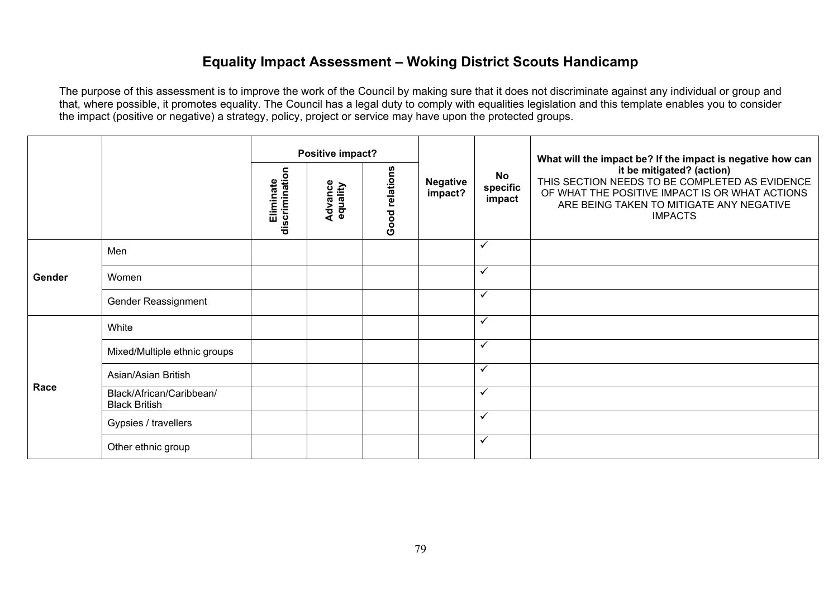### **Equality Impact Assessment – Woking District Scouts Handicamp**

|        |                                                  | Positive impact?            |                     |                |                            | What will the impact be? If the impact is negative how can |                                                                                                                                                                                             |
|--------|--------------------------------------------------|-----------------------------|---------------------|----------------|----------------------------|------------------------------------------------------------|---------------------------------------------------------------------------------------------------------------------------------------------------------------------------------------------|
|        |                                                  | Eliminate<br>discrimination | Advance<br>equality | Good relations | <b>Negative</b><br>impact? | No<br>specific<br>impact                                   | it be mitigated? (action)<br>THIS SECTION NEEDS TO BE COMPLETED AS EVIDENCE<br>OF WHAT THE POSITIVE IMPACT IS OR WHAT ACTIONS<br>ARE BEING TAKEN TO MITIGATE ANY NEGATIVE<br><b>IMPACTS</b> |
|        | Men                                              |                             |                     |                |                            | $\checkmark$                                               |                                                                                                                                                                                             |
| Gender | Women                                            |                             |                     |                |                            | $\checkmark$                                               |                                                                                                                                                                                             |
|        | Gender Reassignment                              |                             |                     |                |                            | $\checkmark$                                               |                                                                                                                                                                                             |
|        | White                                            |                             |                     |                |                            | $\checkmark$                                               |                                                                                                                                                                                             |
|        | Mixed/Multiple ethnic groups                     |                             |                     |                |                            | $\checkmark$                                               |                                                                                                                                                                                             |
| Race   | Asian/Asian British                              |                             |                     |                |                            | $\checkmark$                                               |                                                                                                                                                                                             |
|        | Black/African/Caribbean/<br><b>Black British</b> |                             |                     |                |                            | $\checkmark$                                               |                                                                                                                                                                                             |
|        | Gypsies / travellers                             |                             |                     |                |                            | $\checkmark$                                               |                                                                                                                                                                                             |
|        | Other ethnic group                               |                             |                     |                |                            | $\checkmark$                                               |                                                                                                                                                                                             |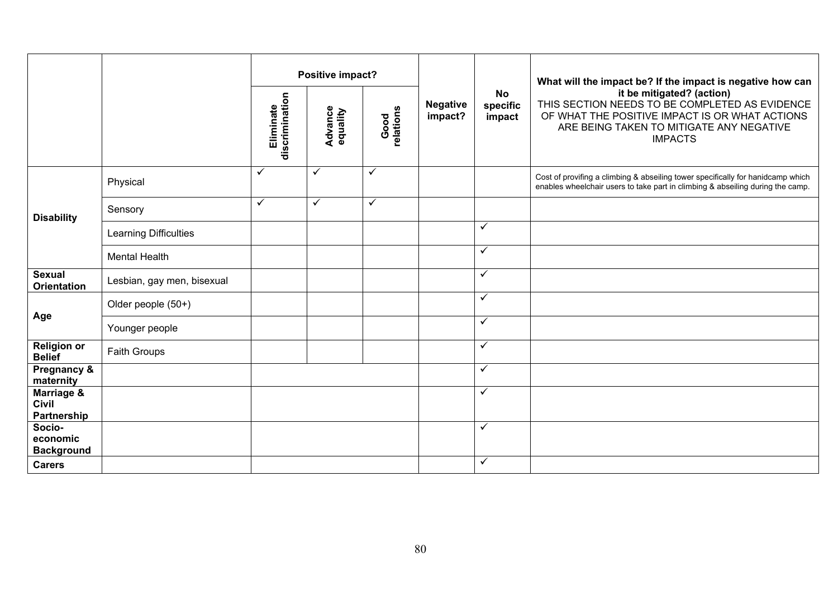|                                           |                            | Positive impact?            |                            |                   |                            |                                 | What will the impact be? If the impact is negative how can                                                                                                                                  |
|-------------------------------------------|----------------------------|-----------------------------|----------------------------|-------------------|----------------------------|---------------------------------|---------------------------------------------------------------------------------------------------------------------------------------------------------------------------------------------|
|                                           |                            | discrimination<br>Eliminate | <b>Advance</b><br>equality | Good<br>relations | <b>Negative</b><br>impact? | <b>No</b><br>specific<br>impact | it be mitigated? (action)<br>THIS SECTION NEEDS TO BE COMPLETED AS EVIDENCE<br>OF WHAT THE POSITIVE IMPACT IS OR WHAT ACTIONS<br>ARE BEING TAKEN TO MITIGATE ANY NEGATIVE<br><b>IMPACTS</b> |
|                                           | Physical                   | $\checkmark$                | $\checkmark$               | ✓                 |                            |                                 | Cost of provifing a climbing & abseiling tower specifically for hanidcamp which<br>enables wheelchair users to take part in climbing & abseiling during the camp.                           |
| <b>Disability</b>                         | Sensory                    | $\checkmark$                | $\checkmark$               | ✓                 |                            |                                 |                                                                                                                                                                                             |
|                                           | Learning Difficulties      |                             |                            |                   |                            | $\checkmark$                    |                                                                                                                                                                                             |
|                                           | <b>Mental Health</b>       |                             |                            |                   |                            | $\checkmark$                    |                                                                                                                                                                                             |
| <b>Sexual</b><br><b>Orientation</b>       | Lesbian, gay men, bisexual |                             |                            |                   |                            | $\checkmark$                    |                                                                                                                                                                                             |
|                                           | Older people (50+)         |                             |                            |                   |                            | $\checkmark$                    |                                                                                                                                                                                             |
| Age                                       | Younger people             |                             |                            |                   |                            | $\checkmark$                    |                                                                                                                                                                                             |
| <b>Religion or</b><br><b>Belief</b>       | Faith Groups               |                             |                            |                   |                            | $\checkmark$                    |                                                                                                                                                                                             |
| Pregnancy &<br>maternity                  |                            |                             |                            |                   |                            | $\checkmark$                    |                                                                                                                                                                                             |
| Marriage &<br><b>Civil</b><br>Partnership |                            |                             |                            |                   |                            | $\checkmark$                    |                                                                                                                                                                                             |
| Socio-<br>economic<br><b>Background</b>   |                            |                             |                            |                   |                            | $\checkmark$                    |                                                                                                                                                                                             |
| <b>Carers</b>                             |                            |                             |                            |                   |                            | $\checkmark$                    |                                                                                                                                                                                             |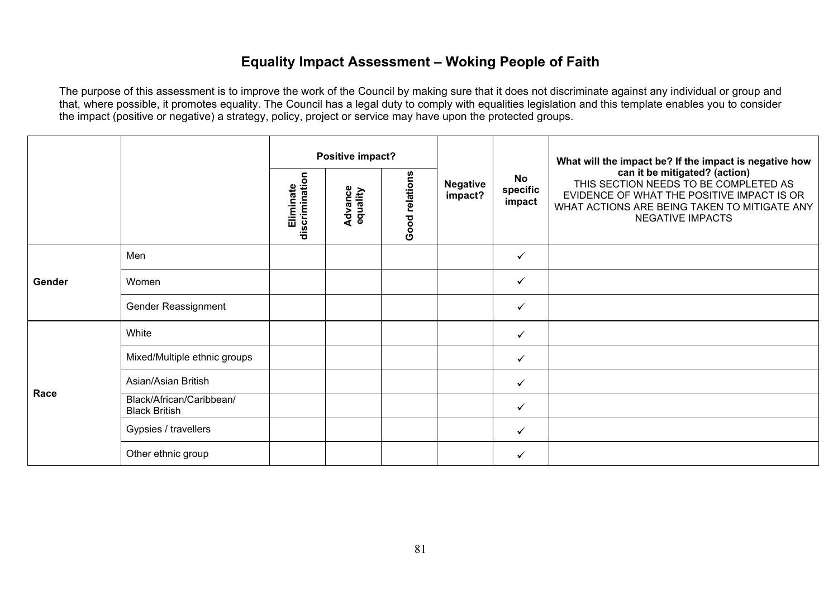### **Equality Impact Assessment – Woking People of Faith**

|        |                                                  |                             | Positive impact?           |                |                            |                          | What will the impact be? If the impact is negative how                                                                                                                                          |
|--------|--------------------------------------------------|-----------------------------|----------------------------|----------------|----------------------------|--------------------------|-------------------------------------------------------------------------------------------------------------------------------------------------------------------------------------------------|
|        |                                                  | discrimination<br>Eliminate | <b>Advance</b><br>equality | Good relations | <b>Negative</b><br>impact? | No<br>specific<br>impact | can it be mitigated? (action)<br>THIS SECTION NEEDS TO BE COMPLETED AS<br>EVIDENCE OF WHAT THE POSITIVE IMPACT IS OR<br>WHAT ACTIONS ARE BEING TAKEN TO MITIGATE ANY<br><b>NEGATIVE IMPACTS</b> |
| Gender | Men                                              |                             |                            |                |                            | ✓                        |                                                                                                                                                                                                 |
|        | Women                                            |                             |                            |                |                            | $\checkmark$             |                                                                                                                                                                                                 |
|        | Gender Reassignment                              |                             |                            |                |                            | ✓                        |                                                                                                                                                                                                 |
|        | White                                            |                             |                            |                |                            | ✓                        |                                                                                                                                                                                                 |
|        | Mixed/Multiple ethnic groups                     |                             |                            |                |                            | $\checkmark$             |                                                                                                                                                                                                 |
|        | Asian/Asian British                              |                             |                            |                |                            | $\checkmark$             |                                                                                                                                                                                                 |
| Race   | Black/African/Caribbean/<br><b>Black British</b> |                             |                            |                |                            | $\checkmark$             |                                                                                                                                                                                                 |
|        | Gypsies / travellers                             |                             |                            |                |                            | $\checkmark$             |                                                                                                                                                                                                 |
|        | Other ethnic group                               |                             |                            |                |                            | ✓                        |                                                                                                                                                                                                 |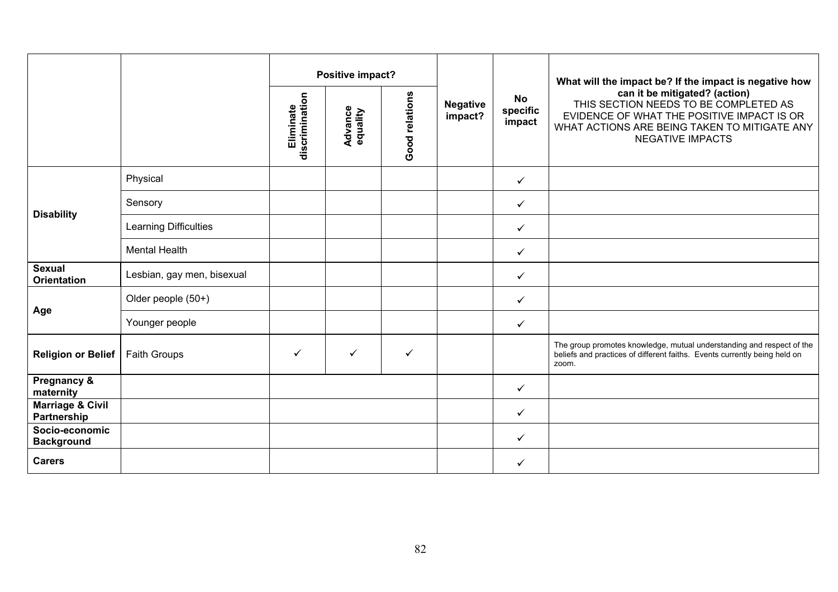|                                            |                            | Positive impact?            |                            |                |                            |                                 | What will the impact be? If the impact is negative how                                                                                                                                          |
|--------------------------------------------|----------------------------|-----------------------------|----------------------------|----------------|----------------------------|---------------------------------|-------------------------------------------------------------------------------------------------------------------------------------------------------------------------------------------------|
|                                            |                            | discrimination<br>Eliminate | <b>Advance</b><br>equality | Good relations | <b>Negative</b><br>impact? | <b>No</b><br>specific<br>impact | can it be mitigated? (action)<br>THIS SECTION NEEDS TO BE COMPLETED AS<br>EVIDENCE OF WHAT THE POSITIVE IMPACT IS OR<br>WHAT ACTIONS ARE BEING TAKEN TO MITIGATE ANY<br><b>NEGATIVE IMPACTS</b> |
|                                            | Physical                   |                             |                            |                |                            | $\checkmark$                    |                                                                                                                                                                                                 |
| <b>Disability</b>                          | Sensory                    |                             |                            |                |                            | $\checkmark$                    |                                                                                                                                                                                                 |
|                                            | Learning Difficulties      |                             |                            |                |                            | $\checkmark$                    |                                                                                                                                                                                                 |
|                                            | <b>Mental Health</b>       |                             |                            |                |                            | $\checkmark$                    |                                                                                                                                                                                                 |
| <b>Sexual</b><br><b>Orientation</b>        | Lesbian, gay men, bisexual |                             |                            |                |                            | $\checkmark$                    |                                                                                                                                                                                                 |
|                                            | Older people (50+)         |                             |                            |                |                            | ✓                               |                                                                                                                                                                                                 |
| Age                                        | Younger people             |                             |                            |                |                            | ✓                               |                                                                                                                                                                                                 |
| <b>Religion or Belief</b>                  | <b>Faith Groups</b>        | $\checkmark$                | $\checkmark$               | $\checkmark$   |                            |                                 | The group promotes knowledge, mutual understanding and respect of the<br>beliefs and practices of different faiths. Events currently being held on<br>zoom.                                     |
| Pregnancy &<br>maternity                   |                            |                             |                            |                |                            | $\checkmark$                    |                                                                                                                                                                                                 |
| <b>Marriage &amp; Civil</b><br>Partnership |                            |                             |                            |                |                            | $\checkmark$                    |                                                                                                                                                                                                 |
| Socio-economic<br><b>Background</b>        |                            |                             |                            |                |                            | ✓                               |                                                                                                                                                                                                 |
| <b>Carers</b>                              |                            |                             |                            |                |                            | ✓                               |                                                                                                                                                                                                 |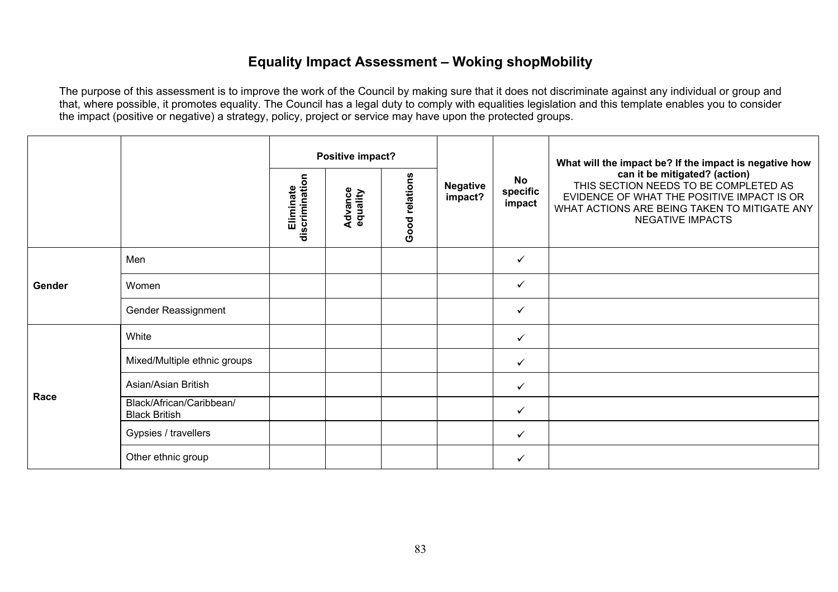### **Equality Impact Assessment – Woking shopMobility**

|        |                                                  | Positive impact?            |                            |                |                            |                                 | What will the impact be? If the impact is negative how                                                                                                                                          |
|--------|--------------------------------------------------|-----------------------------|----------------------------|----------------|----------------------------|---------------------------------|-------------------------------------------------------------------------------------------------------------------------------------------------------------------------------------------------|
|        |                                                  | discrimination<br>Eliminate | <b>Advance</b><br>equality | Good relations | <b>Negative</b><br>impact? | <b>No</b><br>specific<br>impact | can it be mitigated? (action)<br>THIS SECTION NEEDS TO BE COMPLETED AS<br>EVIDENCE OF WHAT THE POSITIVE IMPACT IS OR<br>WHAT ACTIONS ARE BEING TAKEN TO MITIGATE ANY<br><b>NEGATIVE IMPACTS</b> |
| Gender | Men                                              |                             |                            |                |                            | ✓                               |                                                                                                                                                                                                 |
|        | Women                                            |                             |                            |                |                            | ✓                               |                                                                                                                                                                                                 |
|        | Gender Reassignment                              |                             |                            |                |                            | $\checkmark$                    |                                                                                                                                                                                                 |
|        | White                                            |                             |                            |                |                            | $\checkmark$                    |                                                                                                                                                                                                 |
|        | Mixed/Multiple ethnic groups                     |                             |                            |                |                            | ✓                               |                                                                                                                                                                                                 |
| Race   | Asian/Asian British                              |                             |                            |                |                            | $\checkmark$                    |                                                                                                                                                                                                 |
|        | Black/African/Caribbean/<br><b>Black British</b> |                             |                            |                |                            | $\checkmark$                    |                                                                                                                                                                                                 |
|        | Gypsies / travellers                             |                             |                            |                |                            | $\checkmark$                    |                                                                                                                                                                                                 |
|        | Other ethnic group                               |                             |                            |                |                            | ✓                               |                                                                                                                                                                                                 |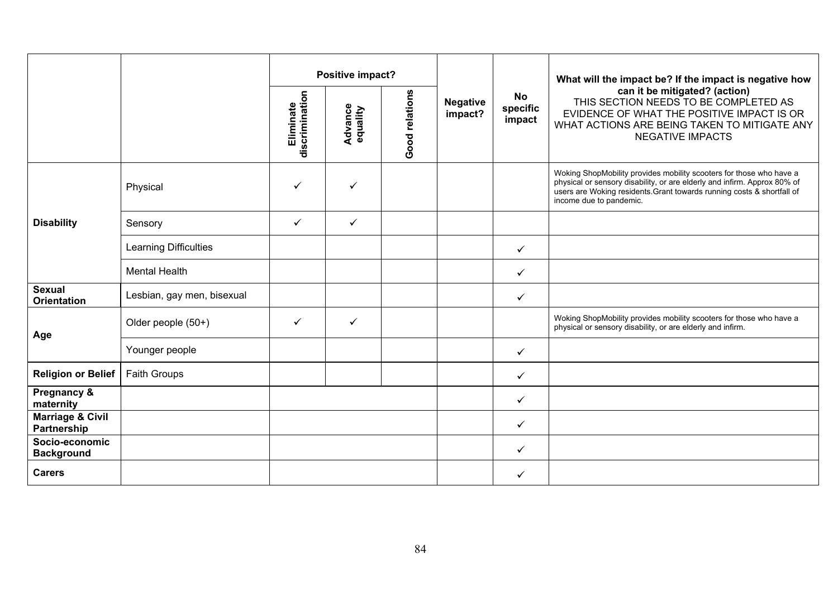|                                            |                              | Positive impact?            |                     |                |                            |                                 | What will the impact be? If the impact is negative how                                                                                                                                                                                              |
|--------------------------------------------|------------------------------|-----------------------------|---------------------|----------------|----------------------------|---------------------------------|-----------------------------------------------------------------------------------------------------------------------------------------------------------------------------------------------------------------------------------------------------|
|                                            |                              | discrimination<br>Eliminate | Advance<br>equality | Good relations | <b>Negative</b><br>impact? | <b>No</b><br>specific<br>impact | can it be mitigated? (action)<br>THIS SECTION NEEDS TO BE COMPLETED AS<br>EVIDENCE OF WHAT THE POSITIVE IMPACT IS OR<br>WHAT ACTIONS ARE BEING TAKEN TO MITIGATE ANY<br><b>NEGATIVE IMPACTS</b>                                                     |
|                                            | Physical                     | ✓                           | ✓                   |                |                            |                                 | Woking ShopMobility provides mobility scooters for those who have a<br>physical or sensory disability, or are elderly and infirm. Approx 80% of<br>users are Woking residents Grant towards running costs & shortfall of<br>income due to pandemic. |
| <b>Disability</b>                          | Sensory                      | $\checkmark$                | $\checkmark$        |                |                            |                                 |                                                                                                                                                                                                                                                     |
|                                            | <b>Learning Difficulties</b> |                             |                     |                |                            | $\checkmark$                    |                                                                                                                                                                                                                                                     |
|                                            | <b>Mental Health</b>         |                             |                     |                |                            | ✓                               |                                                                                                                                                                                                                                                     |
| <b>Sexual</b><br><b>Orientation</b>        | Lesbian, gay men, bisexual   |                             |                     |                |                            | $\checkmark$                    |                                                                                                                                                                                                                                                     |
| Age                                        | Older people (50+)           | $\checkmark$                | $\checkmark$        |                |                            |                                 | Woking ShopMobility provides mobility scooters for those who have a<br>physical or sensory disability, or are elderly and infirm.                                                                                                                   |
|                                            | Younger people               |                             |                     |                |                            | $\checkmark$                    |                                                                                                                                                                                                                                                     |
| <b>Religion or Belief</b>                  | <b>Faith Groups</b>          |                             |                     |                |                            | ✓                               |                                                                                                                                                                                                                                                     |
| Pregnancy &<br>maternity                   |                              |                             |                     |                |                            | $\checkmark$                    |                                                                                                                                                                                                                                                     |
| <b>Marriage &amp; Civil</b><br>Partnership |                              |                             |                     |                |                            | $\checkmark$                    |                                                                                                                                                                                                                                                     |
| Socio-economic<br><b>Background</b>        |                              |                             |                     |                |                            | $\checkmark$                    |                                                                                                                                                                                                                                                     |
| <b>Carers</b>                              |                              |                             |                     |                |                            | ✓                               |                                                                                                                                                                                                                                                     |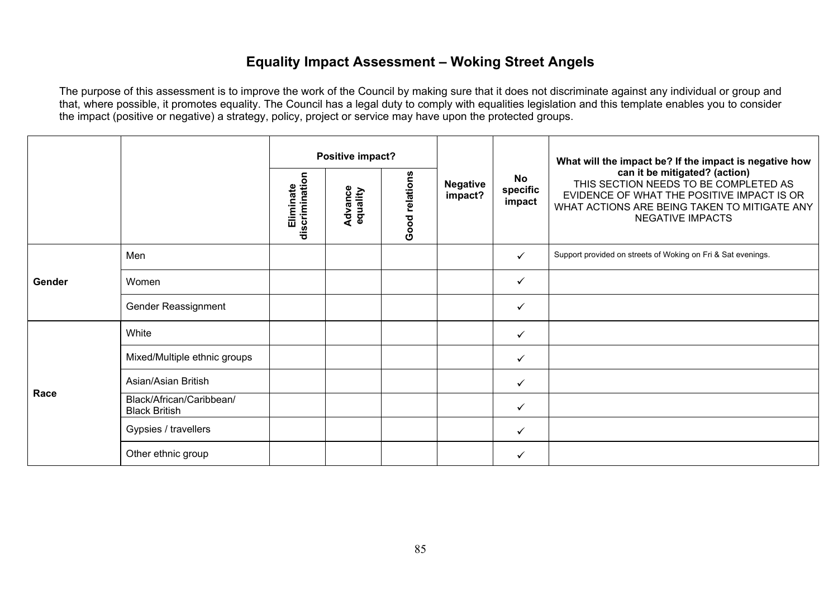# **Equality Impact Assessment – Woking Street Angels**

|        |                                                  |                             | Positive impact?           |                |                            |                          | What will the impact be? If the impact is negative how                                                                                                                                          |
|--------|--------------------------------------------------|-----------------------------|----------------------------|----------------|----------------------------|--------------------------|-------------------------------------------------------------------------------------------------------------------------------------------------------------------------------------------------|
|        |                                                  | Eliminate<br>discrimination | <b>Advance</b><br>equality | Good relations | <b>Negative</b><br>impact? | No<br>specific<br>impact | can it be mitigated? (action)<br>THIS SECTION NEEDS TO BE COMPLETED AS<br>EVIDENCE OF WHAT THE POSITIVE IMPACT IS OR<br>WHAT ACTIONS ARE BEING TAKEN TO MITIGATE ANY<br><b>NEGATIVE IMPACTS</b> |
| Gender | Men                                              |                             |                            |                |                            | ✓                        | Support provided on streets of Woking on Fri & Sat evenings.                                                                                                                                    |
|        | Women                                            |                             |                            |                |                            | $\checkmark$             |                                                                                                                                                                                                 |
|        | Gender Reassignment                              |                             |                            |                |                            | $\checkmark$             |                                                                                                                                                                                                 |
|        | White                                            |                             |                            |                |                            | $\checkmark$             |                                                                                                                                                                                                 |
|        | Mixed/Multiple ethnic groups                     |                             |                            |                |                            | $\checkmark$             |                                                                                                                                                                                                 |
| Race   | Asian/Asian British                              |                             |                            |                |                            | $\checkmark$             |                                                                                                                                                                                                 |
|        | Black/African/Caribbean/<br><b>Black British</b> |                             |                            |                |                            | $\checkmark$             |                                                                                                                                                                                                 |
|        | Gypsies / travellers                             |                             |                            |                |                            | $\checkmark$             |                                                                                                                                                                                                 |
|        | Other ethnic group                               |                             |                            |                |                            | ✓                        |                                                                                                                                                                                                 |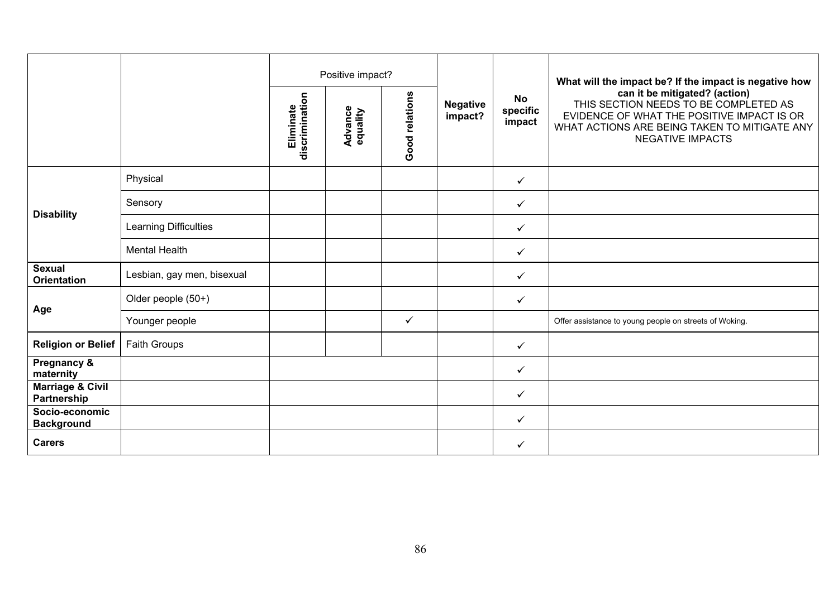|                                            |                            |                             | Positive impact?           |                |                            |                                 | What will the impact be? If the impact is negative how                                                                                                                                          |
|--------------------------------------------|----------------------------|-----------------------------|----------------------------|----------------|----------------------------|---------------------------------|-------------------------------------------------------------------------------------------------------------------------------------------------------------------------------------------------|
|                                            |                            | discrimination<br>Eliminate | <b>Advance</b><br>equality | Good relations | <b>Negative</b><br>impact? | <b>No</b><br>specific<br>impact | can it be mitigated? (action)<br>THIS SECTION NEEDS TO BE COMPLETED AS<br>EVIDENCE OF WHAT THE POSITIVE IMPACT IS OR<br>WHAT ACTIONS ARE BEING TAKEN TO MITIGATE ANY<br><b>NEGATIVE IMPACTS</b> |
|                                            | Physical                   |                             |                            |                |                            | $\checkmark$                    |                                                                                                                                                                                                 |
|                                            | Sensory                    |                             |                            |                |                            | $\checkmark$                    |                                                                                                                                                                                                 |
| <b>Disability</b>                          | Learning Difficulties      |                             |                            |                |                            | $\checkmark$                    |                                                                                                                                                                                                 |
|                                            | <b>Mental Health</b>       |                             |                            |                |                            | $\checkmark$                    |                                                                                                                                                                                                 |
| <b>Sexual</b><br><b>Orientation</b>        | Lesbian, gay men, bisexual |                             |                            |                |                            | $\checkmark$                    |                                                                                                                                                                                                 |
| Age                                        | Older people (50+)         |                             |                            |                |                            | $\checkmark$                    |                                                                                                                                                                                                 |
|                                            | Younger people             |                             |                            | $\checkmark$   |                            |                                 | Offer assistance to young people on streets of Woking.                                                                                                                                          |
| <b>Religion or Belief</b>                  | Faith Groups               |                             |                            |                |                            | $\checkmark$                    |                                                                                                                                                                                                 |
| Pregnancy &<br>maternity                   |                            |                             |                            |                |                            | $\checkmark$                    |                                                                                                                                                                                                 |
| <b>Marriage &amp; Civil</b><br>Partnership |                            |                             |                            |                |                            | $\checkmark$                    |                                                                                                                                                                                                 |
| Socio-economic<br><b>Background</b>        |                            |                             |                            |                |                            | $\checkmark$                    |                                                                                                                                                                                                 |
| <b>Carers</b>                              |                            |                             |                            |                |                            | $\checkmark$                    |                                                                                                                                                                                                 |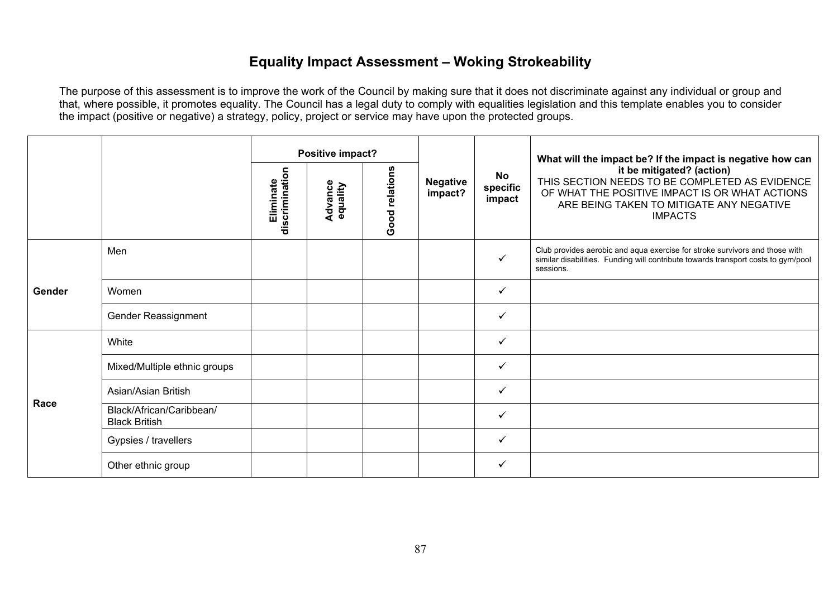# **Equality Impact Assessment – Woking Strokeability**

|        |                                                  | Positive impact?            |                     |                |                            |                                 | What will the impact be? If the impact is negative how can                                                                                                                                  |
|--------|--------------------------------------------------|-----------------------------|---------------------|----------------|----------------------------|---------------------------------|---------------------------------------------------------------------------------------------------------------------------------------------------------------------------------------------|
|        |                                                  | discrimination<br>Eliminate | Advance<br>equality | Good relations | <b>Negative</b><br>impact? | <b>No</b><br>specific<br>impact | it be mitigated? (action)<br>THIS SECTION NEEDS TO BE COMPLETED AS EVIDENCE<br>OF WHAT THE POSITIVE IMPACT IS OR WHAT ACTIONS<br>ARE BEING TAKEN TO MITIGATE ANY NEGATIVE<br><b>IMPACTS</b> |
|        | Men                                              |                             |                     |                |                            | ✓                               | Club provides aerobic and aqua exercise for stroke survivors and those with<br>similar disabilities. Funding will contribute towards transport costs to gym/pool<br>sessions.               |
| Gender | Women                                            |                             |                     |                |                            | $\checkmark$                    |                                                                                                                                                                                             |
|        | Gender Reassignment                              |                             |                     |                |                            | $\checkmark$                    |                                                                                                                                                                                             |
|        | White                                            |                             |                     |                |                            | ✓                               |                                                                                                                                                                                             |
|        | Mixed/Multiple ethnic groups                     |                             |                     |                |                            | $\checkmark$                    |                                                                                                                                                                                             |
| Race   | Asian/Asian British                              |                             |                     |                |                            | $\checkmark$                    |                                                                                                                                                                                             |
|        | Black/African/Caribbean/<br><b>Black British</b> |                             |                     |                |                            | $\checkmark$                    |                                                                                                                                                                                             |
|        | Gypsies / travellers                             |                             |                     |                |                            | ✓                               |                                                                                                                                                                                             |
|        | Other ethnic group                               |                             |                     |                |                            | ✓                               |                                                                                                                                                                                             |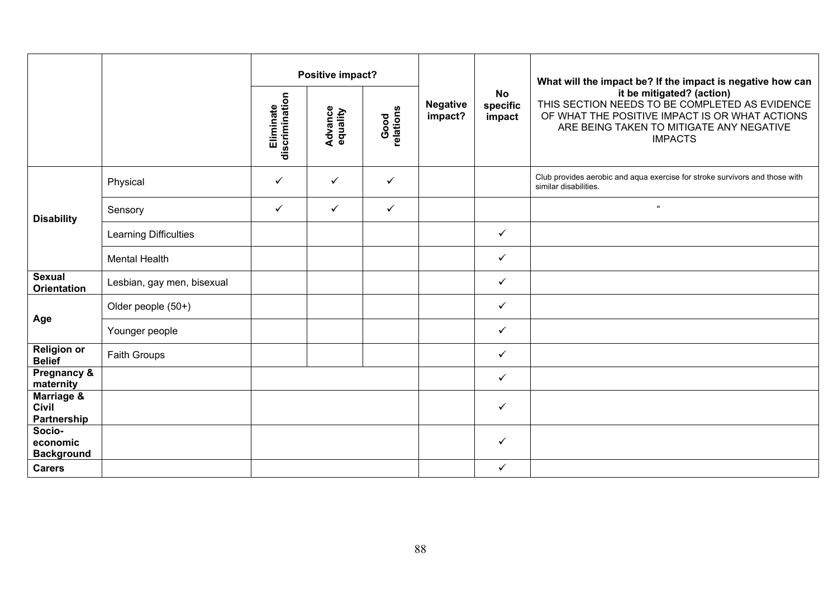|                                         |                            |                             | Positive impact?           |                   |                            |                                 | What will the impact be? If the impact is negative how can                                                                                                                                  |
|-----------------------------------------|----------------------------|-----------------------------|----------------------------|-------------------|----------------------------|---------------------------------|---------------------------------------------------------------------------------------------------------------------------------------------------------------------------------------------|
|                                         |                            | discrimination<br>Eliminate | <b>Advance</b><br>equality | Good<br>relations | <b>Negative</b><br>impact? | <b>No</b><br>specific<br>impact | it be mitigated? (action)<br>THIS SECTION NEEDS TO BE COMPLETED AS EVIDENCE<br>OF WHAT THE POSITIVE IMPACT IS OR WHAT ACTIONS<br>ARE BEING TAKEN TO MITIGATE ANY NEGATIVE<br><b>IMPACTS</b> |
|                                         | Physical                   | ✓                           | $\checkmark$               | $\checkmark$      |                            |                                 | Club provides aerobic and aqua exercise for stroke survivors and those with<br>similar disabilities.                                                                                        |
| <b>Disability</b>                       | Sensory                    | $\checkmark$                | $\checkmark$               | $\checkmark$      |                            |                                 | $\alpha$                                                                                                                                                                                    |
|                                         | Learning Difficulties      |                             |                            |                   |                            | $\checkmark$                    |                                                                                                                                                                                             |
|                                         | <b>Mental Health</b>       |                             |                            |                   |                            | $\checkmark$                    |                                                                                                                                                                                             |
| <b>Sexual</b><br><b>Orientation</b>     | Lesbian, gay men, bisexual |                             |                            |                   |                            | $\checkmark$                    |                                                                                                                                                                                             |
| Age                                     | Older people (50+)         |                             |                            |                   |                            | ✓                               |                                                                                                                                                                                             |
|                                         | Younger people             |                             |                            |                   |                            | $\checkmark$                    |                                                                                                                                                                                             |
| <b>Religion or</b><br><b>Belief</b>     | Faith Groups               |                             |                            |                   |                            | $\checkmark$                    |                                                                                                                                                                                             |
| Pregnancy &<br>maternity                |                            |                             |                            |                   |                            | ✓                               |                                                                                                                                                                                             |
| Marriage &<br>Civil<br>Partnership      |                            |                             |                            |                   |                            | $\checkmark$                    |                                                                                                                                                                                             |
| Socio-<br>economic<br><b>Background</b> |                            |                             |                            |                   |                            | $\checkmark$                    |                                                                                                                                                                                             |
| <b>Carers</b>                           |                            |                             |                            |                   |                            | $\checkmark$                    |                                                                                                                                                                                             |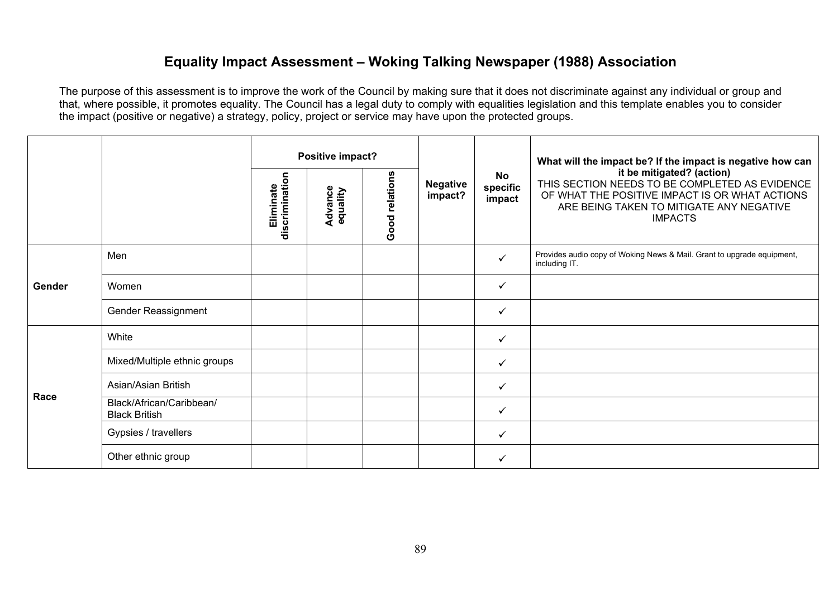## **Equality Impact Assessment – Woking Talking Newspaper (1988) Association**

|        |                                                  | Positive impact?            |                     |                |                            | What will the impact be? If the impact is negative how can |                                                                                                                                                                                             |
|--------|--------------------------------------------------|-----------------------------|---------------------|----------------|----------------------------|------------------------------------------------------------|---------------------------------------------------------------------------------------------------------------------------------------------------------------------------------------------|
|        |                                                  | discrimination<br>Eliminate | Advance<br>equality | Good relations | <b>Negative</b><br>impact? | <b>No</b><br>specific<br>impact                            | it be mitigated? (action)<br>THIS SECTION NEEDS TO BE COMPLETED AS EVIDENCE<br>OF WHAT THE POSITIVE IMPACT IS OR WHAT ACTIONS<br>ARE BEING TAKEN TO MITIGATE ANY NEGATIVE<br><b>IMPACTS</b> |
| Gender | Men                                              |                             |                     |                |                            | ✓                                                          | Provides audio copy of Woking News & Mail. Grant to upgrade equipment,<br>including IT.                                                                                                     |
|        | Women                                            |                             |                     |                |                            | ✓                                                          |                                                                                                                                                                                             |
|        | Gender Reassignment                              |                             |                     |                |                            |                                                            |                                                                                                                                                                                             |
|        | White                                            |                             |                     |                |                            | ✓                                                          |                                                                                                                                                                                             |
|        | Mixed/Multiple ethnic groups                     |                             |                     |                |                            | ✓                                                          |                                                                                                                                                                                             |
| Race   | Asian/Asian British                              |                             |                     |                |                            | ✓                                                          |                                                                                                                                                                                             |
|        | Black/African/Caribbean/<br><b>Black British</b> |                             |                     |                |                            | ✓                                                          |                                                                                                                                                                                             |
|        | Gypsies / travellers                             |                             |                     |                |                            | $\checkmark$                                               |                                                                                                                                                                                             |
|        | Other ethnic group                               |                             |                     |                |                            | ✓                                                          |                                                                                                                                                                                             |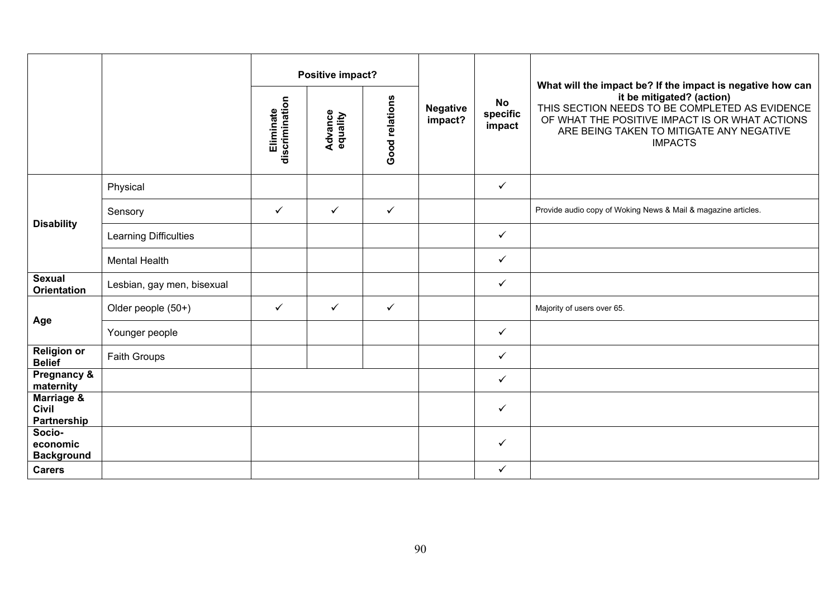|                                           |                              |                             | Positive impact?           |                |                            |                                 | What will the impact be? If the impact is negative how can                                                                                                                                  |
|-------------------------------------------|------------------------------|-----------------------------|----------------------------|----------------|----------------------------|---------------------------------|---------------------------------------------------------------------------------------------------------------------------------------------------------------------------------------------|
|                                           |                              | discrimination<br>Eliminate | <b>Advance</b><br>equality | Good relations | <b>Negative</b><br>impact? | <b>No</b><br>specific<br>impact | it be mitigated? (action)<br>THIS SECTION NEEDS TO BE COMPLETED AS EVIDENCE<br>OF WHAT THE POSITIVE IMPACT IS OR WHAT ACTIONS<br>ARE BEING TAKEN TO MITIGATE ANY NEGATIVE<br><b>IMPACTS</b> |
|                                           | Physical                     |                             |                            |                |                            | $\checkmark$                    |                                                                                                                                                                                             |
|                                           | Sensory                      | $\checkmark$                | $\checkmark$               | $\checkmark$   |                            |                                 | Provide audio copy of Woking News & Mail & magazine articles.                                                                                                                               |
| <b>Disability</b>                         | <b>Learning Difficulties</b> |                             |                            |                |                            | ✓                               |                                                                                                                                                                                             |
|                                           | <b>Mental Health</b>         |                             |                            |                |                            | ✓                               |                                                                                                                                                                                             |
| <b>Sexual</b><br><b>Orientation</b>       | Lesbian, gay men, bisexual   |                             |                            |                |                            | ✓                               |                                                                                                                                                                                             |
|                                           | Older people (50+)           | $\checkmark$                | $\checkmark$               | $\checkmark$   |                            |                                 | Majority of users over 65.                                                                                                                                                                  |
| Age                                       | Younger people               |                             |                            |                |                            | ✓                               |                                                                                                                                                                                             |
| <b>Religion or</b><br><b>Belief</b>       | Faith Groups                 |                             |                            |                |                            | ✓                               |                                                                                                                                                                                             |
| <b>Pregnancy &amp;</b><br>maternity       |                              |                             |                            |                |                            | ✓                               |                                                                                                                                                                                             |
| Marriage &<br><b>Civil</b><br>Partnership |                              |                             |                            |                |                            | ✓                               |                                                                                                                                                                                             |
| Socio-<br>economic<br><b>Background</b>   |                              |                             |                            |                |                            | ✓                               |                                                                                                                                                                                             |
| <b>Carers</b>                             |                              |                             |                            |                |                            | ✓                               |                                                                                                                                                                                             |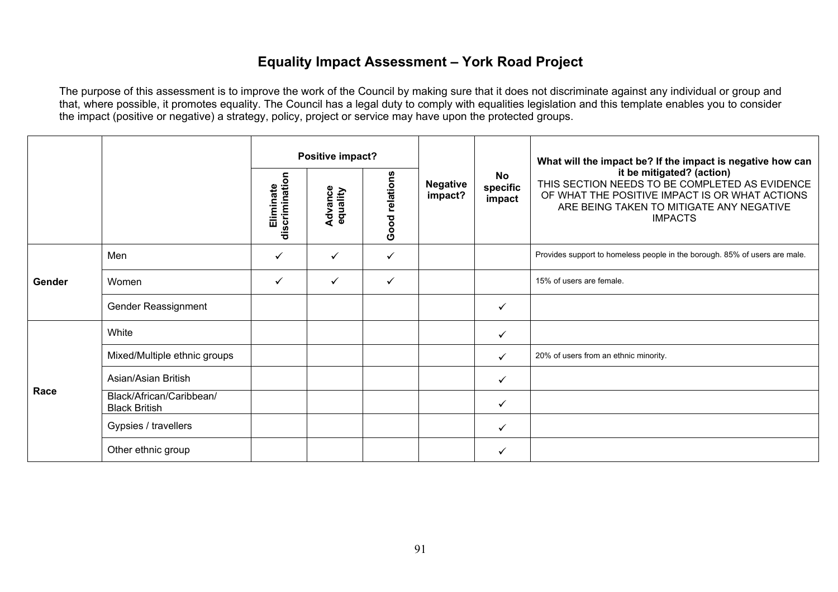# **Equality Impact Assessment – York Road Project**

|        | Positive impact?                                 |                             |                     |                |                            | What will the impact be? If the impact is negative how can |                                                                                                                                                                                             |
|--------|--------------------------------------------------|-----------------------------|---------------------|----------------|----------------------------|------------------------------------------------------------|---------------------------------------------------------------------------------------------------------------------------------------------------------------------------------------------|
|        |                                                  | discrimination<br>Eliminate | Advance<br>equality | Good relations | <b>Negative</b><br>impact? | <b>No</b><br>specific<br>impact                            | it be mitigated? (action)<br>THIS SECTION NEEDS TO BE COMPLETED AS EVIDENCE<br>OF WHAT THE POSITIVE IMPACT IS OR WHAT ACTIONS<br>ARE BEING TAKEN TO MITIGATE ANY NEGATIVE<br><b>IMPACTS</b> |
|        | Men                                              | $\checkmark$                | ✓                   | ✓              |                            |                                                            | Provides support to homeless people in the borough. 85% of users are male.                                                                                                                  |
| Gender | Women                                            | $\checkmark$                | ✓                   | ✓              |                            |                                                            | 15% of users are female.                                                                                                                                                                    |
|        | Gender Reassignment                              |                             |                     |                |                            | ✓                                                          |                                                                                                                                                                                             |
|        | White                                            |                             |                     |                |                            | ✓                                                          |                                                                                                                                                                                             |
|        | Mixed/Multiple ethnic groups                     |                             |                     |                |                            | ✓                                                          | 20% of users from an ethnic minority.                                                                                                                                                       |
| Race   | Asian/Asian British                              |                             |                     |                |                            | ✓                                                          |                                                                                                                                                                                             |
|        | Black/African/Caribbean/<br><b>Black British</b> |                             |                     |                |                            | ✓                                                          |                                                                                                                                                                                             |
|        | Gypsies / travellers                             |                             |                     |                |                            | ✓                                                          |                                                                                                                                                                                             |
|        | Other ethnic group                               |                             |                     |                |                            |                                                            |                                                                                                                                                                                             |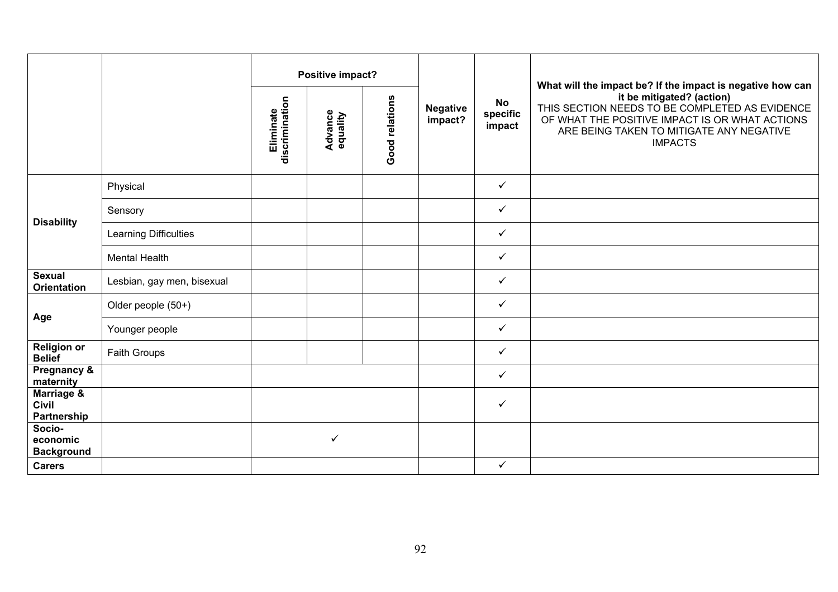|                                           |                              | Positive impact?            |                            |                |                            | <b>No</b>          | What will the impact be? If the impact is negative how can                                                                                                                                  |
|-------------------------------------------|------------------------------|-----------------------------|----------------------------|----------------|----------------------------|--------------------|---------------------------------------------------------------------------------------------------------------------------------------------------------------------------------------------|
|                                           |                              | discrimination<br>Eliminate | <b>Advance</b><br>equality | Good relations | <b>Negative</b><br>impact? | specific<br>impact | it be mitigated? (action)<br>THIS SECTION NEEDS TO BE COMPLETED AS EVIDENCE<br>OF WHAT THE POSITIVE IMPACT IS OR WHAT ACTIONS<br>ARE BEING TAKEN TO MITIGATE ANY NEGATIVE<br><b>IMPACTS</b> |
|                                           | Physical                     |                             |                            |                |                            | $\checkmark$       |                                                                                                                                                                                             |
|                                           | Sensory                      |                             |                            |                |                            | $\checkmark$       |                                                                                                                                                                                             |
| <b>Disability</b>                         | <b>Learning Difficulties</b> |                             |                            |                |                            | $\checkmark$       |                                                                                                                                                                                             |
|                                           | <b>Mental Health</b>         |                             |                            |                |                            | $\checkmark$       |                                                                                                                                                                                             |
| <b>Sexual</b><br><b>Orientation</b>       | Lesbian, gay men, bisexual   |                             |                            |                |                            | $\checkmark$       |                                                                                                                                                                                             |
|                                           | Older people (50+)           |                             |                            |                |                            | $\checkmark$       |                                                                                                                                                                                             |
| Age                                       | Younger people               |                             |                            |                |                            | $\checkmark$       |                                                                                                                                                                                             |
| <b>Religion or</b><br><b>Belief</b>       | Faith Groups                 |                             |                            |                |                            | $\checkmark$       |                                                                                                                                                                                             |
| Pregnancy &<br>maternity                  |                              |                             |                            |                |                            | $\checkmark$       |                                                                                                                                                                                             |
| Marriage &<br><b>Civil</b><br>Partnership |                              |                             |                            |                |                            | $\checkmark$       |                                                                                                                                                                                             |
| Socio-<br>economic<br><b>Background</b>   |                              |                             | ✓                          |                |                            |                    |                                                                                                                                                                                             |
| <b>Carers</b>                             |                              |                             |                            |                |                            | $\checkmark$       |                                                                                                                                                                                             |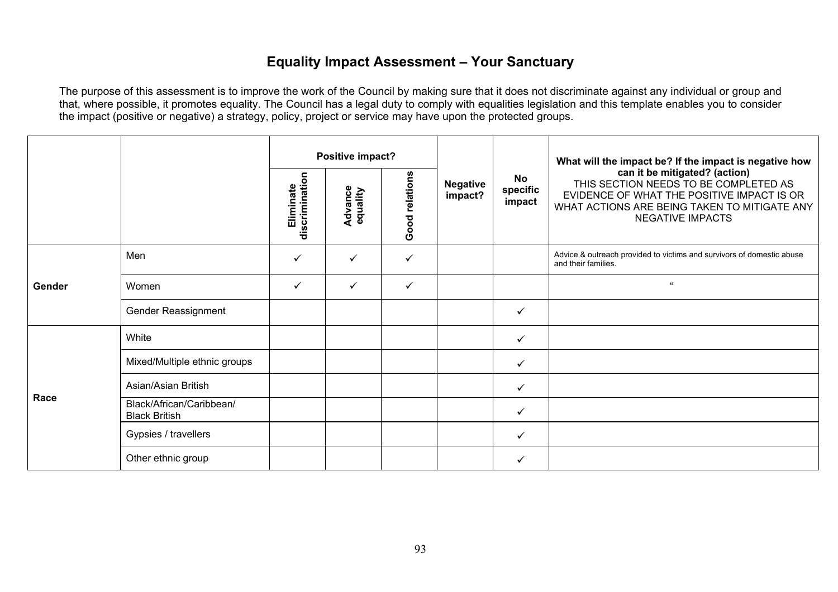# **Equality Impact Assessment – Your Sanctuary**

|        |                                                  |              | Positive impact?           |                |                     |                          | What will the impact be? If the impact is negative how                                                                                                                                          |
|--------|--------------------------------------------------|--------------|----------------------------|----------------|---------------------|--------------------------|-------------------------------------------------------------------------------------------------------------------------------------------------------------------------------------------------|
|        |                                                  |              | <b>Advance</b><br>equality | Good relations | Negative<br>impact? | No<br>specific<br>impact | can it be mitigated? (action)<br>THIS SECTION NEEDS TO BE COMPLETED AS<br>EVIDENCE OF WHAT THE POSITIVE IMPACT IS OR<br>WHAT ACTIONS ARE BEING TAKEN TO MITIGATE ANY<br><b>NEGATIVE IMPACTS</b> |
| Gender | Men                                              | ✓            | ✓                          | ✓              |                     |                          | Advice & outreach provided to victims and survivors of domestic abuse<br>and their families.                                                                                                    |
|        | Women                                            | $\checkmark$ | $\checkmark$               | ✓              |                     |                          | $\alpha$                                                                                                                                                                                        |
|        | Gender Reassignment                              |              |                            |                |                     | $\checkmark$             |                                                                                                                                                                                                 |
|        | White                                            |              |                            |                |                     | $\checkmark$             |                                                                                                                                                                                                 |
|        | Mixed/Multiple ethnic groups                     |              |                            |                |                     | $\checkmark$             |                                                                                                                                                                                                 |
| Race   | Asian/Asian British                              |              |                            |                |                     | $\checkmark$             |                                                                                                                                                                                                 |
|        | Black/African/Caribbean/<br><b>Black British</b> |              |                            |                |                     | $\checkmark$             |                                                                                                                                                                                                 |
|        | Gypsies / travellers                             |              |                            |                |                     | ✓                        |                                                                                                                                                                                                 |
|        | Other ethnic group                               |              |                            |                |                     | ✓                        |                                                                                                                                                                                                 |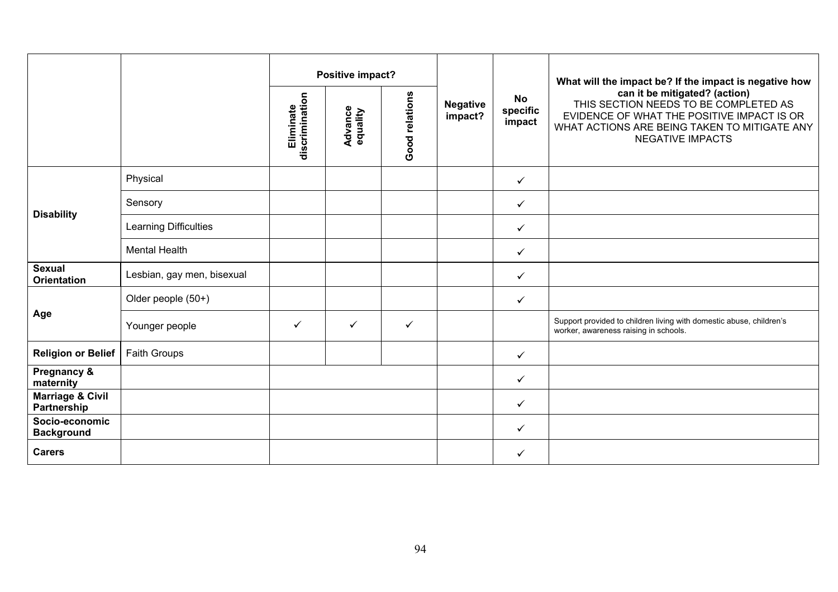|                                            |                            | Positive impact?            |                            |                |                            |                          | What will the impact be? If the impact is negative how                                                                                                                                          |
|--------------------------------------------|----------------------------|-----------------------------|----------------------------|----------------|----------------------------|--------------------------|-------------------------------------------------------------------------------------------------------------------------------------------------------------------------------------------------|
|                                            |                            | discrimination<br>Eliminate | <b>Advance</b><br>equality | Good relations | <b>Negative</b><br>impact? | No<br>specific<br>impact | can it be mitigated? (action)<br>THIS SECTION NEEDS TO BE COMPLETED AS<br>EVIDENCE OF WHAT THE POSITIVE IMPACT IS OR<br>WHAT ACTIONS ARE BEING TAKEN TO MITIGATE ANY<br><b>NEGATIVE IMPACTS</b> |
|                                            | Physical                   |                             |                            |                |                            | $\checkmark$             |                                                                                                                                                                                                 |
|                                            | Sensory                    |                             |                            |                |                            | $\checkmark$             |                                                                                                                                                                                                 |
| <b>Disability</b>                          | Learning Difficulties      |                             |                            |                |                            | $\checkmark$             |                                                                                                                                                                                                 |
|                                            | <b>Mental Health</b>       |                             |                            |                |                            | $\checkmark$             |                                                                                                                                                                                                 |
| <b>Sexual</b><br><b>Orientation</b>        | Lesbian, gay men, bisexual |                             |                            |                |                            | $\checkmark$             |                                                                                                                                                                                                 |
|                                            | Older people (50+)         |                             |                            |                |                            | $\checkmark$             |                                                                                                                                                                                                 |
| Age                                        | Younger people             | $\checkmark$                | ✓                          | $\checkmark$   |                            |                          | Support provided to children living with domestic abuse, children's<br>worker, awareness raising in schools.                                                                                    |
| <b>Religion or Belief</b>                  | <b>Faith Groups</b>        |                             |                            |                |                            | $\checkmark$             |                                                                                                                                                                                                 |
| Pregnancy &<br>maternity                   |                            |                             |                            |                |                            | $\checkmark$             |                                                                                                                                                                                                 |
| <b>Marriage &amp; Civil</b><br>Partnership |                            |                             |                            |                |                            | $\checkmark$             |                                                                                                                                                                                                 |
| Socio-economic<br><b>Background</b>        |                            |                             |                            |                |                            | $\checkmark$             |                                                                                                                                                                                                 |
| <b>Carers</b>                              |                            |                             |                            |                |                            | ✓                        |                                                                                                                                                                                                 |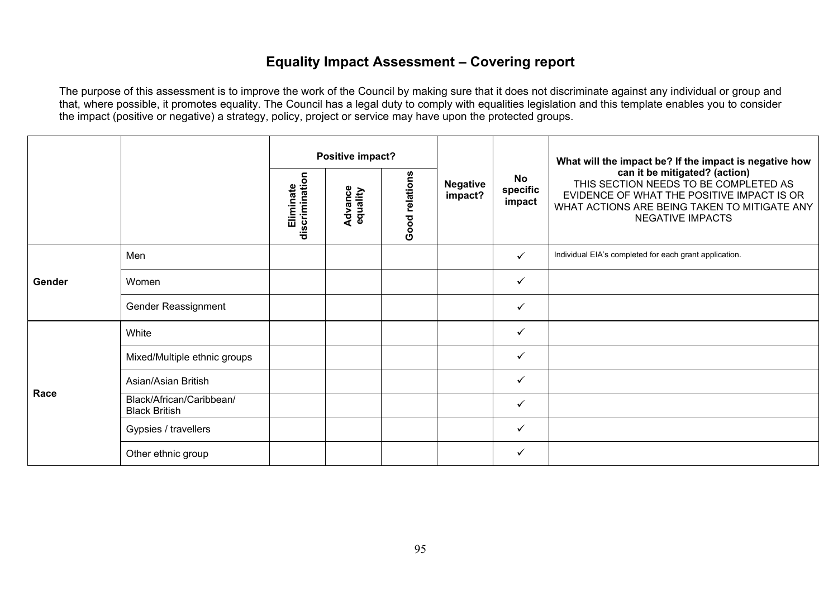# **Equality Impact Assessment – Covering report**

|        |                                                  |                             | Positive impact?           |                |                            | No<br>specific<br>impact | What will the impact be? If the impact is negative how<br>can it be mitigated? (action)<br>THIS SECTION NEEDS TO BE COMPLETED AS<br>EVIDENCE OF WHAT THE POSITIVE IMPACT IS OR<br>WHAT ACTIONS ARE BEING TAKEN TO MITIGATE ANY<br><b>NEGATIVE IMPACTS</b> |
|--------|--------------------------------------------------|-----------------------------|----------------------------|----------------|----------------------------|--------------------------|-----------------------------------------------------------------------------------------------------------------------------------------------------------------------------------------------------------------------------------------------------------|
|        |                                                  | discrimination<br>Eliminate | <b>Advance</b><br>equality | Good relations | <b>Negative</b><br>impact? |                          |                                                                                                                                                                                                                                                           |
| Gender | Men                                              |                             |                            |                |                            | $\checkmark$             | Individual EIA's completed for each grant application.                                                                                                                                                                                                    |
|        | Women                                            |                             |                            |                |                            | ✓                        |                                                                                                                                                                                                                                                           |
|        | Gender Reassignment                              |                             |                            |                |                            | ✓                        |                                                                                                                                                                                                                                                           |
|        | White                                            |                             |                            |                |                            | $\checkmark$             |                                                                                                                                                                                                                                                           |
|        | Mixed/Multiple ethnic groups                     |                             |                            |                |                            | $\checkmark$             |                                                                                                                                                                                                                                                           |
| Race   | Asian/Asian British                              |                             |                            |                |                            | $\checkmark$             |                                                                                                                                                                                                                                                           |
|        | Black/African/Caribbean/<br><b>Black British</b> |                             |                            |                |                            | $\checkmark$             |                                                                                                                                                                                                                                                           |
|        | Gypsies / travellers                             |                             |                            |                |                            | $\checkmark$             |                                                                                                                                                                                                                                                           |
|        | Other ethnic group                               |                             |                            |                |                            | $\checkmark$             |                                                                                                                                                                                                                                                           |